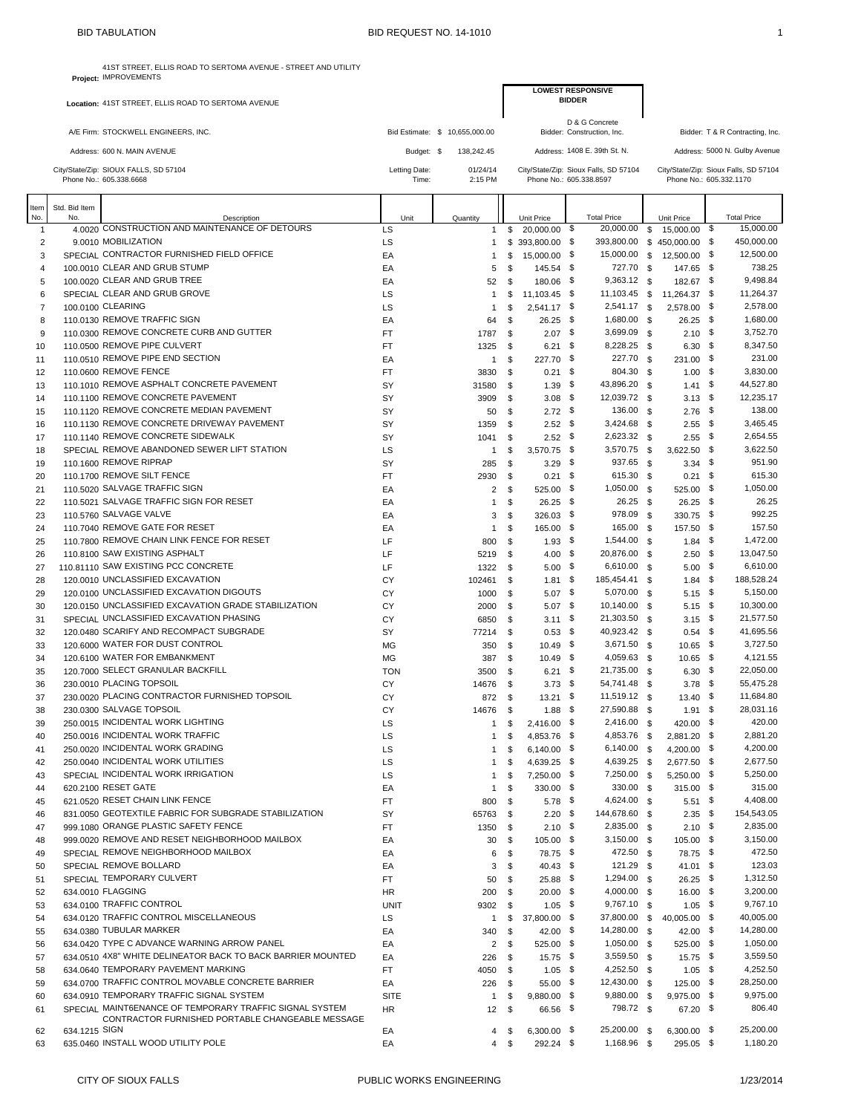A/E Firm: STOCKWELL ENGINEERS, INC.

|      | <b>BID TABULATION</b>                                                                  | BID REQUEST NO. 14-1010 |                                |                 |                                                                  |                         | 1                                     |
|------|----------------------------------------------------------------------------------------|-------------------------|--------------------------------|-----------------|------------------------------------------------------------------|-------------------------|---------------------------------------|
|      | 41ST STREET, ELLIS ROAD TO SERTOMA AVENUE - STREET AND UTILITY<br>roject: IMPROVEMENTS |                         |                                |                 | <b>LOWEST RESPONSIVE</b>                                         |                         |                                       |
|      | ation: 41ST STREET, ELLIS ROAD TO SERTOMA AVENUE                                       |                         |                                |                 | <b>BIDDER</b>                                                    |                         |                                       |
|      | E Firm: STOCKWELL ENGINEERS, INC.                                                      |                         | Bid Estimate: \$ 10,655,000.00 |                 | D & G Concrete<br>Bidder: Construction, Inc.                     |                         | Bidder: T & R Contracting, Inc.       |
|      | ddress: 600 N. MAIN AVENUE                                                             | Budget: \$              | 138,242.45                     |                 | Address: 1408 E. 39th St. N.                                     |                         | Address: 5000 N. Gulby Avenue         |
|      | ate/Zip: SIOUX FALLS, SD 57104<br>e No.: 605.338.6668                                  | Letting Date:<br>Time:  | 01/24/14<br>2:15 PM            |                 | City/State/Zip: Sioux Falls, SD 57104<br>Phone No.: 605.338.8597 | Phone No.: 605.332.1170 | City/State/Zip: Sioux Falls, SD 57104 |
| Item | Description                                                                            | Unit                    | Quantity                       | Unit Price      | <b>Total Price</b>                                               | Unit Price              | <b>Total Price</b>                    |
|      | .0020 CONSTRUCTION AND MAINTENANCE OF DETOURS                                          | LS                      |                                | \$<br>20,000.00 | 20,000.00<br>S.                                                  | \$<br>15,000.00         | \$<br>15,000.00                       |
|      | .0010 MOBILIZATION                                                                     | LS                      |                                | \$393,800.00    | 393,800.00<br>\$                                                 | \$450,000,00            | \$<br>450,000.00                      |

| 41ST STREET. ELLIS ROAD TO SERTOMA AVENUE - STREET AND UTILITY<br>Project: IMPROVEMENTS |
|-----------------------------------------------------------------------------------------|
| Location: 41ST STREET, ELLIS ROAD TO SERTOMA AVENUE                                     |

|                |                      | Address: 600 N. MAIN AVENUE                                              | Budget: \$               | 138,242.45           |          |                            |                                                                  | Address: 1408 E. 39th St. N. |    |                            | Address: 5000 N. Gulby Avenue         |
|----------------|----------------------|--------------------------------------------------------------------------|--------------------------|----------------------|----------|----------------------------|------------------------------------------------------------------|------------------------------|----|----------------------------|---------------------------------------|
|                |                      | City/State/Zip: SIOUX FALLS, SD 57104<br>Phone No.: 605.338.6668         | Letting Date:<br>Time:   | 01/24/14<br>2:15 PM  |          |                            | City/State/Zip: Sioux Falls, SD 57104<br>Phone No.: 605.338.8597 |                              |    | Phone No.: 605.332.1170    | City/State/Zip: Sioux Falls, SD 57104 |
| Item<br>No.    | Std. Bid Item<br>No. | Description                                                              | Unit                     | Quantity             |          | Unit Price                 |                                                                  | <b>Total Price</b>           |    | Unit Price                 | <b>Total Price</b>                    |
| $\mathbf{1}$   |                      | 4.0020 CONSTRUCTION AND MAINTENANCE OF DETOURS                           | LS                       | 1                    | \$       | 20,000.00 \$               |                                                                  | 20,000.00                    | \$ | 15,000.00 \$               | 15,000.00                             |
| $\overline{2}$ |                      | 9.0010 MOBILIZATION                                                      | LS                       | 1                    |          | $$393,800.00$ \$           |                                                                  | 393,800.00 \$ 450,000.00 \$  |    |                            | 450,000.00                            |
| 3              |                      | SPECIAL CONTRACTOR FURNISHED FIELD OFFICE                                | EA                       | $\mathbf{1}$         | \$       | 15,000.00 \$               |                                                                  | 15,000.00 \$                 |    | 12,500.00 \$               | 12,500.00                             |
| $\overline{4}$ |                      | 100,0010 CLEAR AND GRUB STUMP                                            | EA                       | 5                    | \$       | 145.54 \$                  |                                                                  | 727.70 \$                    |    | 147.65 \$                  | 738.25                                |
| 5              |                      | 100,0020 CLEAR AND GRUB TREE                                             | EA                       | 52                   | \$       | 180.06 \$                  |                                                                  | 9,363.12 \$                  |    | 182.67 \$                  | 9,498.84                              |
| 6              |                      | SPECIAL CLEAR AND GRUB GROVE                                             | LS                       | $\mathbf{1}$         | \$       | $11.103.45$ \$             |                                                                  | 11,103.45 \$                 |    | 11.264.37 \$               | 11,264.37                             |
| 7              |                      | 100,0100 CLEARING                                                        | LS                       | $\mathbf{1}$         | \$       | 2,541.17 \$                |                                                                  | 2,541.17 \$                  |    | 2,578.00 \$                | 2,578.00                              |
| 8              |                      | 110.0130 REMOVE TRAFFIC SIGN<br>110,0300 REMOVE CONCRETE CURB AND GUTTER | EA                       | 64                   | \$       | $26.25$ \$                 |                                                                  | 1,680.00 \$<br>3,699.09 \$   |    | $26.25$ \$<br>$2.10$ \$    | 1,680.00<br>3,752.70                  |
| 9<br>10        |                      | 110.0500 REMOVE PIPE CULVERT                                             | FT<br>FT                 | 1787                 | \$<br>\$ | $2.07$ \$<br>6.21          | \$                                                               | 8,228.25 \$                  |    | $6.30$ \$                  | 8,347.50                              |
| 11             |                      | 110.0510 REMOVE PIPE END SECTION                                         | EA                       | 1325<br>$\mathbf{1}$ | \$       | 227.70 \$                  |                                                                  | 227.70 \$                    |    | 231.00 \$                  | 231.00                                |
| 12             |                      | 110,0600 REMOVE FENCE                                                    | FT                       | 3830                 | \$       | 0.21                       | \$                                                               | 804.30 \$                    |    | $1.00$ \$                  | 3,830.00                              |
| 13             |                      | 110.1010 REMOVE ASPHALT CONCRETE PAVEMENT                                | SY                       | 31580                | \$       | $1.39$ \$                  |                                                                  | 43,896.20 \$                 |    | $1.41$ \$                  | 44,527.80                             |
| 14             |                      | 110.1100 REMOVE CONCRETE PAVEMENT                                        | SY                       | 3909                 | \$       | $3.08$ \$                  |                                                                  | 12,039.72 \$                 |    | $3.13$ \$                  | 12,235.17                             |
| 15             |                      | 110.1120 REMOVE CONCRETE MEDIAN PAVEMENT                                 | SY                       | 50                   | \$       | $2.72$ \$                  |                                                                  | 136.00 \$                    |    | $2.76$ \$                  | 138.00                                |
| 16             |                      | 110.1130 REMOVE CONCRETE DRIVEWAY PAVEMENT                               | SY                       | 1359                 | \$       | $2.52$ \$                  |                                                                  | 3,424.68 \$                  |    | $2.55$ \$                  | 3,465.45                              |
| 17             |                      | 110.1140 REMOVE CONCRETE SIDEWALK                                        | SY                       | 1041                 | \$       | $2.52$ \$                  |                                                                  | 2,623.32 \$                  |    | $2.55$ \$                  | 2,654.55                              |
| 18             |                      | SPECIAL REMOVE ABANDONED SEWER LIFT STATION                              | LS                       | $\mathbf{1}$         | \$       | 3,570.75 \$                |                                                                  | 3,570.75 \$                  |    | $3,622.50$ \$              | 3,622.50                              |
| 19             |                      | 110.1600 REMOVE RIPRAP                                                   | SY                       | 285                  | \$       | $3.29$ \$                  |                                                                  | 937.65 \$                    |    | $3.34$ \$                  | 951.90                                |
| 20             |                      | 110,1700 REMOVE SILT FENCE                                               | FT                       | 2930                 | \$       | $0.21$ \$                  |                                                                  | 615.30 \$                    |    | $0.21$ \$                  | 615.30                                |
| 21             |                      | 110,5020 SALVAGE TRAFFIC SIGN                                            | EA                       | $\overline{2}$       | \$       | 525.00 \$                  |                                                                  | 1,050.00 \$                  |    | 525.00 \$                  | 1,050.00                              |
| 22             |                      | 110,5021 SALVAGE TRAFFIC SIGN FOR RESET                                  | EA                       | 1                    | \$       | $26.25$ \$                 |                                                                  | $26.25$ \$                   |    | $26.25$ \$                 | 26.25                                 |
| 23             |                      | 110.5760 SALVAGE VALVE                                                   | EA                       | 3                    | \$       | 326.03 \$                  |                                                                  | 978.09 \$                    |    | 330.75 \$                  | 992.25                                |
| 24             |                      | 110,7040 REMOVE GATE FOR RESET                                           | EA                       | $\mathbf{1}$         | \$       | 165.00 \$                  |                                                                  | 165.00 \$                    |    | 157.50 \$                  | 157.50                                |
| 25             |                      | 110,7800 REMOVE CHAIN LINK FENCE FOR RESET                               | LF                       | 800                  | \$       | $1.93$ \$                  |                                                                  | 1,544.00 \$                  |    | $1.84$ \$                  | 1,472.00                              |
| 26             |                      | 110.8100 SAW EXISTING ASPHALT                                            | LF                       | 5219                 | \$       | 4.00 \$                    |                                                                  | 20,876.00 \$                 |    | $2.50$ \$                  | 13,047.50                             |
| 27             |                      | 110.81110 SAW EXISTING PCC CONCRETE                                      | LF                       | 1322                 | \$       | $5.00\ 5$                  |                                                                  | 6,610.00 \$                  |    | $5.00$ \$                  | 6,610.00                              |
| 28             |                      | 120,0010 UNCLASSIFIED EXCAVATION                                         | CY                       | 102461               | \$       | 1.81                       | \$                                                               | 185,454.41 \$                |    | $1.84$ \$                  | 188,528.24                            |
| 29             |                      | 120.0100 UNCLASSIFIED EXCAVATION DIGOUTS                                 | CY                       | 1000                 | \$       | $5.07$ \$                  |                                                                  | 5,070.00 \$                  |    | $5.15$ \$                  | 5,150.00                              |
| 30             |                      | 120.0150 UNCLASSIFIED EXCAVATION GRADE STABILIZATION                     | CY                       | 2000                 | \$       | $5.07$ \$                  |                                                                  | 10,140.00 \$                 |    | $5.15$ \$                  | 10,300.00                             |
| 31             |                      | SPECIAL UNCLASSIFIED EXCAVATION PHASING                                  | CY                       | 6850                 | \$       | $3.11 \quad$ \$            |                                                                  | 21,303.50 \$                 |    | $3.15$ \$                  | 21,577.50                             |
| 32             |                      | 120.0480 SCARIFY AND RECOMPACT SUBGRADE                                  | SY                       | 77214                | \$       | $0.53$ \$                  |                                                                  | 40,923.42 \$                 |    | $0.54$ \$                  | 41,695.56                             |
| 33             |                      | 120,6000 WATER FOR DUST CONTROL                                          | MG                       | 350                  | \$       | $10.49$ \$                 |                                                                  | 3,671.50 \$                  |    | 10.65 \$                   | 3,727.50                              |
| 34             |                      | 120,6100 WATER FOR EMBANKMENT                                            | MG                       | 387                  | \$       | $10.49$ \$                 |                                                                  | 4,059.63 \$                  |    | 10.65 \$                   | 4,121.55                              |
| 35             |                      | 120,7000 SELECT GRANULAR BACKFILL                                        | <b>TON</b>               | 3500                 | \$       | 6.21                       | \$                                                               | 21,735.00 \$                 |    | $6.30$ \$                  | 22,050.00                             |
| 36             |                      | 230,0010 PLACING TOPSOIL                                                 | CY                       | 14676                | \$       | $3.73$ \$                  |                                                                  | 54,741.48 \$                 |    | $3.78$ \$                  | 55,475.28                             |
| 37             |                      | 230.0020 PLACING CONTRACTOR FURNISHED TOPSOIL                            | CY                       | 872                  | - \$     | $13.21$ \$                 |                                                                  | 11,519.12 \$                 |    | 13.40 \$                   | 11,684.80                             |
| 38             |                      | 230.0300 SALVAGE TOPSOIL                                                 | CY                       | 14676                | -\$      | $1.88$ \$                  |                                                                  | 27,590.88 \$                 |    | $1.91$ \$                  | 28,031.16                             |
| 39             |                      | 250.0015 INCIDENTAL WORK LIGHTING                                        | LS                       | 1                    | \$       | 2,416.00 \$                |                                                                  | 2,416.00 \$                  |    | 420.00 \$                  | 420.00                                |
| 40             |                      | 250,0016 INCIDENTAL WORK TRAFFIC<br>250,0020 INCIDENTAL WORK GRADING     | LS                       | $\mathbf{1}$         | \$       | 4,853.76 \$                |                                                                  | 4,853.76 \$<br>6,140.00 \$   |    | 2,881.20 \$<br>4.200.00 \$ | 2,881.20<br>4,200.00                  |
| 41             |                      | 250,0040 INCIDENTAL WORK UTILITIES                                       | LS<br>LS                 | 1                    | \$       | 6,140.00 \$                |                                                                  | 4,639.25 \$                  |    | 2,677.50 \$                | 2,677.50                              |
| 42             |                      | SPECIAL INCIDENTAL WORK IRRIGATION                                       | LS                       | $\mathbf{1}$<br>1    | \$<br>\$ | 4,639.25 \$<br>7,250.00 \$ |                                                                  | 7,250.00 \$                  |    | 5,250.00 \$                | 5,250.00                              |
| 43<br>44       |                      | 620.2100 RESET GATE                                                      | EA                       | $\mathbf{1}$         | \$       | 330.00 \$                  |                                                                  | 330.00 \$                    |    | 315.00 \$                  | 315.00                                |
| 45             |                      | 621.0520 RESET CHAIN LINK FENCE                                          | FT                       | 800                  | \$       | $5.78$ \$                  |                                                                  | 4,624.00 \$                  |    | $5.51$ \$                  | 4,408.00                              |
| 46             |                      | 831.0050 GEOTEXTILE FABRIC FOR SUBGRADE STABILIZATION                    | SY                       | 65763 \$             |          | $2.20$ \$                  |                                                                  | 144,678.60 \$                |    | $2.35$ \$                  | 154,543.05                            |
| 47             |                      | 999.1080 ORANGE PLASTIC SAFETY FENCE                                     | FT                       | 1350                 | \$       | $2.10\quad$                |                                                                  | 2,835.00 \$                  |    | $2.10\ 5$                  | 2,835.00                              |
| 48             |                      | 999.0020 REMOVE AND RESET NEIGHBORHOOD MAILBOX                           | EA                       | 30                   | -\$      | $105.00$ \$                |                                                                  | 3,150.00 \$                  |    | $105.00$ \$                | 3,150.00                              |
| 49             |                      | SPECIAL REMOVE NEIGHBORHOOD MAILBOX                                      | EA                       | 6                    | \$       | 78.75 \$                   |                                                                  | 472.50 \$                    |    | 78.75 \$                   | 472.50                                |
| 50             |                      | SPECIAL REMOVE BOLLARD                                                   | EA                       | 3                    | \$       | 40.43 \$                   |                                                                  | 121.29 \$                    |    | $41.01$ \$                 | 123.03                                |
| 51             |                      | SPECIAL TEMPORARY CULVERT                                                | FT                       | 50                   | \$       | $25.88$ \$                 |                                                                  | 1,294.00 \$                  |    | $26.25$ \$                 | 1,312.50                              |
| 52             |                      | 634.0010 FLAGGING                                                        | HR                       | 200                  | \$       | $20.00$ \$                 |                                                                  | 4,000.00 \$                  |    | $16.00 \quad$ \$           | 3,200.00                              |
| 53             |                      | 634.0100 TRAFFIC CONTROL                                                 | UNIT                     | 9302                 | - \$     | $1.05 \quad$ \$            |                                                                  | 9,767.10 \$                  |    | $1.05$ \$                  | 9,767.10                              |
| 54             |                      | 634.0120 TRAFFIC CONTROL MISCELLANEOUS                                   | LS                       | $\mathbf{1}$         | \$       | 37,800.00 \$               |                                                                  | 37,800.00 \$                 |    | 40,005.00 \$               | 40,005.00                             |
| 55             |                      | 634,0380 TUBULAR MARKER                                                  | EA                       | 340                  | \$       | $42.00\quad$ \$            |                                                                  | 14,280.00 \$                 |    | 42.00 \$                   | 14,280.00                             |
| 56             |                      | 634.0420 TYPE C ADVANCE WARNING ARROW PANEL                              | EA                       | $\overline{2}$       | \$       | 525.00 \$                  |                                                                  | 1,050.00 \$                  |    | 525.00 \$                  | 1,050.00                              |
| 57             |                      | 634.0510 4X8" WHITE DELINEATOR BACK TO BACK BARRIER MOUNTED              | EA                       | 226                  | \$       | 15.75 \$                   |                                                                  | 3,559.50 \$                  |    | $15.75$ \$                 | 3,559.50                              |
| 58             |                      | 634.0640 TEMPORARY PAVEMENT MARKING                                      | FT                       | 4050                 | \$       | $1.05$ \$                  |                                                                  | 4,252.50 \$                  |    | $1.05$ \$                  | 4,252.50                              |
| 59             |                      | 634.0700 TRAFFIC CONTROL MOVABLE CONCRETE BARRIER                        | EA                       | 226                  | - \$     | 55.00 \$                   |                                                                  | 12,430.00 \$                 |    | 125.00 \$                  | 28,250.00                             |
| 60             |                      | 634.0910 TEMPORARY TRAFFIC SIGNAL SYSTEM                                 | <b>SITE</b>              | $\mathbf{1}$         | \$       | 9,880.00 \$                |                                                                  | 9,880.00 \$                  |    | 9,975.00 \$                | 9,975.00                              |
| 61             |                      | SPECIAL MAINT6ENANCE OF TEMPORARY TRAFFIC SIGNAL SYSTEM                  | HR                       | $12 \quad$ \$        |          | 66.56 \$                   |                                                                  | 798.72 \$                    |    | 67.20 \$                   | 806.40                                |
|                |                      | CONTRACTOR FURNISHED PORTABLE CHANGEABLE MESSAGE                         |                          |                      |          |                            |                                                                  |                              |    |                            |                                       |
| 62             | 634.1215 SIGN        |                                                                          | EA                       | 4                    | \$       | 6,300.00 \$                |                                                                  | 25,200.00 \$                 |    | $6,300.00$ \$              | 25,200.00                             |
| 63             |                      | 635.0460 INSTALL WOOD UTILITY POLE                                       | EA                       | $\overline{4}$       | \$       | 292.24 \$                  |                                                                  | 1,168.96 \$                  |    | 295.05 \$                  | 1,180.20                              |
|                |                      | CITY OF SIOUX FALLS                                                      | PUBLIC WORKS ENGINEERING |                      |          |                            |                                                                  |                              |    |                            | 1/23/2014                             |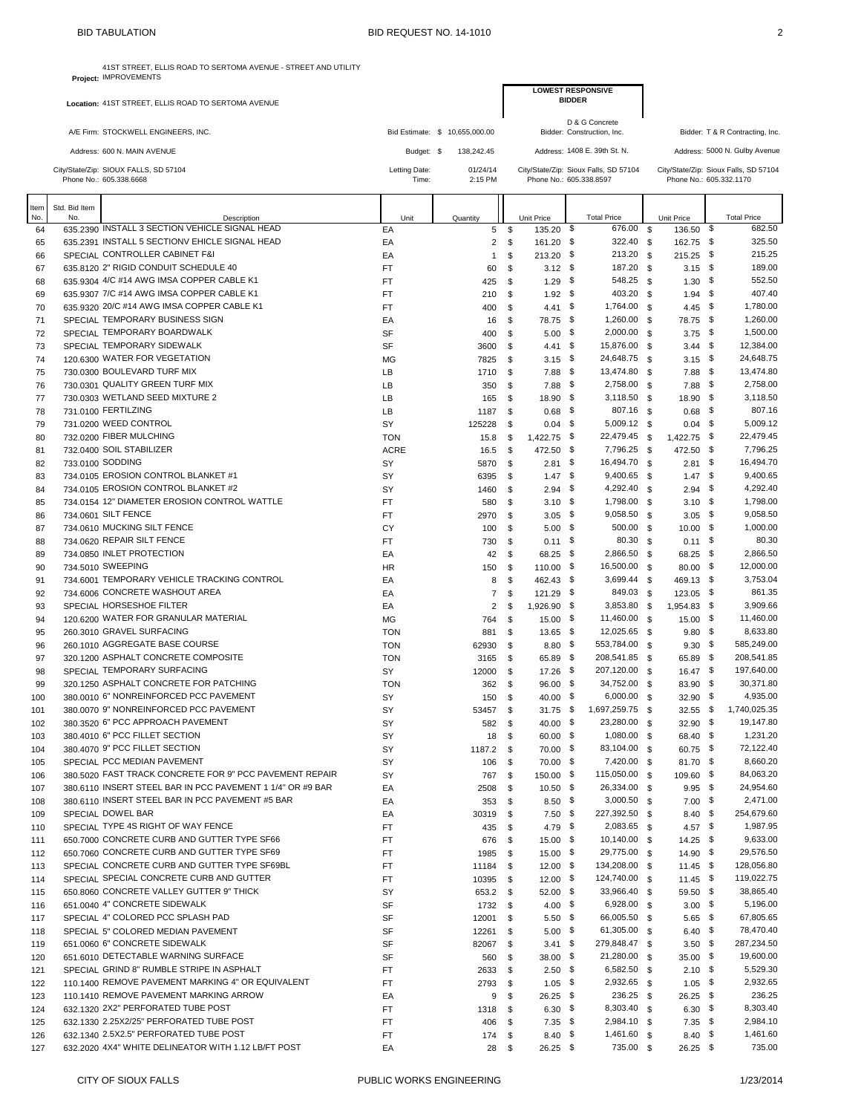|          |               | <b>BID TABULATION</b>                                                                   | BID REQUEST NO. 14-1010 |                                |     |                                                                  |                |                              |              |                         |                                       |
|----------|---------------|-----------------------------------------------------------------------------------------|-------------------------|--------------------------------|-----|------------------------------------------------------------------|----------------|------------------------------|--------------|-------------------------|---------------------------------------|
|          |               | 41ST STREET, ELLIS ROAD TO SERTOMA AVENUE - STREET AND UTILITY<br>Project: IMPROVEMENTS |                         |                                |     |                                                                  |                |                              |              |                         |                                       |
|          |               | Location: 41ST STREET, ELLIS ROAD TO SERTOMA AVENUE                                     |                         |                                |     | <b>LOWEST RESPONSIVE</b>                                         | <b>BIDDER</b>  |                              |              |                         |                                       |
|          |               | A/E Firm: STOCKWELL ENGINEERS, INC.                                                     |                         | Bid Estimate: \$ 10,655,000.00 |     |                                                                  | D & G Concrete | Bidder: Construction, Inc.   |              |                         | Bidder: T & R Contracting, Inc.       |
|          |               | Address: 600 N. MAIN AVENUE                                                             | Budget: \$              | 138,242.45                     |     |                                                                  |                | Address: 1408 E. 39th St. N. |              |                         | Address: 5000 N. Gulby Avenue         |
|          |               |                                                                                         |                         |                                |     |                                                                  |                |                              |              |                         |                                       |
|          |               | City/State/Zip: SIOUX FALLS, SD 57104<br>Phone No.: 605.338.6668                        | Letting Date:<br>Time:  | 01/24/14<br>2:15 PM            |     | City/State/Zip: Sioux Falls, SD 57104<br>Phone No.: 605.338.8597 |                |                              |              | Phone No.: 605.332.1170 | City/State/Zip: Sioux Falls, SD 57104 |
| Item     | Std. Bid Item |                                                                                         |                         |                                |     |                                                                  |                |                              |              |                         |                                       |
| No.      | No.           | Description<br>635,2390 INSTALL 3 SECTION VEHICLE SIGNAL HEAD                           | Unit                    | Quantity                       |     | Unit Price                                                       |                | <b>Total Price</b>           |              | Unit Price              | <b>Total Price</b><br>682.50          |
| 64       |               |                                                                                         | EA                      | 5                              | \$  | 135.20                                                           | \$             | 676.00                       | $\mathbf{s}$ | 136.50                  | \$                                    |
| 65       |               | 635.2391 INSTALL 5 SECTIONV EHICLE SIGNAL HEAD                                          | EA                      | $\overline{2}$                 | \$  | 161.20                                                           | \$             | 322.40 \$                    |              | 162.75 \$               | 325.50                                |
| 66       |               | SPECIAL CONTROLLER CABINET F&I<br>635.8120 2" RIGID CONDUIT SCHEDULE 40                 | EA<br><b>FT</b>         | $\mathbf{1}$                   | \$  | 213.20                                                           | - \$           | 213.20 \$<br>187.20 \$       |              | 215.25 \$               | 215.25<br>189.00                      |
| 67       |               | 635.9304 4/C #14 AWG IMSA COPPER CABLE K1                                               |                         | 60                             | \$  | $3.12$ \$                                                        | \$             | 548.25 \$                    |              | $3.15$ \$               | 552.50                                |
| 68       |               | 635.9307 7/C #14 AWG IMSA COPPER CABLE K1                                               | <b>FT</b>               | 425                            | \$  | 1.29                                                             |                | 403.20 \$                    |              | $1.30$ \$               | 407.40                                |
| 69       |               | 635.9320 20/C #14 AWG IMSA COPPER CABLE K1                                              | <b>FT</b>               | 210                            | \$  | $1.92$ \$                                                        |                | 1,764.00 \$                  |              | $1.94$ \$               | 1,780.00                              |
| 70       |               | SPECIAL TEMPORARY BUSINESS SIGN                                                         | <b>FT</b>               | 400                            | \$  | 4.41 \$                                                          |                | 1,260.00 \$                  |              | 4.45 $$$                | 1,260.00                              |
| 71<br>72 |               | SPECIAL TEMPORARY BOARDWALK                                                             | EA<br><b>SF</b>         | 16                             | \$  | 78.75 \$                                                         | - \$           | 2,000.00 \$                  |              | 78.75 \$<br>$3.75$ \$   | 1,500.00                              |
|          |               |                                                                                         |                         | 400                            | \$  | 5.00                                                             |                |                              |              |                         | 12,384.00                             |
| 73       |               | SPECIAL TEMPORARY SIDEWALK                                                              | SF                      | 3600                           | \$  | 4.41                                                             | \$             | 15,876.00                    | \$           | $3.44$ \$               |                                       |
| 74       |               | 120.6300 WATER FOR VEGETATION                                                           | <b>MG</b>               | 7825                           | \$  | 3.15                                                             | - \$           | 24,648.75 \$                 |              | $3.15$ \$               | 24,648.75                             |
| 75       |               | 730.0300 BOULEVARD TURF MIX                                                             | LB                      | 1710                           | \$  | 7.88                                                             | \$             | 13,474.80                    | \$           | $7.88$ \$               | 13,474.80                             |
| 76       |               | 730.0301 QUALITY GREEN TURF MIX                                                         | LB                      | 350                            | \$  | 7.88                                                             | - \$           | 2,758.00 \$                  |              | $7.88$ \$               | 2,758.00                              |
| 77       |               | 730.0303 WETLAND SEED MIXTURE 2                                                         | LB                      | 165                            | \$  | 18.90                                                            | \$             | 3,118.50 \$                  |              | 18.90 \$                | 3,118.50                              |
| 78       |               | 731.0100 FERTILZING                                                                     | LB                      | 1187                           | \$  | $0.68$ \$                                                        |                | 807.16 \$                    |              | $0.68$ \$               | 807.16                                |
| 79       |               | 731.0200 WEED CONTROL                                                                   | SY                      | 125228                         | \$  | $0.04$ \$                                                        |                | 5,009.12 \$                  |              | $0.04$ \$               | 5,009.12                              |
| 80       |               | 732.0200 FIBER MULCHING                                                                 | <b>TON</b>              | 15.8                           | \$  | 1,422.75 \$                                                      |                | 22,479.45 \$                 |              | 1,422.75 \$             | 22,479.45                             |
| 81       |               | 732,0400 SOIL STABILIZER                                                                | <b>ACRE</b>             | 16.5                           | \$  | 472.50                                                           | - \$           | 7,796.25 \$                  |              | 472.50 \$               | 7,796.25                              |
| 82       |               | 733.0100 SODDING                                                                        | SY                      | 5870                           | \$  | 2.81                                                             | \$             | 16,494.70                    | \$           | $2.81$ \$               | 16,494.70                             |
| 83       |               | 734.0105 EROSION CONTROL BLANKET #1                                                     | SY                      | 6395                           | \$  | 1.47                                                             | -\$            | 9,400.65 \$                  |              | $1.47$ \$               | 9,400.65                              |
| 84       |               | 734.0105 EROSION CONTROL BLANKET #2                                                     | SY                      | 1460                           | \$  | 2.94                                                             | \$             | 4,292.40                     | \$           | $2.94$ \$               | 4,292.40                              |
| 85       |               | 734.0154 12" DIAMETER EROSION CONTROL WATTLE                                            | FT                      | 580                            | \$  | $3.10\ 5$                                                        |                | 1,798.00 \$                  |              | $3.10$ \$               | 1,798.00                              |
| 86       |               | 734.0601 SILT FENCE                                                                     | <b>FT</b>               | 2970                           | \$  | 3.05                                                             | \$             | 9,058.50 \$                  |              | $3.05$ \$               | 9,058.50                              |
| 87       |               | 734.0610 MUCKING SILT FENCE                                                             | CY                      | 100                            | \$  | $5.00$ \$                                                        |                | 500.00 \$                    |              | 10.00 \$                | 1,000.00                              |
| 88       |               | 734,0620 REPAIR SILT FENCE                                                              | <b>FT</b>               | 730                            | \$  | 0.11                                                             | \$             | 80.30 \$                     |              | $0.11$ \$               | 80.30                                 |
| 89       |               | 734,0850 INLET PROTECTION                                                               | EA                      | 42                             | \$  | 68.25                                                            | - \$           | 2,866.50 \$                  |              | 68.25 \$                | 2,866.50                              |
| 90       |               | 734,5010 SWEEPING                                                                       | <b>HR</b>               | 150                            | \$  | 110.00 \$                                                        |                | 16,500.00 \$                 |              | $80.00$ \$              | 12,000.00                             |
| 91       |               | 734.6001 TEMPORARY VEHICLE TRACKING CONTROL                                             | EA                      | 8                              | \$  | 462.43                                                           | - \$           | 3,699.44 \$                  |              | 469.13 \$               | 3,753.04                              |
| 92       |               | 734.6006 CONCRETE WASHOUT AREA                                                          | EA                      | $\overline{7}$                 | \$  | 121.29                                                           | -\$            | 849.03 \$                    |              | 123.05 \$               | 861.35                                |
| 93       |               | SPECIAL HORSESHOE FILTER                                                                | EA                      | $\overline{2}$                 | \$  | 1,926.90                                                         | \$             | 3,853.80                     | - \$         | 1,954.83 \$             | 3,909.66                              |
| 94       |               | 120.6200 WATER FOR GRANULAR MATERIAL                                                    | MG                      | 764                            | \$  | 15.00                                                            | \$             | 11,460.00 \$                 |              | 15.00 \$                | 11,460.00                             |
| 95       |               | 260.3010 GRAVEL SURFACING                                                               | <b>TON</b>              | 881                            | \$  | 13.65                                                            | - \$           | 12,025.65 \$                 |              | $9.80$ \$               | 8,633.80                              |
| 96       |               | 260.1010 AGGREGATE BASE COURSE                                                          | <b>TON</b>              | 62930                          | \$  | $8.80\quad$                                                      |                | 553,784.00 \$                |              | $9.30$ \$               | 585,249.00                            |
| 97       |               | 320.1200 ASPHALT CONCRETE COMPOSITE                                                     | <b>TON</b>              | 3165                           | \$  | 65.89                                                            | - \$           | 208,541.85 \$                |              | 65.89 \$                | 208,541.85                            |
| 98       |               | SPECIAL TEMPORARY SURFACING                                                             | SY                      | 12000                          | \$  | 17.26 \$                                                         |                | 207,120.00 \$                |              | $16.47$ \$              | 197,640.00                            |
| 99       |               | 320.1250 ASPHALT CONCRETE FOR PATCHING                                                  | <b>TON</b>              | 362                            | \$. | 96.00                                                            | \$             | 34,752.00 \$                 |              | $83.90$ \$              | 30,371.80                             |

100 380.0010 6" NONREINFORCED PCC PAVEMENT STATES (1999) STATES (1999) STATES 150 \$ 40.00 \$ 532.90 \$ 4,935.00<br>101 380.0070 9" NONREINFORCED PCC PAVEMENT STATES (1999) STATES 1999 STATES 1999,259.75 \$ 32.55 \$ 1,740,025.35 101 380.0070 9" NONREINFORCED PCC PAVEMENT STATE STATE STATE STATE STATE STATE STATE STATE STATE STATE STATE S<br>102 380.3520 6" PCC APPROACH PAVEMENT STATE STATE STATE STATE STATE STATE STATE STATE STATE STATE STATE STATE S

103 380.4010 6" PCC FILLET SECTION **STATE ASSESS AND SECTION SY** 18 \$ 60.00 \$ 1,080.00 \$ 68.40 \$ 1,231.20 380.4070 9" PCC FILLET SECTION SY 1187.2 \$ 70.00 \$ 83,104.00 \$ 60.75 \$ 72,122.40

106 380.5020 FAST TRACK CONCRETE FOR 9" PCC PAVEMENT REPAIR SY 561 5000 167 150.00 \$ 115,050.00 \$ 109.60 \$ 84,063.20<br>107 380.6110 INSERT STEEL BAR IN PCC PAVEMENT 1 1/4" OR #9 BAR EA 2508 \$ 10.50 \$ 26,334.00 \$ 9.95 \$ 24,95 107 380.6110 INSERT STEEL BAR IN PCC PAVEMENT 1 1/4" OR #9 BAR EA 2508 \$ 10.50 \$ 26,334.00 \$ 9.95 \$ 24,954.60

102 380.3520 6" PCC APPROACH PAVEMENT SY SY 582 \$40.00 \$23,280.00 \$32.90 \$

| 108 | 380.6110 INSERT STEEL BAR IN PCC PAVEMENT #5 BAR  | EA        | 353 <sup>5</sup> |          | $8.50\quad$        | $3,000.50$ \$  | $7.00$ \$       | 2,471.00   |
|-----|---------------------------------------------------|-----------|------------------|----------|--------------------|----------------|-----------------|------------|
| 109 | SPECIAL DOWEL BAR                                 | EA        | 30319            | -S       | $7.50$ \$          | 227,392.50 \$  | $8.40\quad$     | 254,679.60 |
| 110 | SPECIAL TYPE 4S RIGHT OF WAY FENCE                | <b>FT</b> | 435              | - \$     | 4.79 \$            | 2,083.65 \$    | 4.57 \$         | 1,987.95   |
| 111 | 650,7000 CONCRETE CURB AND GUTTER TYPE SF66       | <b>FT</b> | 676              | - \$     | $15.00 \quad$ \$   | $10,140.00$ \$ | $14.25$ \$      | 9,633.00   |
| 112 | 650.7060 CONCRETE CURB AND GUTTER TYPE SF69       | <b>FT</b> | 1985 \$          |          | $15.00$ \$         | 29,775.00 \$   | $14.90$ \$      | 29,576.50  |
| 113 | SPECIAL CONCRETE CURB AND GUTTER TYPE SF69BL      | <b>FT</b> | 11184 \$         |          | $12.00$ \$         | 134,208.00 \$  | $11.45$ \$      | 128,056.80 |
| 114 | SPECIAL SPECIAL CONCRETE CURB AND GUTTER          | <b>FT</b> | 10395 \$         |          | $12.00$ \$         | 124,740.00 \$  | $11.45$ \$      | 119,022.75 |
| 115 | 650,8060 CONCRETE VALLEY GUTTER 9" THICK          | <b>SY</b> | 653.2 \$         |          | $52.00$ \$         | 33,966.40 \$   | $59.50$ \$      | 38,865.40  |
| 116 | 651.0040 4" CONCRETE SIDEWALK                     | <b>SF</b> | 1732 \$          |          | 4.00 $\frac{1}{2}$ | 6,928.00 \$    | $3.00\quad$ \$  | 5,196.00   |
| 117 | SPECIAL 4" COLORED PCC SPLASH PAD                 | <b>SF</b> | 12001            | <b>S</b> | $5.50\quad$        | 66,005.50 \$   | $5.65$ \$       | 67,805.65  |
| 118 | SPECIAL 5" COLORED MEDIAN PAVEMENT                | <b>SF</b> | 12261            | - \$     | $5.00\quad$ \$     | 61,305.00 \$   | $6.40\quad$     | 78,470.40  |
| 119 | 651,0060 6" CONCRETE SIDEWALK                     | <b>SF</b> | 82067            | - \$     | $3.41 \quad$       | 279,848.47 \$  | $3.50\quad$     | 287,234.50 |
| 120 | 651,6010 DETECTABLE WARNING SURFACE               | <b>SF</b> | 560              | - \$     | $38.00\quad$ \$    | 21,280.00 \$   | $35.00\quad$ \$ | 19,600.00  |
| 121 | SPECIAL GRIND 8" RUMBLE STRIPE IN ASPHALT         | <b>FT</b> | 2633 \$          |          | $2.50\quad$        | 6,582.50 \$    | $2.10\quad$     | 5,529.30   |
| 122 | 110.1400 REMOVE PAVEMENT MARKING 4" OR EQUIVALENT | <b>FT</b> | 2793 \$          |          | $1.05 \quad$ \$    | 2,932.65 \$    | $1.05 \quad$ \$ | 2,932.65   |
| 123 | 110.1410 REMOVE PAVEMENT MARKING ARROW            | EA        | 9                | \$       | $26.25$ \$         | $236.25$ \$    | $26.25$ \$      | 236.25     |
| 124 | 632.1320 2X2" PERFORATED TUBE POST                | <b>FT</b> | 1318 \$          |          | $6.30\quad$        | 8,303.40 \$    | $6.30\quad$     | 8,303.40   |
| 125 | 632.1330 2.25X2/25" PERFORATED TUBE POST          | <b>FT</b> | 406 \$           |          | $7.35$ \$          | 2,984.10 \$    | $7.35$ \$       | 2,984.10   |
| 126 | 632.1340 2.5X2.5" PERFORATED TUBE POST            | <b>FT</b> | 174S             |          | $8.40\quad$        | $1,461.60$ \$  | $8.40\quad$     | 1,461.60   |

105 SPECIAL PCC MEDIAN PAVEMENT SY 5Y 570.000 \$

127 632.2020 4X4" WHITE DELINEATOR WITH 1.12 LB/FT POST **EA** 28 \$ 26.25 \$ 735.00 \$ 26.25 \$ 735.00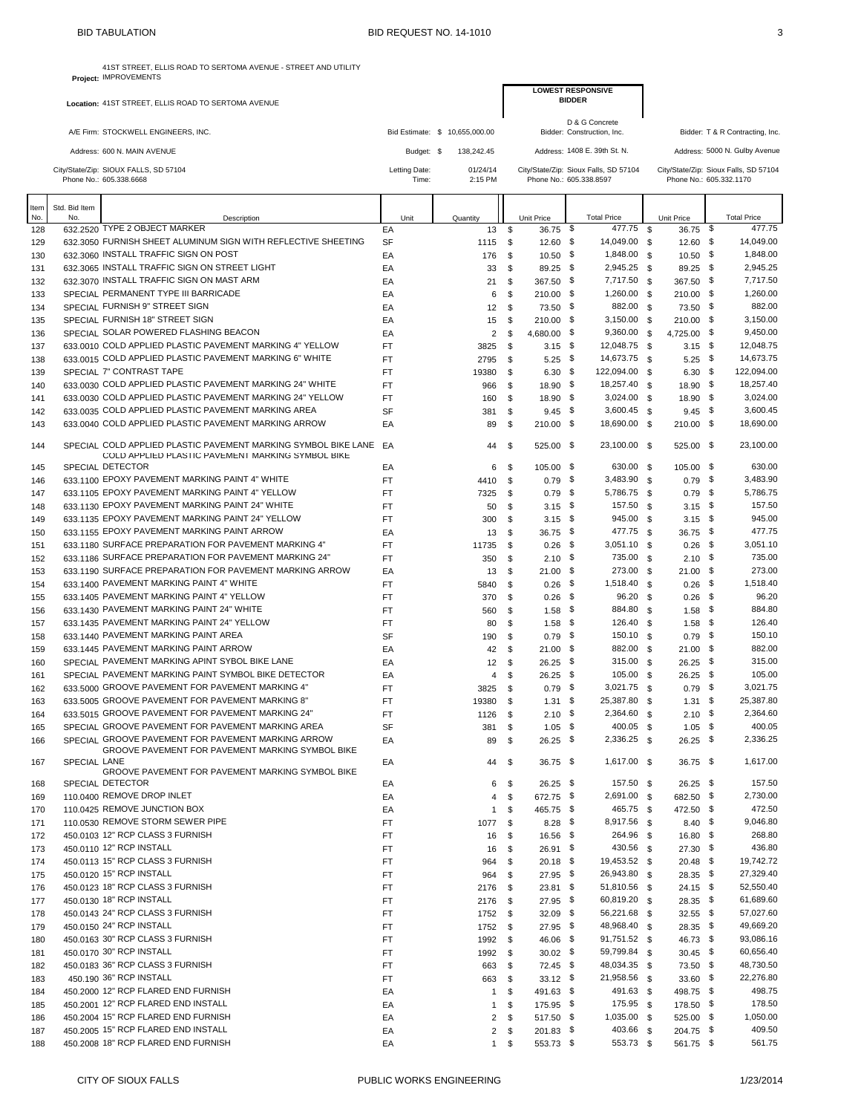41ST STREET, ELLIS ROAD TO SERTOMA AVENUE - STREET AND UTILITY

|            |                     | Project: IMPROVEMENTS                                                                                               |                        |               |                                |                |                                      |               |                                       |                      |                          |      |                                       |
|------------|---------------------|---------------------------------------------------------------------------------------------------------------------|------------------------|---------------|--------------------------------|----------------|--------------------------------------|---------------|---------------------------------------|----------------------|--------------------------|------|---------------------------------------|
|            |                     | Location: 41ST STREET, ELLIS ROAD TO SERTOMA AVENUE                                                                 |                        |               |                                |                |                                      | <b>BIDDER</b> | <b>LOWEST RESPONSIVE</b>              |                      |                          |      |                                       |
|            |                     |                                                                                                                     |                        |               |                                |                |                                      |               | D & G Concrete                        |                      |                          |      |                                       |
|            |                     | A/E Firm: STOCKWELL ENGINEERS, INC.                                                                                 |                        |               | Bid Estimate: \$ 10,655,000.00 |                |                                      |               | Bidder: Construction, Inc.            |                      |                          |      | Bidder: T & R Contracting, Inc.       |
|            |                     | Address: 600 N. MAIN AVENUE                                                                                         |                        | Budget: \$    | 138,242.45                     |                |                                      |               | Address: 1408 E. 39th St. N.          |                      |                          |      | Address: 5000 N. Gulby Avenue         |
|            |                     | City/State/Zip: SIOUX FALLS, SD 57104                                                                               |                        | Letting Date: | 01/24/14                       |                |                                      |               | City/State/Zip: Sioux Falls, SD 57104 |                      |                          |      | City/State/Zip: Sioux Falls, SD 57104 |
|            |                     | Phone No.: 605.338.6668                                                                                             |                        | Time:         | 2:15 PM                        |                |                                      |               | Phone No.: 605.338.8597               |                      | Phone No.: 605.332.1170  |      |                                       |
| Item       | Std. Bid Item       |                                                                                                                     |                        |               |                                |                |                                      |               |                                       |                      |                          |      |                                       |
| No.        | No.                 | Description<br>632.2520 TYPE 2 OBJECT MARKER                                                                        |                        | Unit          | Quantity                       |                | Unit Price                           |               | <b>Total Price</b><br>477.75          | - \$                 | Unit Price               |      | <b>Total Price</b><br>477.75          |
| 128<br>129 |                     | 632.3050 FURNISH SHEET ALUMINUM SIGN WITH REFLECTIVE SHEETING                                                       | EA<br>SF               |               |                                | 13<br>1115     | \$<br>$36.75$ \$<br>\$<br>$12.60$ \$ |               | 14,049.00                             | <b>S</b>             | 36.75 \$<br>12.60 \$     |      | 14,049.00                             |
| 130        |                     | 632.3060 INSTALL TRAFFIC SIGN ON POST                                                                               | EA                     |               |                                | 176            | \$<br>$10.50$ \$                     |               | 1,848.00                              | - \$                 | $10.50$ \$               |      | 1,848.00                              |
| 131        |                     | 632.3065 INSTALL TRAFFIC SIGN ON STREET LIGHT                                                                       | EA                     |               |                                | 33             | \$<br>89.25 \$                       |               | 2,945.25                              | \$                   | 89.25 \$                 |      | 2,945.25                              |
| 132        |                     | 632.3070 INSTALL TRAFFIC SIGN ON MAST ARM                                                                           | EA                     |               |                                | 21             | \$<br>367.50 \$                      |               | 7,717.50                              | <b>S</b>             | 367.50 \$                |      | 7.717.50                              |
| 133        |                     | SPECIAL PERMANENT TYPE III BARRICADE                                                                                | EA                     |               |                                | 6              | \$<br>$210.00$ \$                    |               | 1,260.00                              | - \$                 | 210.00 \$                |      | 1,260.00                              |
| 134        |                     | SPECIAL FURNISH 9" STREET SIGN                                                                                      | EA                     |               |                                | 12             | \$<br>73.50 \$                       |               | 882.00 \$                             |                      | 73.50 \$                 |      | 882.00                                |
| 135        |                     | SPECIAL FURNISH 18" STREET SIGN                                                                                     | EA                     |               |                                | 15             | \$<br>$210.00$ \$                    |               | 3,150.00                              | <b>S</b>             | 210.00 \$                |      | 3,150.00                              |
| 136        |                     | SPECIAL SOLAR POWERED FLASHING BEACON                                                                               | EA                     |               |                                | $\overline{2}$ | \$<br>4,680.00 \$                    |               | 9,360.00                              | \$                   | 4,725.00 \$              |      | 9,450.00                              |
| 137        |                     | 633.0010 COLD APPLIED PLASTIC PAVEMENT MARKING 4" YELLOW                                                            | <b>FT</b>              |               |                                | 3825           | \$<br>$3.15$ \$                      |               | 12,048.75                             | \$                   | $3.15$ \$                |      | 12,048.75<br>14,673.75                |
| 138<br>139 |                     | 633.0015 COLD APPLIED PLASTIC PAVEMENT MARKING 6" WHITE<br>SPECIAL 7" CONTRAST TAPE                                 | <b>FT</b><br><b>FT</b> |               | 19380                          | 2795           | \$<br>$5.25$ \$<br>$6.30$ \$<br>\$   |               | 14,673.75<br>122,094.00               | <b>S</b><br><b>S</b> | $5.25$ \$<br>$6.30\quad$ |      | 122,094.00                            |
| 140        |                     | 633.0030 COLD APPLIED PLASTIC PAVEMENT MARKING 24" WHITE                                                            | <b>FT</b>              |               |                                | 966            | 18.90 \$<br>\$                       |               | 18,257.40                             | - \$                 | 18.90 \$                 |      | 18,257.40                             |
| 141        |                     | 633.0030 COLD APPLIED PLASTIC PAVEMENT MARKING 24" YELLOW                                                           | FT                     |               |                                | 160            | \$<br>18.90 \$                       |               | 3,024.00                              | <b>S</b>             | 18.90 \$                 |      | 3,024.00                              |
| 142        |                     | 633,0035 COLD APPLIED PLASTIC PAVEMENT MARKING AREA                                                                 | SF                     |               |                                | 381            | $9.45$ \$<br>\$                      |               | 3,600.45                              | - \$                 | $9.45$ \$                |      | 3,600.45                              |
| 143        |                     | 633.0040 COLD APPLIED PLASTIC PAVEMENT MARKING ARROW                                                                | EA                     |               |                                | 89             | $210.00$ \$<br>\$                    |               | 18,690.00 \$                          |                      | 210.00 \$                |      | 18,690.00                             |
| 144        |                     | SPECIAL COLD APPLIED PLASTIC PAVEMENT MARKING SYMBOL BIKE LANE<br>COLD APPLIED PLASTIC PAVEMENT MARKING SYMBOL BIKE | EA                     |               |                                | 44             | 525.00 \$<br>\$                      |               | 23,100.00                             | - \$                 | 525.00 \$                |      | 23,100.00                             |
| 145        |                     | SPECIAL DETECTOR                                                                                                    | EA                     |               |                                | 6              | $105.00$ \$<br>-\$                   |               | 630.00 \$                             |                      | 105.00 \$                |      | 630.00                                |
| 146        |                     | 633.1100 EPOXY PAVEMENT MARKING PAINT 4" WHITE                                                                      | FT                     |               |                                | 4410           | \$<br>$0.79$ \$                      |               | 3,483.90                              | <b>S</b>             | $0.79$ \$                |      | 3,483.90                              |
| 147        |                     | 633.1105 EPOXY PAVEMENT MARKING PAINT 4" YELLOW                                                                     | FT                     |               |                                | 7325           | \$<br>$0.79$ \$                      |               | 5,786.75 \$                           |                      | $0.79$ \$                |      | 5,786.75                              |
| 148        |                     | 633.1130 EPOXY PAVEMENT MARKING PAINT 24" WHITE                                                                     | <b>FT</b>              |               |                                | 50             | \$<br>$3.15$ \$                      |               | 157.50                                | <b>S</b>             | $3.15$ \$                |      | 157.50                                |
| 149        |                     | 633.1135 EPOXY PAVEMENT MARKING PAINT 24" YELLOW                                                                    | <b>FT</b>              |               |                                | 300            | \$<br>$3.15$ \$                      |               | 945.00                                | \$                   | $3.15$ \$                |      | 945.00                                |
| 150        |                     | 633.1155 EPOXY PAVEMENT MARKING PAINT ARROW                                                                         | EA                     |               |                                | 13             | \$<br>$36.75$ \$                     |               | 477.75                                | \$                   | 36.75 \$                 |      | 477.75                                |
| 151        |                     | 633.1180 SURFACE PREPARATION FOR PAVEMENT MARKING 4"                                                                | <b>FT</b>              |               | 11735                          |                | $0.26$ \$<br>\$                      |               | 3,051.10                              | \$                   | $0.26$ \$                |      | 3,051.10                              |
| 152        |                     | 633.1186 SURFACE PREPARATION FOR PAVEMENT MARKING 24"                                                               | FT                     |               |                                | 350            | $2.10$ \$<br>\$                      |               | 735.00                                | - \$                 | $2.10$ \$                |      | 735.00                                |
| 153        |                     | 633.1190 SURFACE PREPARATION FOR PAVEMENT MARKING ARROW                                                             | EA                     |               |                                | 13             | \$<br>$21.00$ \$                     |               | 273.00                                | - \$                 | $21.00$ \$               |      | 273.00                                |
| 154        |                     | 633.1400 PAVEMENT MARKING PAINT 4" WHITE                                                                            | <b>FT</b>              |               |                                | 5840           | \$<br>0.26                           | -\$           | 1,518.40                              | \$                   | $0.26$ \$                |      | 1,518.40                              |
| 155        |                     | 633.1405 PAVEMENT MARKING PAINT 4" YELLOW                                                                           | <b>FT</b>              |               |                                | 370            | \$<br>0.26                           | \$            | 96.20                                 | \$                   | 0.26                     | \$   | 96.20                                 |
| 156        |                     | 633.1430 PAVEMENT MARKING PAINT 24" WHITE                                                                           | FT                     |               |                                | 560            | \$<br>1.58                           | - \$          | 884.80                                | \$                   | $1.58$ \$                |      | 884.80                                |
| 157        |                     | 633.1435 PAVEMENT MARKING PAINT 24" YELLOW                                                                          | <b>FT</b>              |               |                                | 80             | \$<br>1.58                           | -\$           | 126.40                                | - \$                 | $1.58$ \$                |      | 126.40                                |
| 158        |                     | 633.1440 PAVEMENT MARKING PAINT AREA<br>633.1445 PAVEMENT MARKING PAINT ARROW                                       | SF                     |               |                                | 190            | $0.79$ \$<br>\$                      |               | 150.10 \$                             |                      | $0.79$ \$                |      | 150.10<br>882.00                      |
| 159        |                     | SPECIAL PAVEMENT MARKING APINT SYBOL BIKE LANE                                                                      | EA                     |               |                                | 42             | \$<br>$21.00$ \$<br>$26.25$ \$<br>\$ |               | 882.00<br>315.00                      | \$<br>\$             | $21.00$ \$<br>26.25 \$   |      | 315.00                                |
| 160<br>161 |                     | SPECIAL PAVEMENT MARKING PAINT SYMBOL BIKE DETECTOR                                                                 | EA<br>EA               |               |                                | 12<br>4        | \$<br>$26.25$ \$                     |               | 105.00                                | \$                   | $26.25$ \$               |      | 105.00                                |
| 162        |                     | 633.5000 GROOVE PAVEMENT FOR PAVEMENT MARKING 4"                                                                    | <b>FT</b>              |               |                                | 3825           | $0.79$ \$<br>\$                      |               | 3,021.75                              | \$                   | 0.79                     | - \$ | 3,021.75                              |
| 163        |                     | 633.5005 GROOVE PAVEMENT FOR PAVEMENT MARKING 8"                                                                    | <b>FT</b>              |               | 19380                          |                | $1.31$ \$<br>\$                      |               | 25.387.80                             | - \$                 | 1.31                     | - \$ | 25,387.80                             |
| 164        |                     | 633.5015 GROOVE PAVEMENT FOR PAVEMENT MARKING 24"                                                                   | FT                     |               |                                | 1126           | $2.10$ \$<br>\$                      |               | 2,364.60                              | \$                   | $2.10$ \$                |      | 2,364.60                              |
| 165        |                     | SPECIAL GROOVE PAVEMENT FOR PAVEMENT MARKING AREA                                                                   | SF                     |               |                                | 381            | $1.05$ \$<br>\$                      |               | 400.05                                | <b>S</b>             | $1.05$ \$                |      | 400.05                                |
| 166        |                     | SPECIAL GROOVE PAVEMENT FOR PAVEMENT MARKING ARROW                                                                  | EA                     |               |                                | 89             | $26.25$ \$<br>\$                     |               | 2,336.25 \$                           |                      | $26.25$ \$               |      | 2,336.25                              |
| 167        | <b>SPECIAL LANE</b> | GROOVE PAVEMENT FOR PAVEMENT MARKING SYMBOL BIKE<br>GROOVE PAVEMENT FOR PAVEMENT MARKING SYMBOL BIKE                | EA                     |               |                                | 44             | $36.75$ \$<br>- \$                   |               | 1,617.00 \$                           |                      | $36.75$ \$               |      | 1,617.00                              |
| 168        |                     | <b>SPECIAL DETECTOR</b>                                                                                             | EA                     |               |                                | 6              | $26.25$ \$<br>\$                     |               | $157.50$ \$                           |                      | $26.25$ \$               |      | 157.50                                |
| 169        |                     | 110.0400 REMOVE DROP INLET                                                                                          | EA                     |               |                                | 4              | 672.75 \$<br>\$                      |               | 2,691.00 \$                           |                      | 682.50 \$                |      | 2,730.00                              |
| 170        |                     | 110.0425 REMOVE JUNCTION BOX                                                                                        | EA                     |               |                                | $\mathbf{1}$   | \$<br>465.75 \$                      |               | 465.75 \$                             |                      | 472.50 \$                |      | 472.50                                |
| 171        |                     | 110.0530 REMOVE STORM SEWER PIPE                                                                                    | FT                     |               |                                | 1077           | \$<br>$8.28$ \$                      |               | 8,917.56 \$                           |                      | $8.40\quad$              |      | 9,046.80                              |
| 172        |                     | 450.0103 12" RCP CLASS 3 FURNISH                                                                                    | FT                     |               |                                | 16             | 16.56 \$<br>\$                       |               | 264.96                                | \$                   | 16.80 \$                 |      | 268.80                                |
| 173        |                     | 450.0110 12" RCP INSTALL                                                                                            | FT                     |               |                                | 16             | 26.91 \$<br>\$                       |               | 430.56 \$                             |                      | 27.30 \$                 |      | 436.80                                |
| 174        |                     | 450.0113 15" RCP CLASS 3 FURNISH                                                                                    | FT                     |               |                                | 964            | \$<br>$20.18$ \$                     |               | 19,453.52 \$                          |                      | $20.48$ \$               |      | 19,742.72                             |
| 175        |                     | 450.0120 15" RCP INSTALL                                                                                            | FT                     |               |                                | 964            | \$<br>$27.95$ \$                     |               | 26,943.80 \$                          |                      | 28.35 \$                 |      | 27,329.40                             |
| 176        |                     | 450.0123 18" RCP CLASS 3 FURNISH                                                                                    | FT                     |               |                                | 2176           | $^{\circ}$<br>$23.81$ \$             |               | 51,810.56 \$                          |                      | $24.15$ \$               |      | 52,550.40                             |
| 177        |                     | 450.0130 18" RCP INSTALL                                                                                            | FT                     |               |                                | 2176           | $^{\circ}$<br>27.95 \$               |               | 60,819.20                             | <b>S</b>             | 28.35 \$                 |      | 61,689.60                             |
| 178        |                     | 450.0143 24" RCP CLASS 3 FURNISH                                                                                    | FT                     |               |                                | 1752 \$        | $32.09$ \$                           |               | 56,221.68 \$                          |                      | $32.55$ \$               |      | 57,027.60                             |
| 179        |                     | 450.0150 24" RCP INSTALL                                                                                            | FT                     |               |                                | 1752           | $^{\circ}$<br>$27.95$ \$             |               | 48,968.40                             | <b>S</b>             | 28.35 \$                 |      | 49,669.20                             |
| 180        |                     | 450.0163 30" RCP CLASS 3 FURNISH                                                                                    | FT                     |               |                                | 1992 \$        | 46.06 \$                             |               | 91,751.52 \$                          |                      | 46.73 \$                 |      | 93,086.16                             |
| 181        |                     | 450.0170 30" RCP INSTALL<br>450.0183 36" RCP CLASS 3 FURNISH                                                        | FT<br>FT               |               |                                | 1992<br>663    | $30.02$ \$<br>\$<br>72.45 \$         |               | 59,799.84 \$<br>48,034.35 \$          |                      | $30.45$ \$<br>73.50 \$   |      | 60,656.40<br>48,730.50                |
| 182<br>183 |                     | 450.190 36" RCP INSTALL                                                                                             | FT                     |               |                                | 663            | \$<br>\$<br>$33.12$ \$               |               | 21,958.56 \$                          |                      | $33.60$ \$               |      | 22,276.80                             |
| 184        |                     | 450,2000 12" RCP FLARED END FURNISH                                                                                 | EA                     |               |                                | $\mathbf{1}$   | \$<br>491.63 \$                      |               | 491.63 \$                             |                      | 498.75 \$                |      | 498.75                                |
| 185        |                     | 450.2001 12" RCP FLARED END INSTALL                                                                                 | EA                     |               |                                | $\mathbf{1}$   | \$<br>175.95 \$                      |               | 175.95 \$                             |                      | 178.50 \$                |      | 178.50                                |
| 186        |                     | 450,2004 15" RCP FLARED END FURNISH                                                                                 | EA                     |               |                                | $\overline{2}$ | \$<br>517.50 \$                      |               | 1,035.00 \$                           |                      | 525.00 \$                |      | 1,050.00                              |
| 187        |                     | 450.2005 15" RCP FLARED END INSTALL                                                                                 | EA                     |               |                                | $\overline{2}$ | 201.83 \$<br>\$                      |               | 403.66 \$                             |                      | 204.75 \$                |      | 409.50                                |
| 188        |                     | 450.2008 18" RCP FLARED END FURNISH                                                                                 | EA                     |               |                                | 1              | 553.73 \$<br>\$                      |               | 553.73 \$                             |                      | 561.75 \$                |      | 561.75                                |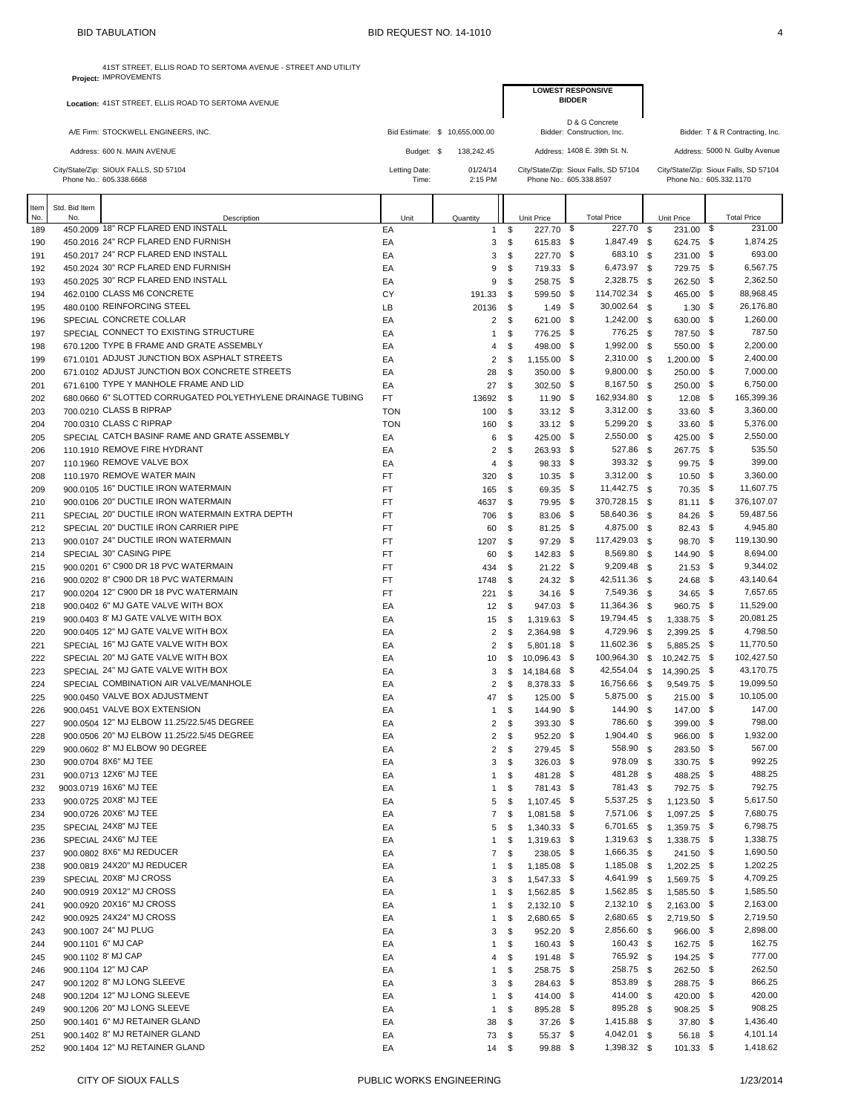|            |               | 41ST STREET, ELLIS ROAD TO SERTOMA AVENUE - STREET AND UTILITY<br>Project: IMPROVEMENTS |               |                                |                          |                             |                                              |                                            |                                       |
|------------|---------------|-----------------------------------------------------------------------------------------|---------------|--------------------------------|--------------------------|-----------------------------|----------------------------------------------|--------------------------------------------|---------------------------------------|
|            |               |                                                                                         |               |                                |                          |                             | <b>LOWEST RESPONSIVE</b><br><b>BIDDER</b>    |                                            |                                       |
|            |               | Location: 41ST STREET, ELLIS ROAD TO SERTOMA AVENUE                                     |               |                                |                          |                             |                                              |                                            |                                       |
|            |               | A/E Firm: STOCKWELL ENGINEERS, INC.                                                     |               | Bid Estimate: \$ 10,655,000.00 |                          |                             | D & G Concrete<br>Bidder: Construction, Inc. |                                            | Bidder: T & R Contracting, Inc.       |
|            |               | Address: 600 N. MAIN AVENUE                                                             | Budget: \$    | 138,242.45                     |                          |                             | Address: 1408 E. 39th St. N.                 |                                            | Address: 5000 N. Gulby Avenue         |
|            |               | City/State/Zip: SIOUX FALLS, SD 57104                                                   | Letting Date: | 01/24/14                       |                          |                             | City/State/Zip: Sioux Falls, SD 57104        |                                            | City/State/Zip: Sioux Falls, SD 57104 |
|            |               | Phone No.: 605.338.6668                                                                 | Time:         | 2:15 PM                        |                          |                             | Phone No.: 605.338.8597                      |                                            | Phone No.: 605.332.1170               |
| Item       | Std. Bid Item |                                                                                         |               |                                |                          |                             |                                              |                                            |                                       |
| No.<br>189 | No.           | Description<br>450.2009 18" RCP FLARED END INSTALL                                      | Unit<br>EA    | Quantity                       | $\mathsf{\$}$<br>1       | Unit Price<br>227.70        | <b>Total Price</b><br>\$<br>227.70           | <b>Unit Price</b><br><b>S</b><br>231.00 \$ | <b>Total Price</b><br>231.00          |
| 190        |               | 450.2016 24" RCP FLARED END FURNISH                                                     | EA            |                                | \$<br>3                  | 615.83 \$                   | 1,847.49 \$                                  | 624.75 \$                                  | 1,874.25                              |
| 191        |               | 450.2017 24" RCP FLARED END INSTALL                                                     | EA            |                                | \$<br>3                  | 227.70 \$                   | 683.10 \$                                    | 231.00 \$                                  | 693.00                                |
| 192        |               | 450.2024 30" RCP FLARED END FURNISH                                                     | EA            |                                | \$<br>9                  | 719.33 \$                   | 6,473.97 \$                                  | 729.75 \$                                  | 6,567.75                              |
| 193        |               | 450.2025 30" RCP FLARED END INSTALL                                                     | EA            |                                | 9<br>\$                  | 258.75 \$                   | 2,328.75 \$                                  | 262.50 \$                                  | 2,362.50                              |
| 194        |               | 462.0100 CLASS M6 CONCRETE                                                              | CY            | 191.33                         | \$                       | 599.50 \$                   | 114,702.34 \$                                | 465.00 \$                                  | 88,968.45                             |
| 195        |               | 480.0100 REINFORCING STEEL                                                              | LB            | 20136                          | \$                       | $1.49$ \$                   | 30,002.64 \$                                 | $1.30$ \$                                  | 26,176.80                             |
| 196        |               | SPECIAL CONCRETE COLLAR                                                                 | EA            |                                | \$<br>2                  | 621.00 \$                   | 1,242.00 \$                                  | 630.00 \$                                  | 1,260.00                              |
| 197        |               | SPECIAL CONNECT TO EXISTING STRUCTURE                                                   | EA            |                                | \$<br>$\mathbf{1}$       | 776.25 \$                   | 776.25 \$                                    | 787.50 \$                                  | 787.50                                |
| 198        |               | 670 1200 TYPE B FRAME AND GRATE ASSEMBLY                                                | EA            |                                | \$<br>4                  | 498.00                      | \$<br>1,992.00 \$                            | 550.00 \$                                  | 2,200.00                              |
| 199        |               | 671.0101 ADJUST JUNCTION BOX ASPHALT STREETS                                            | EA            |                                | 2<br>\$                  | 1,155.00 \$                 | 2,310.00 \$                                  | 1,200.00 \$                                | 2,400.00                              |
| 200        |               | 671.0102 ADJUST JUNCTION BOX CONCRETE STREETS<br>671.6100 TYPE Y MANHOLE FRAME AND LID  | EA            | 28                             | \$                       | 350.00 \$                   | 9,800.00 \$<br>8,167.50 \$                   | 250.00 \$<br>250.00 \$                     | 7,000.00<br>6,750.00                  |
| 201<br>202 |               | 680.0660 6" SLOTTED CORRUGATED POLYETHYLENE DRAINAGE TUBING                             | EA<br>FT.     | 27                             | \$<br>\$                 | 302.50 \$<br>$11.90$ \$     | 162,934.80 \$                                | $12.08$ \$                                 | 165,399.36                            |
| 203        |               | 700.0210 CLASS B RIPRAP                                                                 | <b>TON</b>    | 13692<br>100                   | \$                       | $33.12$ \$                  | 3,312.00 \$                                  | $33.60$ \$                                 | 3,360.00                              |
| 204        |               | 700.0310 CLASS C RIPRAP                                                                 | <b>TON</b>    | 160                            | \$                       | $33.12$ \$                  | 5,299.20 \$                                  | $33.60$ \$                                 | 5,376.00                              |
| 205        |               | SPECIAL CATCH BASINF RAME AND GRATE ASSEMBLY                                            | EA            |                                | \$<br>6                  | 425.00 \$                   | 2,550.00 \$                                  | 425.00 \$                                  | 2,550.00                              |
| 206        |               | 110.1910 REMOVE FIRE HYDRANT                                                            | EA            |                                | 2<br>\$                  | 263.93 \$                   | 527.86 \$                                    | 267.75 \$                                  | 535.50                                |
| 207        |               | 110.1960 REMOVE VALVE BOX                                                               | EA            |                                | \$<br>4                  | 98.33 \$                    | 393.32 \$                                    | 99.75 \$                                   | 399.00                                |
| 208        |               | 110.1970 REMOVE WATER MAIN                                                              | FT            | 320                            | \$                       | $10.35$ \$                  | 3,312.00 \$                                  | $10.50$ \$                                 | 3,360.00                              |
| 209        |               | 900.0105 16" DUCTILE IRON WATERMAIN                                                     | FT.           | 165                            | \$                       | 69.35                       | \$<br>11,442.75 \$                           | 70.35 \$                                   | 11,607.75                             |
| 210        |               | 900.0106 20" DUCTILE IRON WATERMAIN                                                     | FT            | 4637                           | \$                       | 79.95 \$                    | 370,728.15 \$                                | $81.11$ \$                                 | 376,107.07                            |
| 211        |               | SPECIAL 20" DUCTILE IRON WATERMAIN EXTRA DEPTH                                          | FT            | 706                            | \$                       | 83.06 \$                    | 58,640.36 \$                                 | 84.26 \$                                   | 59,487.56                             |
| 212        |               | SPECIAL 20" DUCTILE IRON CARRIER PIPE                                                   | FT            | 60                             | \$                       | $81.25$ \$                  | 4,875.00 \$                                  | 82.43 \$                                   | 4,945.80                              |
| 213        |               | 900.0107 24" DUCTILE IRON WATERMAIN                                                     | FT            | 1207                           | \$                       | 97.29                       | \$<br>117,429.03 \$                          | 98.70 \$                                   | 119,130.90                            |
| 214        |               | SPECIAL 30" CASING PIPE                                                                 | FT            | 60                             | \$                       | 142.83 \$                   | 8,569.80 \$                                  | 144.90 \$                                  | 8,694.00                              |
| 215        |               | 900.0201 6" C900 DR 18 PVC WATERMAIN                                                    | <b>FT</b>     | 434                            | \$                       | $21.22$ \$                  | 9,209.48 \$                                  | $21.53$ \$                                 | 9,344.02                              |
| 216        |               | 900.0202 8" C900 DR 18 PVC WATERMAIN                                                    | FT            | 1748                           | \$                       | $24.32$ \$                  | 42,511.36 \$                                 | $24.68$ \$                                 | 43,140.64                             |
| 217        |               | 900.0204 12" C900 DR 18 PVC WATERMAIN                                                   | FT            | 221                            | \$                       | $34.16$ \$                  | 7,549.36 \$                                  | $34.65$ \$                                 | 7,657.65                              |
| 218        |               | 900.0402 6" MJ GATE VALVE WITH BOX                                                      | EA            | 12                             | \$                       | 947.03 \$                   | 11,364.36 \$                                 | 960.75 \$                                  | 11,529.00                             |
| 219        |               | 900.0403 8' MJ GATE VALVE WITH BOX                                                      | EA            | 15                             | \$                       | 1,319.63 \$                 | 19,794.45 \$                                 | 1,338.75 \$                                | 20,081.25                             |
| 220        |               | 900.0405 12" MJ GATE VALVE WITH BOX                                                     | EA            |                                | 2<br>\$                  | 2,364.98 \$                 | 4,729.96 \$                                  | 2,399.25 \$                                | 4,798.50                              |
| 221        |               | SPECIAL 16" MJ GATE VALVE WITH BOX                                                      | EA            |                                | 2<br>\$                  | 5,801.18 \$                 | 11,602.36 \$                                 | 5,885.25 \$                                | 11,770.50                             |
| 222        |               | SPECIAL 20" MJ GATE VALVE WITH BOX<br>SPECIAL 24" MJ GATE VALVE WITH BOX                | EA            | 10                             | \$                       | 10,096.43 \$                | 100,964.30<br>42,554.04 \$                   | 10,242.75 \$<br><b>S</b>                   | 102,427.50<br>43,170.75               |
| 223<br>224 |               | SPECIAL COMBINATION AIR VALVE/MANHOLE                                                   | EA<br>EA      |                                | 3<br>\$<br>2<br>\$       | 14,184.68 \$<br>8,378.33 \$ | 16,756.66 \$                                 | 14,390.25 \$<br>9,549.75 \$                | 19.099.50                             |
|            |               | 900.0450 VALVE BOX ADJUSTMENT                                                           | EA            |                                | \$                       |                             | 5,875.00 \$                                  | 215.00 \$                                  | 10,105.00                             |
| 225<br>226 |               | 900.0451 VALVE BOX EXTENSION                                                            | EA            | 47                             | $\mathbf{1}$<br>\$       | 125.00 \$<br>144.90 \$      | 144.90 \$                                    | 147.00 \$                                  | 147.00                                |
| 227        |               | 900.0504 12" MJ ELBOW 11.25/22.5/45 DEGREE                                              | EA            |                                | 2<br>\$                  | 393.30 \$                   | 786.60 \$                                    | 399.00 \$                                  | 798.00                                |
| 228        |               | 900.0506 20" MJ ELBOW 11.25/22.5/45 DEGREE                                              | EA            |                                | 2<br>\$                  | 952.20 \$                   | 1,904.40 \$                                  | 966.00 \$                                  | 1,932.00                              |
| 229        |               | 900.0602 8" MJ ELBOW 90 DEGREE                                                          | EA            |                                | $\overline{a}$<br>\$     | 279.45 \$                   | 558.90 \$                                    | 283.50 \$                                  | 567.00                                |
| 230        |               | 900.0704 8X6" MJ TEE                                                                    | EA            |                                | 3<br>\$                  | 326.03 \$                   | 978.09 \$                                    | 330.75 \$                                  | 992.25                                |
| 231        |               | 900.0713 12X6" MJ TEE                                                                   | EA            |                                | \$<br>$\mathbf{1}$       | 481.28 \$                   | 481.28 \$                                    | 488.25 \$                                  | 488.25                                |
| 232        |               | 9003.0719 16X6" MJ TEE                                                                  | EA            |                                | \$<br>1                  | 781.43 \$                   | 781.43 \$                                    | 792.75 \$                                  | 792.75                                |
| 233        |               | 900.0725 20X8" MJ TEE                                                                   | EA            |                                | 5<br>\$                  | $1,107.45$ \$               | 5,537.25 \$                                  | $1,123.50$ \$                              | 5,617.50                              |
| 234        |               | 900.0726 20X6" MJ TEE                                                                   | EA            |                                | $\overline{7}$<br>\$     | 1,081.58 \$                 | 7,571.06 \$                                  | 1,097.25 \$                                | 7,680.75                              |
| 235        |               | SPECIAL 24X8" MJ TEE                                                                    | EA            |                                | \$<br>5                  | $1,340.33$ \$               | 6,701.65 \$                                  | 1,359.75 \$                                | 6,798.75                              |
| 236        |               | SPECIAL 24X6" MJ TEE                                                                    | EA            |                                | \$<br>$\mathbf{1}$       | $1,319.63$ \$               | 1,319.63 \$                                  | 1,338.75 \$                                | 1,338.75                              |
| 237        |               | 900.0802 8X6" MJ REDUCER                                                                | EA            |                                | 7<br>\$                  | 238.05 \$                   | 1,666.35 \$                                  | 241.50 \$                                  | 1,690.50                              |
| 238        |               | 900.0819 24X20" MJ REDUCER                                                              | EA            |                                | 1<br>\$                  | 1,185.08 \$                 | 1,185.08 \$                                  | 1,202.25 \$                                | 1,202.25                              |
| 239        |               | SPECIAL 20X8" MJ CROSS                                                                  | EA            |                                | \$<br>3                  | 1,547.33 \$                 | 4,641.99 \$                                  | 1,569.75 \$                                | 4,709.25                              |
| 240        |               | 900.0919 20X12" MJ CROSS                                                                | EA            |                                | \$<br>$\mathbf{1}$       | 1,562.85 \$                 | 1,562.85 \$                                  | 1,585.50 \$                                | 1,585.50                              |
| 241        |               | 900.0920 20X16" MJ CROSS                                                                | EA            |                                | \$<br>1                  | $2,132.10$ \$               | 2,132.10 \$                                  | $2,163.00$ \$                              | 2,163.00                              |
| 242        |               | 900.0925 24X24" MJ CROSS                                                                | EA            |                                | \$<br>1                  | 2,680.65 \$                 | 2,680.65 \$                                  | 2,719.50 \$                                | 2,719.50                              |
| 243        |               | 900.1007 24" MJ PLUG                                                                    | EA            |                                | \$<br>3                  | 952.20 \$                   | 2,856.60 \$                                  | 966.00 \$                                  | 2,898.00                              |
| 244        |               | 900.1101 6" MJ CAP                                                                      | EA            |                                | \$<br>$\mathbf{1}$       | 160.43 \$                   | 160.43 \$                                    | 162.75 \$                                  | 162.75                                |
| 245        |               | 900.1102 8' MJ CAP                                                                      | EA            |                                | \$<br>4                  | 191.48 \$                   | 765.92 \$                                    | 194.25 \$                                  | 777.00                                |
| 246        |               | 900.1104 12" MJ CAP                                                                     | EA            |                                | \$<br>1                  | 258.75 \$                   | 258.75 \$                                    | 262.50 \$                                  | 262.50                                |
| 247        |               | 900.1202 8" MJ LONG SLEEVE                                                              | EA            |                                | \$<br>3                  | 284.63 \$                   | 853.89 \$                                    | 288.75 \$                                  | 866.25                                |
| 248        |               | 900.1204 12" MJ LONG SLEEVE<br>900.1206 20" MJ LONG SLEEVE                              | EA            |                                | \$<br>1                  | 414.00 \$                   | 414.00 \$<br>895.28 \$                       | 420.00 \$                                  | 420.00<br>908.25                      |
| 249        |               | 900.1401 6" MJ RETAINER GLAND                                                           | EA<br>EA      |                                | \$<br>$\mathbf{1}$<br>\$ | 895.28 \$<br>$37.26$ \$     | 1,415.88 \$                                  | 908.25 \$<br>37.80 \$                      | 1,436.40                              |
| 250<br>251 |               | 900.1402 8" MJ RETAINER GLAND                                                           | EA            | 38                             | -\$                      | 55.37 \$                    | 4,042.01 \$                                  | 56.18 \$                                   | 4,101.14                              |
| 252        |               | 900.1404 12" MJ RETAINER GLAND                                                          | EA            | 73                             | $14 \quad$               | 99.88 \$                    | 1,398.32 \$                                  | $101.33$ \$                                | 1,418.62                              |
|            |               |                                                                                         |               |                                |                          |                             |                                              |                                            |                                       |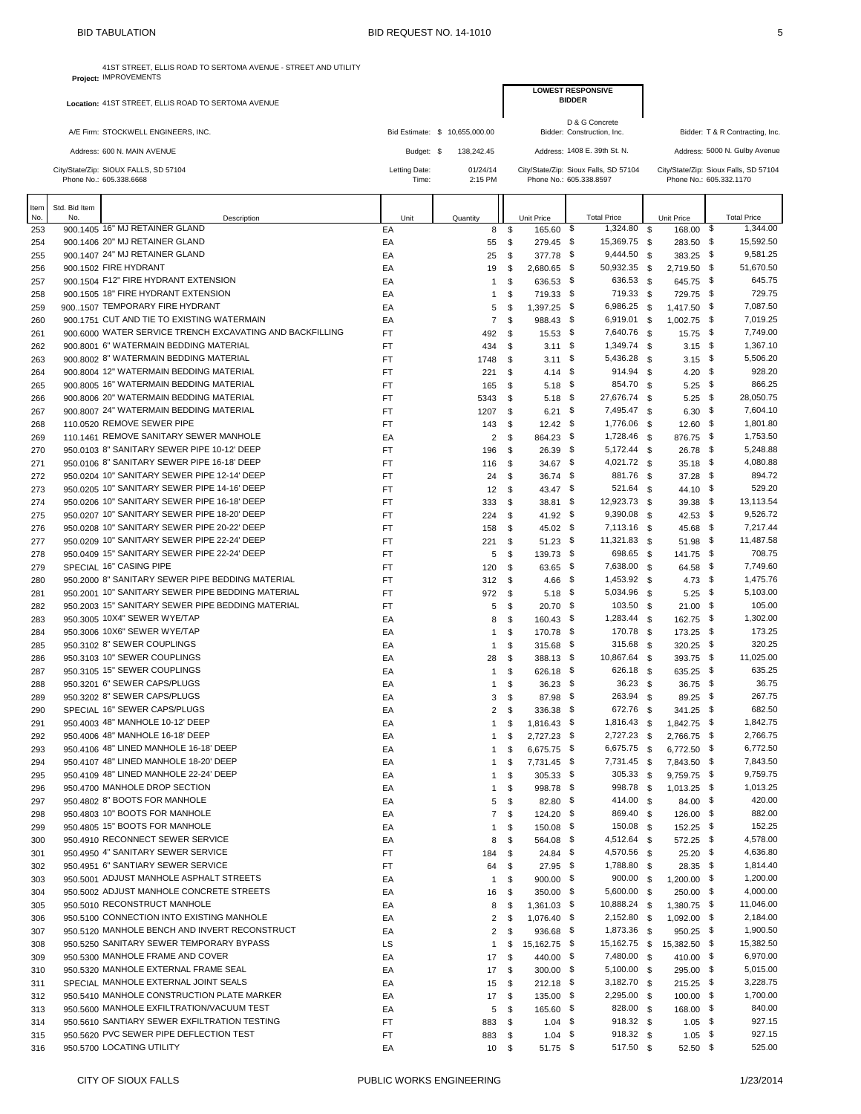**Project:** IMPROVEMENTS

41ST STREET, ELLIS ROAD TO SERTOMA AVENUE - STREET AND UTILITY

|             |                      | Location: 41ST STREET, ELLIS ROAD TO SERTOMA AVENUE                                        |                 |                                |                              |                                                | LUWESI KESPUNSIVE<br><b>BIDDER</b> |                              |              |                              |      |                                       |
|-------------|----------------------|--------------------------------------------------------------------------------------------|-----------------|--------------------------------|------------------------------|------------------------------------------------|------------------------------------|------------------------------|--------------|------------------------------|------|---------------------------------------|
|             |                      |                                                                                            |                 |                                |                              |                                                | D & G Concrete                     |                              |              |                              |      |                                       |
|             |                      | A/E Firm: STOCKWELL ENGINEERS, INC.                                                        |                 | Bid Estimate: \$ 10,655,000.00 |                              |                                                | Bidder: Construction, Inc.         |                              |              |                              |      | Bidder: T & R Contracting, Inc.       |
|             |                      | Address: 600 N. MAIN AVENUE                                                                | Budget: \$      | 138,242.45                     |                              |                                                | Address: 1408 E. 39th St. N.       |                              |              |                              |      | Address: 5000 N. Gulby Avenue         |
|             |                      | City/State/Zip: SIOUX FALLS, SD 57104                                                      | Letting Date:   | 01/24/14                       |                              | City/State/Zip: Sioux Falls, SD 57104          |                                    |                              |              |                              |      | City/State/Zip: Sioux Falls, SD 57104 |
|             |                      | Phone No.: 605.338.6668                                                                    | Time:           | 2:15 PM                        |                              | Phone No.: 605.338.8597                        |                                    |                              |              | Phone No.: 605.332.1170      |      |                                       |
|             |                      |                                                                                            |                 |                                |                              |                                                |                                    |                              |              |                              |      |                                       |
| ltem<br>No. | Std. Bid Item<br>No. | Description                                                                                | Unit            | Quantity                       |                              | Unit Price                                     |                                    | <b>Total Price</b>           |              | Unit Price                   |      | <b>Total Price</b>                    |
| 253         |                      | 900.1405 16" MJ RETAINER GLAND                                                             | EA              |                                | 8                            | 165.60 \$<br>\$                                |                                    | 1,324.80                     | \$           | 168.00 \$                    |      | 1,344.00                              |
| 254         |                      | 900.1406 20" MJ RETAINER GLAND                                                             | EA              | 55                             |                              | \$<br>279.45 \$                                |                                    | 15,369.75                    | - \$         | 283.50 \$<br>383.25 \$       |      | 15,592.50                             |
| 255<br>256  |                      | 900.1407 24" MJ RETAINER GLAND<br>900.1502 FIRE HYDRANT                                    | EA<br>EA        | 25<br>19                       |                              | \$<br>377.78 \$<br>2,680.65 \$<br>\$           |                                    | 9,444.50<br>50,932.35        | \$<br>\$     | 2,719.50 \$                  |      | 9,581.25<br>51,670.50                 |
| 257         |                      | 900.1504 F12" FIRE HYDRANT EXTENSION                                                       | EA              |                                | $\mathbf{1}$                 | \$<br>636.53 \$                                |                                    | 636.53                       | \$           | 645.75 \$                    |      | 645.75                                |
| 258         |                      | 900.1505 18" FIRE HYDRANT EXTENSION                                                        | EA              |                                | $\mathbf{1}$                 | 719.33 \$<br>\$                                |                                    | 719.33                       | - \$         | 729.75 \$                    |      | 729.75                                |
| 259         |                      | 9001507 TEMPORARY FIRE HYDRANT                                                             | EA              |                                | 5                            | 1,397.25 \$<br>\$                              |                                    | 6,986.25                     | - \$         | 1,417.50 \$                  |      | 7,087.50                              |
| 260         |                      | 900.1751 CUT AND TIE TO EXISTING WATERMAIN                                                 | EA              |                                | $\overline{7}$               | \$<br>988.43 \$                                |                                    | 6,919.01 \$                  |              | $1,002.75$ \$                |      | 7,019.25                              |
| 261         |                      | 900,6000 WATER SERVICE TRENCH EXCAVATING AND BACKFILLING                                   | FT              | 492                            |                              | \$<br>$15.53$ \$                               |                                    | 7,640.76                     | - \$         | 15.75                        | - \$ | 7,749.00                              |
| 262<br>263  |                      | 900.8001 6" WATERMAIN BEDDING MATERIAL<br>900.8002 8" WATERMAIN BEDDING MATERIAL           | <b>FT</b><br>FT | 434<br>1748                    |                              | $3.11 \quad$ \$<br>\$<br>$3.11 \quad$ \$<br>\$ |                                    | 1,349.74<br>5,436.28         | - \$<br>- \$ | $3.15$ \$<br>$3.15$ \$       |      | 1,367.10<br>5,506.20                  |
| 264         |                      | 900.8004 12" WATERMAIN BEDDING MATERIAL                                                    | FT              | 221                            |                              | 4.14 \$<br>\$                                  |                                    | 914.94 \$                    |              | 4.20 \$                      |      | 928.20                                |
| 265         |                      | 900,8005 16" WATERMAIN BEDDING MATERIAL                                                    | FT              | 165                            |                              | \$<br>$5.18$ \$                                |                                    | 854.70                       | - \$         | $5.25$ \$                    |      | 866.25                                |
| 266         |                      | 900.8006 20" WATERMAIN BEDDING MATERIAL                                                    | FT              | 5343                           |                              | $5.18$ \$<br>\$                                |                                    | 27,676.74                    | <b>S</b>     | $5.25$ \$                    |      | 28,050.75                             |
| 267         |                      | 900,8007 24" WATERMAIN BEDDING MATERIAL                                                    | <b>FT</b>       | 1207                           |                              | \$<br>$6.21$ \$                                |                                    | 7,495.47                     | <b>S</b>     | $6.30\quad$                  |      | 7,604.10                              |
| 268         |                      | 110.0520 REMOVE SEWER PIPE                                                                 | <b>FT</b>       | 143                            |                              | \$<br>$12.42$ \$                               |                                    | 1,776.06                     | - \$         | $12.60$ \$                   |      | 1,801.80                              |
| 269         |                      | 110.1461 REMOVE SANITARY SEWER MANHOLE                                                     | EA              |                                | $\overline{2}$               | \$<br>864.23 \$                                |                                    | 1,728.46                     | - \$         | 876.75 \$                    |      | 1,753.50                              |
| 270         |                      | 950.0103 8" SANITARY SEWER PIPE 10-12' DEEP<br>950.0106 8" SANITARY SEWER PIPE 16-18' DEEP | FT              | 196                            |                              | $26.39$ \$<br>\$                               |                                    | 5,172.44                     | \$           | 26.78 \$                     |      | 5,248.88<br>4,080.88                  |
| 271<br>272  |                      | 950.0204 10" SANITARY SEWER PIPE 12-14' DEEP                                               | FT<br>FT        | 116<br>24                      |                              | $34.67$ \$<br>\$<br>\$<br>36.74 \$             |                                    | 4,021.72 \$<br>881.76        | - \$         | 35.18 \$<br>37.28            | - \$ | 894.72                                |
| 273         |                      | 950.0205 10" SANITARY SEWER PIPE 14-16' DEEP                                               | FT              | 12                             |                              | 43.47 \$<br>\$                                 |                                    | 521.64                       | <b>S</b>     | 44.10 \$                     |      | 529.20                                |
| 274         |                      | 950.0206 10" SANITARY SEWER PIPE 16-18' DEEP                                               | <b>FT</b>       | 333                            |                              | \$<br>$38.81$ \$                               |                                    | 12,923.73                    | - \$         | $39.38$ \$                   |      | 13,113.54                             |
| 275         |                      | 950.0207 10" SANITARY SEWER PIPE 18-20' DEEP                                               | <b>FT</b>       | 224                            |                              | \$<br>$41.92$ \$                               |                                    | 9,390.08 \$                  |              | 42.53 \$                     |      | 9,526.72                              |
| 276         |                      | 950.0208 10" SANITARY SEWER PIPE 20-22' DEEP                                               | FT              | 158                            |                              | $45.02$ \$<br>\$                               |                                    | 7,113.16                     | - \$         | 45.68 \$                     |      | 7,217.44                              |
| 277         |                      | 950.0209 10" SANITARY SEWER PIPE 22-24' DEEP                                               | FT              | 221                            |                              | \$<br>$51.23$ \$                               |                                    | 11,321.83 \$                 |              | 51.98 \$                     |      | 11,487.58                             |
| 278         |                      | 950.0409 15" SANITARY SEWER PIPE 22-24' DEEP                                               | FT              |                                | 5                            | \$<br>139.73 \$                                |                                    | 698.65                       | - \$         | 141.75 \$                    |      | 708.75                                |
| 279<br>280  |                      | SPECIAL 16" CASING PIPE<br>950,2000 8" SANITARY SEWER PIPE BEDDING MATERIAL                | FT<br><b>FT</b> | 120<br>312                     | $^{\circ}$                   | \$<br>63.65 \$<br>4.66 \$                      |                                    | 7,638.00<br>1,453.92         | - \$<br>- \$ | 64.58 \$<br>$4.73$ \$        |      | 7,749.60<br>1,475.76                  |
| 281         |                      | 950.2001 10" SANITARY SEWER PIPE BEDDING MATERIAL                                          | <b>FT</b>       | 972                            |                              | $5.18$ \$<br>\$                                |                                    | 5,034.96                     | - \$         | $5.25$ \$                    |      | 5,103.00                              |
| 282         |                      | 950.2003 15" SANITARY SEWER PIPE BEDDING MATERIAL                                          | FT              |                                | 5                            | $20.70$ \$<br>\$                               |                                    | 103.50                       | - \$         | $21.00$ \$                   |      | 105.00                                |
| 283         |                      | 950.3005 10X4" SEWER WYE/TAP                                                               | EA              |                                | 8                            | \$<br>160.43 \$                                |                                    | 1,283.44                     | \$           | 162.75 \$                    |      | 1,302.00                              |
| 284         |                      | 950.3006 10X6" SEWER WYE/TAP                                                               | EA              |                                | $\mathbf{1}$                 | 170.78 \$<br>\$                                |                                    | 170.78 \$                    |              | 173.25 \$                    |      | 173.25                                |
| 285         |                      | 950.3102 8" SEWER COUPLINGS                                                                | EA              |                                | $\mathbf{1}$                 | \$<br>315.68                                   | - \$                               | 315.68                       | - \$         | 320.25 \$                    |      | 320.25                                |
| 286         |                      | 950.3103 10" SEWER COUPLINGS                                                               | EA              |                                | 28                           | \$<br>388.13 \$                                |                                    | 10,867.64                    | - \$         | 393.75 \$                    |      | 11,025.00                             |
| 287<br>288  |                      | 950.3105 15" SEWER COUPLINGS<br>950.3201 6" SEWER CAPS/PLUGS                               | EA<br>EA        |                                | $\mathbf{1}$<br>$\mathbf{1}$ | \$<br>626.18 \$<br>$36.23$ \$<br>\$            |                                    | 626.18<br>$36.23$ \$         | - \$         | 635.25 \$<br>36.75 \$        |      | 635.25<br>36.75                       |
| 289         |                      | 950.3202 8" SEWER CAPS/PLUGS                                                               | EA              |                                | 3                            | \$<br>87.98 \$                                 |                                    | 263.94                       | - \$         | $89.25$ \$                   |      | 267.75                                |
| 290         |                      | SPECIAL 16" SEWER CAPS/PLUGS                                                               | EA              |                                | $\overline{2}$               | \$<br>336.38 \$                                |                                    | 672.76 \$                    |              | 341.25 \$                    |      | 682.50                                |
| 291         |                      | 950.4003 48" MANHOLE 10-12' DEEP                                                           | EA              |                                | -1                           | \$<br>1,816.43 \$                              |                                    | 1,816.43 \$                  |              | 1,842.75 \$                  |      | 1,842.75                              |
| 292         |                      | 950.4006 48" MANHOLE 16-18' DEEP                                                           | EA              |                                | $\mathbf{1}$                 | 2,727.23 \$<br>\$                              |                                    | 2,727.23 \$                  |              | 2,766.75 \$                  |      | 2,766.75                              |
| 293         |                      | 950.4106 48" LINED MANHOLE 16-18' DEEP                                                     | EA              |                                | $\mathbf{1}$                 | 6,675.75 \$<br>\$                              |                                    | 6,675.75 \$                  |              | 6,772.50 \$                  |      | 6,772.50                              |
| 294         |                      | 950.4107 48" LINED MANHOLE 18-20' DEEP                                                     | EA              |                                | $\mathbf{1}$                 | 7,731.45 \$<br>\$                              |                                    | 7,731.45 \$                  |              | 7,843.50 \$                  |      | 7,843.50                              |
| 295<br>296  |                      | 950.4109 48" LINED MANHOLE 22-24' DEEP<br>950,4700 MANHOLE DROP SECTION                    | EA<br>EA        |                                | $\mathbf{1}$<br>$\mathbf{1}$ | $305.33$ \$<br>\$<br>\$<br>998.78 \$           |                                    | 305.33 \$<br>998.78 \$       |              | 9,759.75 \$<br>$1,013.25$ \$ |      | 9,759.75<br>1,013.25                  |
| 297         |                      | 950.4802 8" BOOTS FOR MANHOLE                                                              | EA              |                                | $5 \quad$                    | 82.80 \$                                       |                                    | 414.00 \$                    |              | 84.00 \$                     |      | 420.00                                |
| 298         |                      | 950.4803 10" BOOTS FOR MANHOLE                                                             | EA              |                                | 7S                           | 124.20 \$                                      |                                    | 869.40 \$                    |              | 126.00 \$                    |      | 882.00                                |
| 299         |                      | 950.4805 15" BOOTS FOR MANHOLE                                                             | EA              |                                | $\mathbf{1}$                 | \$<br>150.08 \$                                |                                    | 150.08 \$                    |              | 152.25 \$                    |      | 152.25                                |
| 300         |                      | 950.4910 RECONNECT SEWER SERVICE                                                           | EA              |                                | 8<br>$\mathfrak s$           | 564.08 \$                                      |                                    | 4,512.64 \$                  |              | 572.25 \$                    |      | 4,578.00                              |
| 301         |                      | 950.4950 4" SANITARY SEWER SERVICE                                                         | FT              | 184                            | - \$                         | 24.84 \$                                       |                                    | 4,570.56 \$                  |              | $25.20$ \$                   |      | 4,636.80                              |
| 302         |                      | 950.4951 6" SANTIARY SEWER SERVICE<br>950,5001 ADJUST MANHOLE ASPHALT STREETS              | FT              | 64                             | - \$                         | $27.95$ \$                                     |                                    | 1,788.80 \$                  |              | 28.35 \$                     |      | 1,814.40                              |
| 303<br>304  |                      | 950.5002 ADJUST MANHOLE CONCRETE STREETS                                                   | EA<br>EA        | 16                             | $\mathbf{1}$<br>\$           | 900.00 \$<br>\$<br>350.00 \$                   |                                    | 900.00 \$<br>5,600.00 \$     |              | 1,200.00 \$<br>250.00 \$     |      | 1,200.00<br>4,000.00                  |
| 305         |                      | 950.5010 RECONSTRUCT MANHOLE                                                               | EA              |                                | 8                            | \$<br>$1,361.03$ \$                            |                                    | 10,888.24 \$                 |              | 1,380.75 \$                  |      | 11,046.00                             |
| 306         |                      | 950.5100 CONNECTION INTO EXISTING MANHOLE                                                  | EA              |                                | $\overline{2}$               | 1,076.40 \$<br>\$                              |                                    | 2,152.80 \$                  |              | 1,092.00 \$                  |      | 2,184.00                              |
| 307         |                      | 950.5120 MANHOLE BENCH AND INVERT RECONSTRUCT                                              | EA              |                                | $\overline{2}$               | 936.68 \$<br>\$                                |                                    | 1,873.36 \$                  |              | 950.25 \$                    |      | 1,900.50                              |
| 308         |                      | 950.5250 SANITARY SEWER TEMPORARY BYPASS                                                   | LS              |                                | 1                            | 15,162.75 \$<br>\$                             |                                    | 15,162.75 \$                 |              | 15,382.50 \$                 |      | 15,382.50                             |
| 309         |                      | 950.5300 MANHOLE FRAME AND COVER                                                           | EA              |                                | 17S                          | 440.00 \$                                      |                                    | 7,480.00 \$                  |              | 410.00 \$                    |      | 6,970.00                              |
| 310         |                      | 950.5320 MANHOLE EXTERNAL FRAME SEAL<br>SPECIAL MANHOLE EXTERNAL JOINT SEALS               | EA              |                                | 17S                          | $300.00$ \$                                    |                                    | 5,100.00 \$                  |              | 295.00 \$                    |      | 5,015.00<br>3,228.75                  |
| 311<br>312  |                      | 950,5410 MANHOLE CONSTRUCTION PLATE MARKER                                                 | EA<br>EA        |                                | $15 \quad$ \$<br>17S         | $212.18$ \$<br>135.00 \$                       |                                    | $3,182.70$ \$<br>2,295.00 \$ |              | $215.25$ \$<br>100.00 \$     |      | 1,700.00                              |
| 313         |                      | 950.5600 MANHOLE EXFILTRATION/VACUUM TEST                                                  | EA              |                                | 5<br>$\mathsf{\$}$           | 165.60 \$                                      |                                    | 828.00 \$                    |              | 168.00 \$                    |      | 840.00                                |
| 314         |                      | 950.5610 SANTIARY SEWER EXFILTRATION TESTING                                               | FT              | 883                            | $\mathfrak s$                | $1.04$ \$                                      |                                    | 918.32 \$                    |              | $1.05$ \$                    |      | 927.15                                |
| 315         |                      | 950,5620 PVC SEWER PIPE DEFLECTION TEST                                                    | FT              |                                | 883 \$                       | $1.04$ \$                                      |                                    | 918.32 \$                    |              | $1.05$ \$                    |      | 927.15                                |

315 950.5620 PVC SEWER PIPE DEFLECTION TEST FT FT FOR A SUBSEX 1.04 \$ 918.32 \$ 1.05 \$ 927.15<br>316 950.5700 LOCATING UTILITY THE REAL TRANSPORTED TO S 51.75 \$ 51.75 \$ 52.50 \$ 525.00

316 950.5700 LOCATING UTILITY **EA** 10 \$ 51.75 \$ 517.50 \$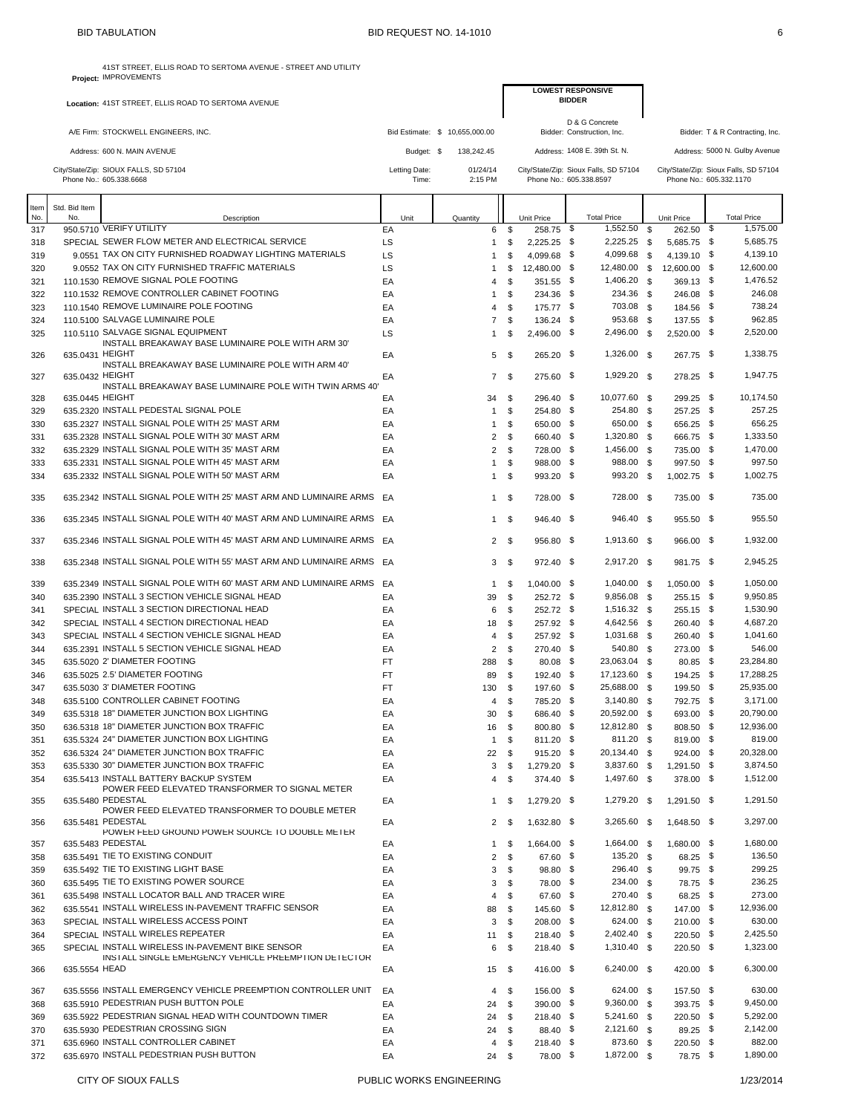|            |                 | 41ST STREET, ELLIS ROAD TO SERTOMA AVENUE - STREET AND UTILITY<br>Project: IMPROVEMENTS       |           |                        |                                |                        |                            |               |                                              |               |                                           |                                       |
|------------|-----------------|-----------------------------------------------------------------------------------------------|-----------|------------------------|--------------------------------|------------------------|----------------------------|---------------|----------------------------------------------|---------------|-------------------------------------------|---------------------------------------|
|            |                 |                                                                                               |           |                        |                                |                        |                            | <b>BIDDER</b> | <b>LOWEST RESPONSIVE</b>                     |               |                                           |                                       |
|            |                 | Location: 41ST STREET, ELLIS ROAD TO SERTOMA AVENUE                                           |           |                        |                                |                        |                            |               |                                              |               |                                           |                                       |
|            |                 | A/E Firm: STOCKWELL ENGINEERS, INC.                                                           |           |                        | Bid Estimate: \$ 10,655,000.00 |                        |                            |               | D & G Concrete<br>Bidder: Construction, Inc. |               |                                           | Bidder: T & R Contracting, Inc.       |
|            |                 |                                                                                               |           |                        |                                |                        |                            |               |                                              |               |                                           |                                       |
|            |                 | Address: 600 N. MAIN AVENUE                                                                   |           | Budget: \$             | 138,242.45                     |                        |                            |               | Address: 1408 E. 39th St. N.                 |               |                                           | Address: 5000 N. Gulby Avenue         |
|            |                 | City/State/Zip: SIOUX FALLS, SD 57104<br>Phone No.: 605.338.6668                              |           | Letting Date:<br>Time: | 01/24/14<br>2:15 PM            |                        | Phone No.: 605.338.8597    |               | City/State/Zip: Sioux Falls, SD 57104        |               | Phone No.: 605.332.1170                   | City/State/Zip: Sioux Falls, SD 57104 |
|            |                 |                                                                                               |           |                        |                                |                        |                            |               |                                              |               |                                           |                                       |
| Item       | Std. Bid Item   |                                                                                               |           |                        |                                |                        |                            |               |                                              |               |                                           |                                       |
| No.<br>317 | No.             | Description<br>950.5710 VERIFY UTILITY                                                        | EA        | Unit                   | Quantity<br>6                  | \$                     | Unit Price<br>258.75 \$    |               | <b>Total Price</b><br>1,552.50               | <sup>\$</sup> | Unit Price<br>$262.50\quad \overline{\$}$ | <b>Total Price</b><br>1,575.00        |
| 318        |                 | SPECIAL SEWER FLOW METER AND ELECTRICAL SERVICE                                               | LS        |                        | $\mathbf{1}$                   | \$                     | 2,225.25 \$                |               | 2,225.25                                     | \$            | 5,685.75 \$                               | 5.685.75                              |
| 319        |                 | 9.0551 TAX ON CITY FURNISHED ROADWAY LIGHTING MATERIALS                                       | LS        |                        | $\mathbf{1}$                   | \$                     | 4.099.68 \$                |               | 4,099.68                                     | - \$          | 4,139.10 \$                               | 4,139.10                              |
| 320        |                 | 9.0552 TAX ON CITY FURNISHED TRAFFIC MATERIALS                                                | LS        |                        | 1                              | \$                     | 12,480.00                  | - \$          | 12,480.00                                    | \$            | 12,600.00 \$                              | 12,600.00                             |
| 321        |                 | 110.1530 REMOVE SIGNAL POLE FOOTING                                                           | EA        |                        | $\overline{4}$                 | \$                     | 351.55 \$                  |               | 1,406.20                                     | - \$          | 369.13 \$                                 | 1,476.52                              |
| 322        |                 | 110.1532 REMOVE CONTROLLER CABINET FOOTING<br>110.1540 REMOVE LUMINAIRE POLE FOOTING          | EA        |                        | $\mathbf{1}$                   | \$                     | 234.36 \$                  |               | 234.36<br>703.08 \$                          | <b>S</b>      | 246.08 \$                                 | 246.08<br>738.24                      |
| 323<br>324 |                 | 110.5100 SALVAGE LUMINAIRE POLE                                                               | EA<br>EA  |                        | 4<br>7                         | \$<br>\$               | 175.77 \$<br>136.24 \$     |               | 953.68                                       | \$            | 184.56 \$<br>137.55 \$                    | 962.85                                |
| 325        |                 | 110,5110 SALVAGE SIGNAL EQUIPMENT                                                             | LS        |                        | $\mathbf{1}$                   | \$                     | 2,496.00 \$                |               | 2,496.00 \$                                  |               | 2,520.00 \$                               | 2,520.00                              |
|            |                 | INSTALL BREAKAWAY BASE LUMINAIRE POLE WITH ARM 30'                                            |           |                        |                                |                        |                            |               |                                              |               |                                           |                                       |
| 326        | 635.0431 HEIGHT | INSTALL BREAKAWAY BASE LUMINAIRE POLE WITH ARM 40'                                            | EA        |                        | 5                              | -\$                    | 265.20 \$                  |               | 1,326.00 \$                                  |               | 267.75 \$                                 | 1,338.75                              |
| 327        | 635.0432 HEIGHT |                                                                                               | EA        |                        | $7^{\circ}$                    | -\$                    | 275.60 \$                  |               | 1,929.20 \$                                  |               | 278.25 \$                                 | 1,947.75                              |
|            | 635.0445 HEIGHT | INSTALL BREAKAWAY BASE LUMINAIRE POLE WITH TWIN ARMS 40'                                      |           |                        |                                | \$                     | 296.40 \$                  |               | 10,077.60 \$                                 |               | 299.25 \$                                 | 10,174.50                             |
| 328<br>329 |                 | 635.2320 INSTALL PEDESTAL SIGNAL POLE                                                         | EA<br>EA  |                        | 34<br>$\mathbf{1}$             | \$                     | 254.80 \$                  |               | 254.80 \$                                    |               | 257.25 \$                                 | 257.25                                |
| 330        |                 | 635.2327 INSTALL SIGNAL POLE WITH 25' MAST ARM                                                | EA        |                        | $\mathbf{1}$                   | \$                     | 650.00 \$                  |               | 650.00 \$                                    |               | 656.25 \$                                 | 656.25                                |
| 331        |                 | 635.2328 INSTALL SIGNAL POLE WITH 30' MAST ARM                                                | EA        |                        | 2                              | \$                     | 660.40 \$                  |               | 1,320.80                                     | - \$          | 666.75 \$                                 | 1,333.50                              |
| 332        |                 | 635.2329 INSTALL SIGNAL POLE WITH 35' MAST ARM                                                | EA        |                        | $\overline{2}$                 | \$                     | 728.00 \$                  |               | 1,456.00 \$                                  |               | 735.00 \$                                 | 1,470.00                              |
| 333        |                 | 635.2331 INSTALL SIGNAL POLE WITH 45' MAST ARM                                                | EA        |                        | $\mathbf{1}$                   | \$                     | 988.00 \$                  |               | 988.00                                       | - \$          | 997.50 \$                                 | 997.50                                |
| 334        |                 | 635.2332 INSTALL SIGNAL POLE WITH 50' MAST ARM                                                | EA        |                        | $\mathbf{1}$                   | \$                     | 993.20 \$                  |               | 993.20                                       | - \$          | 1,002.75 \$                               | 1,002.75                              |
| 335        |                 | 635.2342 INSTALL SIGNAL POLE WITH 25' MAST ARM AND LUMINAIRE ARMS                             | EA        |                        | $\mathbf{1}$                   | \$                     | 728.00 \$                  |               | 728.00 \$                                    |               | 735.00 \$                                 | 735.00                                |
| 336        |                 | 635.2345 INSTALL SIGNAL POLE WITH 40' MAST ARM AND LUMINAIRE ARMS                             | EA        |                        | 1                              | \$                     | 946.40 \$                  |               | 946.40 \$                                    |               | 955.50 \$                                 | 955.50                                |
| 337        |                 | 635.2346 INSTALL SIGNAL POLE WITH 45' MAST ARM AND LUMINAIRE ARMS                             | EA        |                        |                                | 2 <sup>5</sup>         | 956.80 \$                  |               | 1,913.60 \$                                  |               | 966.00 \$                                 | 1,932.00                              |
| 338        |                 | 635.2348 INSTALL SIGNAL POLE WITH 55' MAST ARM AND LUMINAIRE ARMS                             | EA        |                        | 3                              | \$                     | 972.40 \$                  |               | 2,917.20 \$                                  |               | 981.75 \$                                 | 2,945.25                              |
| 339        |                 | 635.2349 INSTALL SIGNAL POLE WITH 60' MAST ARM AND LUMINAIRE ARMS                             | EA        |                        | 1                              | -\$                    | $1,040.00$ \$              |               | 1,040.00 \$                                  |               | 1,050.00 \$                               | 1,050.00                              |
| 340        |                 | 635.2390 INSTALL 3 SECTION VEHICLE SIGNAL HEAD<br>SPECIAL INSTALL 3 SECTION DIRECTIONAL HEAD  | EA        |                        | 39                             | \$                     | 252.72 \$                  |               | 9,856.08<br>1,516.32 \$                      | - \$          | 255.15 \$                                 | 9,950.85<br>1,530.90                  |
| 341<br>342 |                 | SPECIAL INSTALL 4 SECTION DIRECTIONAL HEAD                                                    | EA<br>EA  |                        | 6<br>18                        | \$<br>\$               | 252.72 \$<br>257.92 \$     |               | 4,642.56                                     | <b>S</b>      | 255.15 \$<br>260.40 \$                    | 4,687.20                              |
| 343        |                 | SPECIAL INSTALL 4 SECTION VEHICLE SIGNAL HEAD                                                 | EA        |                        | 4                              | \$                     | 257.92 \$                  |               | 1,031.68 \$                                  |               | 260.40 \$                                 | 1,041.60                              |
| 344        |                 | 635.2391 INSTALL 5 SECTION VEHICLE SIGNAL HEAD                                                | EA        |                        | $\overline{2}$                 | \$                     | 270.40 \$                  |               | 540.80 \$                                    |               | 273.00 \$                                 | 546.00                                |
| 345        |                 | 635,5020 2' DIAMETER FOOTING                                                                  | FT        |                        | 288                            | \$                     | $80.08$ \$                 |               | 23,063.04 \$                                 |               | 80.85 \$                                  | 23,284.80                             |
| 346        |                 | 635.5025 2.5' DIAMETER FOOTING                                                                | FT        |                        | 89                             | \$                     | 192.40 \$                  |               | 17,123.60                                    | - \$          | 194.25 \$                                 | 17,288.25                             |
| 347        |                 | 635,5030 3' DIAMETER FOOTING                                                                  | <b>FT</b> |                        | 130                            | \$                     | 197.60 \$                  |               | 25,688.00 \$                                 |               | 199.50 \$                                 | 25,935.00                             |
| 348<br>349 |                 | 635.5100 CONTROLLER CABINET FOOTING<br>635,5318 18" DIAMETER JUNCTION BOX LIGHTING            | EA<br>EA  |                        | 4                              | \$<br>\$               | 785.20 \$<br>686.40 \$     |               | $3,140.80$ \$<br>20,592.00 \$                |               | 792.75 \$<br>693.00 \$                    | 3,171.00<br>20,790.00                 |
| 350        |                 | 636.5318 18" DIAMETER JUNCTION BOX TRAFFIC                                                    | EA        |                        | 30<br>16                       | -\$                    | 800.80 \$                  |               | 12,812.80 \$                                 |               | 808.50 \$                                 | 12,936.00                             |
| 351        |                 | 635.5324 24" DIAMETER JUNCTION BOX LIGHTING                                                   | EA        |                        | $\mathbf{1}$                   | \$                     | 811.20 \$                  |               | 811.20 \$                                    |               | 819.00 \$                                 | 819.00                                |
| 352        |                 | 636.5324 24" DIAMETER JUNCTION BOX TRAFFIC                                                    | EA        |                        | 22                             | \$                     | 915.20 \$                  |               | 20,134.40 \$                                 |               | $924.00$ \$                               | 20,328.00                             |
| 353        |                 | 635,5330 30" DIAMETER JUNCTION BOX TRAFFIC                                                    | EA        |                        | 3                              | \$                     | 1.279.20 \$                |               | 3,837.60                                     | \$            | 1,291.50 \$                               | 3,874.50                              |
| 354        |                 | 635.5413 INSTALL BATTERY BACKUP SYSTEM<br>POWER FEED ELEVATED TRANSFORMER TO SIGNAL METER     | EA        |                        | 4                              | \$                     | 374.40 \$                  |               | 1,497.60 \$                                  |               | 378.00 \$                                 | 1,512.00                              |
| 355<br>356 |                 | 635.5480 PEDESTAL<br>POWER FEED ELEVATED TRANSFORMER TO DOUBLE METER<br>635.5481 PEDESTAL     | EA<br>EA  |                        | 1                              | - \$<br>2 <sup>5</sup> | 1,279.20 \$<br>1,632.80 \$ |               | 1,279.20 \$<br>$3,265.60$ \$                 |               | 1,291.50 \$<br>1.648.50 \$                | 1,291.50<br>3,297.00                  |
| 357        |                 | POWER FEED GROUND POWER SOURCE TO DOUBLE METER<br>635.5483 PEDESTAL                           | EA        |                        | $\mathbf{1}$                   | \$                     | 1,664.00 \$                |               | 1,664.00 \$                                  |               | 1,680.00 \$                               | 1,680.00                              |
| 358        |                 | 635.5491 TIE TO EXISTING CONDUIT                                                              | EA        |                        | 2                              | \$                     | 67.60 \$                   |               | 135.20 \$                                    |               | 68.25 \$                                  | 136.50                                |
| 359        |                 | 635,5492 TIE TO EXISTING LIGHT BASE                                                           | EA        |                        | 3                              | \$                     | 98.80 \$                   |               | 296.40 \$                                    |               | 99.75 \$                                  | 299.25                                |
| 360        |                 | 635.5495 TIE TO EXISTING POWER SOURCE                                                         | EA        |                        | 3                              | \$                     | 78.00 \$                   |               | 234.00 \$                                    |               | 78.75 \$                                  | 236.25                                |
| 361        |                 | 635.5498 INSTALL LOCATOR BALL AND TRACER WIRE                                                 | EA        |                        | 4                              | \$                     | 67.60 \$                   |               | 270.40 \$                                    |               | 68.25 \$                                  | 273.00                                |
| 362        |                 | 635.5541 INSTALL WIRELESS IN-PAVEMENT TRAFFIC SENSOR<br>SPECIAL INSTALL WIRELESS ACCESS POINT | EA        |                        | 88<br>3                        | - \$<br>\$             | 145.60 \$<br>208.00 \$     |               | 12,812.80 \$<br>624.00 \$                    |               | 147.00 \$<br>$210.00$ \$                  | 12,936.00<br>630.00                   |
| 363<br>364 |                 | SPECIAL INSTALL WIRELES REPEATER                                                              | EA<br>EA  |                        | 11                             | -\$                    | $218.40$ \$                |               | 2,402.40                                     | \$            | 220.50 \$                                 | 2,425.50                              |
| 365        |                 | SPECIAL INSTALL WIRELESS IN-PAVEMENT BIKE SENSOR                                              | EA        |                        | 6                              | \$                     | 218.40 \$                  |               | 1,310.40 \$                                  |               | 220.50 \$                                 | 1,323.00                              |
| 366        | 635.5554 HEAD   | INSTALL SINGLE EMERGENCY VEHICLE PREEMPTION DETECTOR                                          | EA        |                        | 15                             | - \$                   | 416.00 \$                  |               | 6,240.00 \$                                  |               | 420.00 \$                                 | 6,300.00                              |
| 367        |                 | 635,5556 INSTALL EMERGENCY VEHICLE PREEMPTION CONTROLLER UNIT                                 | EA        |                        | 4                              | \$                     | 156.00 \$                  |               | 624.00 \$                                    |               | 157.50 \$                                 | 630.00                                |
| 368        |                 | 635.5910 PEDESTRIAN PUSH BUTTON POLE                                                          | EA        |                        | 24                             | \$                     | 390.00 \$                  |               | 9,360.00 \$                                  |               | 393.75 \$                                 | 9,450.00                              |
| 369        |                 | 635.5922 PEDESTRIAN SIGNAL HEAD WITH COUNTDOWN TIMER                                          | EA        |                        | 24                             | \$                     | 218.40 \$                  |               | 5,241.60 \$                                  |               | $220.50$ \$                               | 5,292.00                              |
| 370<br>371 |                 | 635,5930 PEDESTRIAN CROSSING SIGN<br>635.6960 INSTALL CONTROLLER CABINET                      | EA<br>EA  |                        | 24<br>4                        | \$<br>\$               | 88.40 \$<br>218.40 \$      |               | 2,121.60 \$<br>873.60 \$                     |               | $89.25$ \$<br>220.50 \$                   | 2,142.00<br>882.00                    |
| 372        |                 | 635.6970 INSTALL PEDESTRIAN PUSH BUTTON                                                       | EA        |                        | 24                             | -\$                    | 78.00 \$                   |               | 1,872.00 \$                                  |               | 78.75 \$                                  | 1,890.00                              |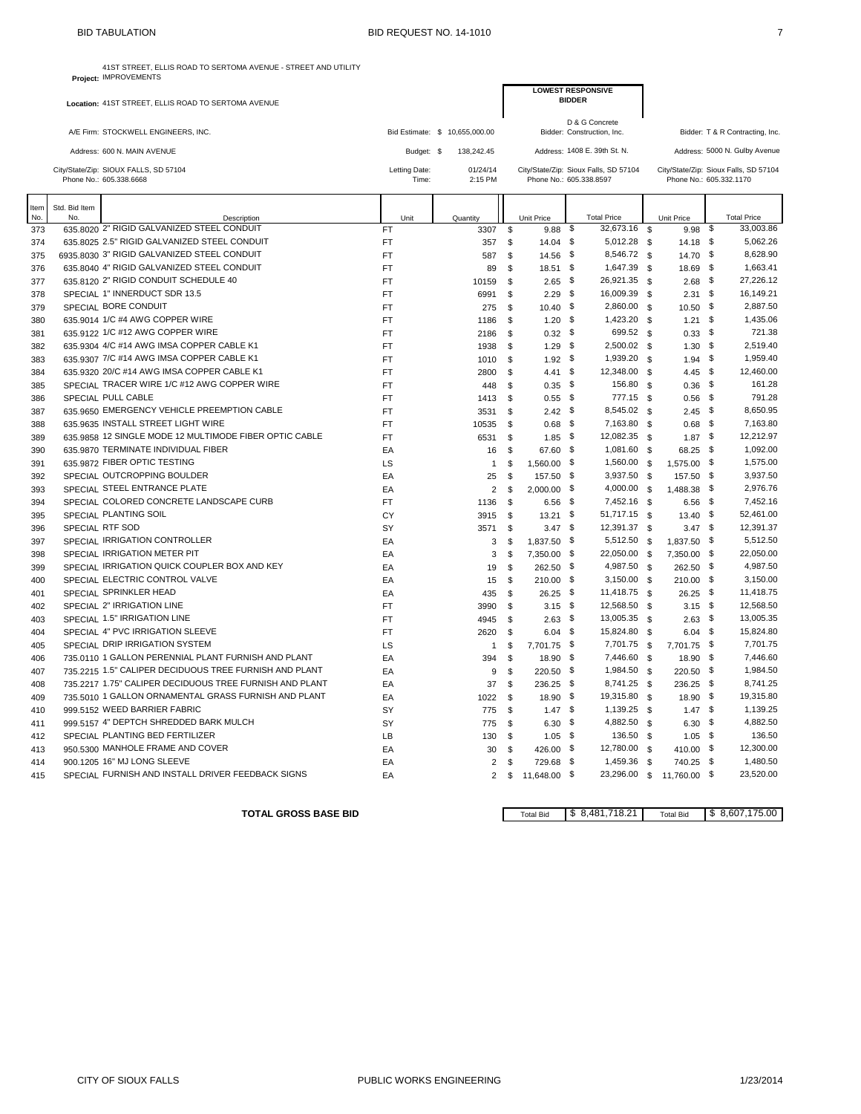41ST STREET, ELLIS ROAD TO SERTOMA AVENUE - STREET AND UTILITY

|             |                      | Project: IMPROVEMENTS                                            |                                |                     |                |                          |               |                                              |                    |                         |               |                                       |
|-------------|----------------------|------------------------------------------------------------------|--------------------------------|---------------------|----------------|--------------------------|---------------|----------------------------------------------|--------------------|-------------------------|---------------|---------------------------------------|
|             |                      | Location: 41ST STREET, ELLIS ROAD TO SERTOMA AVENUE              |                                |                     |                | <b>LOWEST RESPONSIVE</b> | <b>BIDDER</b> |                                              |                    |                         |               |                                       |
|             |                      | A/E Firm: STOCKWELL ENGINEERS, INC.                              | Bid Estimate: \$ 10,655,000.00 |                     |                |                          |               | D & G Concrete<br>Bidder: Construction, Inc. |                    |                         |               | Bidder: T & R Contracting, Inc.       |
|             |                      | Address: 600 N. MAIN AVENUE                                      | Budget: \$                     | 138,242.45          |                |                          |               | Address: 1408 E. 39th St. N.                 |                    |                         |               | Address: 5000 N. Gulby Avenue         |
|             |                      | City/State/Zip: SIOUX FALLS, SD 57104<br>Phone No.: 605.338.6668 | Letting Date:<br>Time:         | 01/24/14<br>2:15 PM |                | Phone No.: 605.338.8597  |               | City/State/Zip: Sioux Falls, SD 57104        |                    | Phone No.: 605.332.1170 |               | City/State/Zip: Sioux Falls, SD 57104 |
| Item<br>No. | Std. Bid Item<br>No. | Description                                                      | Unit                           | Quantity            |                | Unit Price               |               | <b>Total Price</b>                           |                    | Unit Price              |               | <b>Total Price</b>                    |
| 373         |                      | 635.8020 2" RIGID GALVANIZED STEEL CONDUIT                       | <b>FT</b>                      | 3307                | \$             | 9.88                     | -\$           | 32,673.16                                    | \$                 | 9.98                    | -\$           | 33,003.86                             |
| 374         |                      | 635.8025 2.5" RIGID GALVANIZED STEEL CONDUIT                     | <b>FT</b>                      | 357                 | \$             | $14.04$ \$               |               | 5,012.28                                     | \$                 | $14.18$ \$              |               | 5,062.26                              |
| 375         |                      | 6935.8030 3" RIGID GALVANIZED STEEL CONDUIT                      | <b>FT</b>                      | 587                 | \$             | 14.56 \$                 |               | 8,546.72                                     | \$                 | 14.70 \$                |               | 8,628.90                              |
| 376         |                      | 635.8040 4" RIGID GALVANIZED STEEL CONDUIT                       | <b>FT</b>                      | 89                  | \$             | $18.51$ \$               |               | 1,647.39                                     | \$                 | 18.69                   | - \$          | 1,663.41                              |
| 377         |                      | 635.8120 2" RIGID CONDUIT SCHEDULE 40                            | <b>FT</b>                      | 10159               | \$             | 2.65                     | - \$          | 26,921.35                                    | \$                 | 2.68                    | -\$           | 27,226.12                             |
| 378         |                      | SPECIAL 1" INNERDUCT SDR 13.5                                    | <b>FT</b>                      | 6991                | \$             | 2.29                     | - \$          | 16,009.39                                    | \$                 | 2.31                    | \$            | 16,149.21                             |
| 379         |                      | SPECIAL BORE CONDUIT                                             | <b>FT</b>                      | 275                 | \$             | $10.40$ \$               |               | 2,860.00                                     | \$                 | 10.50 \$                |               | 2,887.50                              |
| 380         |                      | 635.9014 1/C #4 AWG COPPER WIRE                                  | <b>FT</b>                      | 1186                | \$             | 1.20                     | -\$           | 1,423.20                                     | \$                 | 1.21                    | \$            | 1,435.06                              |
| 381         |                      | 635.9122 1/C #12 AWG COPPER WIRE                                 | <b>FT</b>                      | 2186                | \$             | $0.32$ \$                |               | 699.52                                       | - \$               | 0.33                    | - \$          | 721.38                                |
| 382         |                      | 635.9304 4/C #14 AWG IMSA COPPER CABLE K1                        | <b>FT</b>                      | 1938                | \$             | 1.29                     | - \$          | 2,500.02                                     | <b>S</b>           | 1.30                    | - \$          | 2,519.40                              |
| 383         |                      | 635.9307 7/C #14 AWG IMSA COPPER CABLE K1                        | <b>FT</b>                      | 1010                | \$             | $1.92$ \$                |               | 1,939.20                                     | \$                 | 1.94                    | - \$          | 1,959.40                              |
| 384         |                      | 635.9320 20/C #14 AWG IMSA COPPER CABLE K1                       | <b>FT</b>                      | 2800                | \$             | 4.41                     | \$            | 12,348.00                                    | \$                 | 4.45                    | \$            | 12,460.00                             |
| 385         |                      | SPECIAL TRACER WIRE 1/C #12 AWG COPPER WIRE                      | <b>FT</b>                      | 448                 | \$             | 0.35                     | - \$          | 156.80                                       | \$                 | 0.36                    | - \$          | 161.28                                |
| 386         |                      | SPECIAL PULL CABLE                                               | <b>FT</b>                      | 1413                | \$             | 0.55                     | - \$          | 777.15                                       | - \$               | 0.56                    | - \$          | 791.28                                |
| 387         |                      | 635.9650 EMERGENCY VEHICLE PREEMPTION CABLE                      | <b>FT</b>                      | 3531                | \$             | $2.42$ \$                |               | 8,545.02 \$                                  |                    | 2.45                    | - \$          | 8,650.95                              |
| 388         |                      | 635.9635 INSTALL STREET LIGHT WIRE                               | <b>FT</b>                      | 10535               | \$             | 0.68                     | \$            | 7,163.80                                     | \$                 | 0.68                    | \$            | 7,163.80                              |
| 389         |                      | 635.9858 12 SINGLE MODE 12 MULTIMODE FIBER OPTIC CABLE           | FT                             | 6531                | \$             | 1.85                     | - \$          | 12,082.35                                    | $\mathbf{\hat{s}}$ | $1.87$ \$               |               | 12.212.97                             |
| 390         |                      | 635.9870 TERMINATE INDIVIDUAL FIBER                              | EA                             | 16                  | \$             | 67.60                    | - \$          | 1,081.60                                     | - \$               | 68.25                   | - \$          | 1,092.00                              |
| 391         |                      | 635.9872 FIBER OPTIC TESTING                                     | LS                             | $\mathbf{1}$        | \$             | 1,560.00 \$              |               | 1,560.00                                     | \$                 | 1,575.00 \$             |               | 1,575.00                              |
| 392         |                      | SPECIAL OUTCROPPING BOULDER                                      | EA                             | 25                  | \$             | 157.50                   | \$            | 3,937.50                                     | \$                 | 157.50                  | \$            | 3,937.50                              |
| 393         |                      | SPECIAL STEEL ENTRANCE PLATE                                     | EA                             | 2                   | \$             | 2.000.00                 | - \$          | 4,000.00                                     | \$                 | 1.488.38                | -\$           | 2,976.76                              |
| 394         |                      | SPECIAL COLORED CONCRETE LANDSCAPE CURB                          | <b>FT</b>                      | 1136                | \$             | $6.56$ \$                |               | 7,452.16                                     | - \$               | 6.56                    | - \$          | 7,452.16                              |
| 395         |                      | SPECIAL PLANTING SOIL                                            | CY                             | 3915                | \$             | $13.21$ \$               |               | 51,717.15 \$                                 |                    | 13.40 \$                |               | 52,461.00                             |
| 396         | SPECIAL RTF SOD      |                                                                  | SY                             | 3571                | \$             | $3.47$ \$                |               | 12,391.37                                    | \$                 | 3.47                    | - \$          | 12,391.37                             |
| 397         |                      | SPECIAL IRRIGATION CONTROLLER                                    | EA                             | 3                   | \$             | 1,837.50                 | - \$          | 5,512.50                                     | $\mathfrak{s}$     | 1,837.50                | - \$          | 5,512.50                              |
| 398         |                      | SPECIAL IRRIGATION METER PIT                                     | EA                             | 3                   | \$             | 7,350.00 \$              |               | 22,050.00                                    | \$                 | 7,350.00 \$             |               | 22,050.00                             |
| 399         |                      | SPECIAL IRRIGATION QUICK COUPLER BOX AND KEY                     | EA                             | 19                  | $\mathfrak{s}$ | 262.50                   | - \$          | 4,987.50                                     | \$                 | 262.50                  | - \$          | 4,987.50                              |
| 400         |                      | SPECIAL ELECTRIC CONTROL VALVE                                   | EA                             | 15                  | \$             | 210.00                   | - \$          | 3,150.00                                     | \$                 | $210.00$ \$             |               | 3,150.00                              |
| 401         |                      | SPECIAL SPRINKLER HEAD                                           | EA                             | 435                 | \$             | 26.25                    | - \$          | 11,418.75                                    | - \$               | 26.25                   | - \$          | 11,418.75                             |
| 402         |                      | SPECIAL 2" IRRIGATION LINE                                       | <b>FT</b>                      | 3990                | \$             | $3.15$ \$                |               | 12,568.50                                    | - \$               | $3.15$ \$               |               | 12,568.50                             |
| 403         |                      | SPECIAL 1.5" IRRIGATION LINE                                     | <b>FT</b>                      | 4945                | \$             | 2.63                     | - \$          | 13,005.35                                    | \$                 | $2.63$ \$               |               | 13,005.35                             |
| 404         |                      | SPECIAL 4" PVC IRRIGATION SLEEVE                                 | <b>FT</b>                      | 2620                | \$             | $6.04$ \$                |               | 15,824.80                                    | \$                 | $6.04$ \$               |               | 15,824.80                             |
| 405         |                      | SPECIAL DRIP IRRIGATION SYSTEM                                   | LS                             | $\mathbf{1}$        | \$             | 7,701.75 \$              |               | 7,701.75                                     | \$                 | 7,701.75                | - \$          | 7,701.75                              |
| 406         |                      | 735.0110 1 GALLON PERENNIAL PLANT FURNISH AND PLANT              | EA                             | 394                 | \$             | 18.90 \$                 |               | 7,446.60                                     | \$                 | 18.90 \$                |               | 7,446.60                              |
| 407         |                      | 735.2215 1.5" CALIPER DECIDUOUS TREE FURNISH AND PLANT           | EA                             | 9                   | \$             | 220.50                   | \$            | 1,984.50                                     | - \$               | 220.50                  | \$            | 1,984.50                              |
| 408         |                      | 735.2217 1.75" CALIPER DECIDUOUS TREE FURNISH AND PLANT          | EA                             | 37                  | \$             | 236.25 \$                |               | 8,741.25                                     | \$                 | 236.25                  | - \$          | 8,741.25                              |
| 409         |                      | 735.5010 1 GALLON ORNAMENTAL GRASS FURNISH AND PLANT             | EA                             | 1022                | \$             | 18.90                    | \$            | 19,315.80                                    | \$                 | 18.90                   | \$            | 19,315.80                             |
| 410         |                      | 999.5152 WEED BARRIER FABRIC                                     | SY                             | 775                 | \$             | $1.47\quad$ \$           |               | 1,139.25                                     | - \$               | 1.47                    | - \$          | 1,139.25                              |
| 411         |                      | 999.5157 4" DEPTCH SHREDDED BARK MULCH                           | SY                             | 775                 | \$             | 6.30                     | \$            | 4,882.50                                     | - \$               | 6.30                    | $\mathfrak s$ | 4,882.50                              |
| 412         |                      | SPECIAL PLANTING BED FERTILIZER                                  | LB                             | 130                 | \$             | 1.05                     | - \$          | 136.50                                       | \$                 | 1.05                    | - \$          | 136.50                                |
| 413         |                      | 950.5300 MANHOLE FRAME AND COVER                                 | EA                             | 30                  | \$             | 426.00 \$                |               | 12,780.00                                    | - \$               | 410.00                  | - \$          | 12,300.00                             |
| 414         |                      | 900.1205 16" MJ LONG SLEEVE                                      | EA                             | 2                   | \$             | 729.68 \$                |               | 1,459.36                                     | - \$               | 740.25 \$               |               | 1,480.50                              |
| 415         |                      | SPECIAL FURNISH AND INSTALL DRIVER FEEDBACK SIGNS                | EA                             | 2                   | \$             | 11,648.00 \$             |               | 23,296.00                                    | \$                 | 11,760.00 \$            |               | 23,520.00                             |

**TOTAL GROSS BASE BID Total Bid**  $\begin{array}{|c|c|c|c|c|}\n\hline\n\text{Total Bid} & \text{$S$} & \text{$8,481,718.21} & \text{Total Bid} & \text{$S$} & \text{$6,607,175.00}\n\hline\n\end{array}$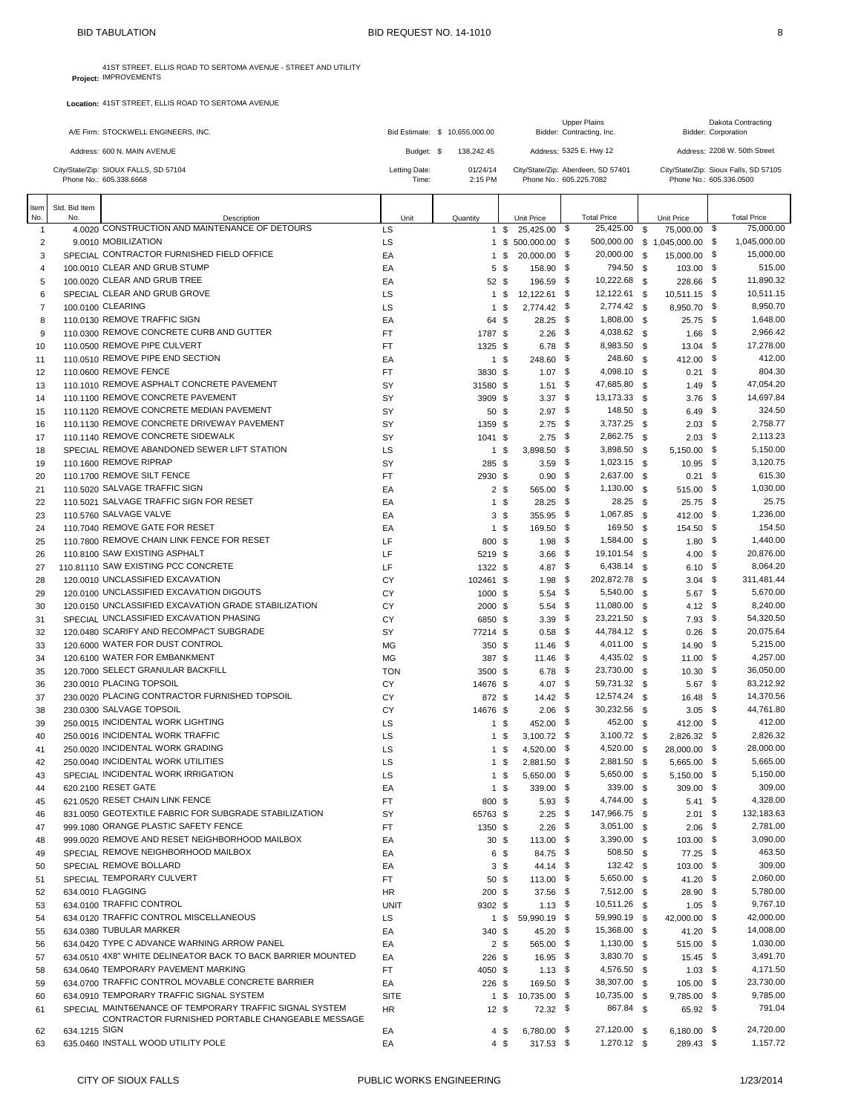**Project:** 41ST STREET, ELLIS ROAD TO SERTOMA AVENUE - STREET AND UTILITY IMPROVEMENTS

| A/E Firm: STOCKWELL ENGINEERS, INC.                              |                        | Bid Estimate: \$ 10.655,000,00 | <b>Upper Plains</b><br>Bidder: Contracting, Inc.              | Dakota Contracting<br>Bidder: Corporation                        |
|------------------------------------------------------------------|------------------------|--------------------------------|---------------------------------------------------------------|------------------------------------------------------------------|
| Address: 600 N. MAIN AVENUE                                      | Budget: \$             | 138.242.45                     | Address: 5325 E. Hwy 12                                       | Address: 2208 W. 50th Street                                     |
| City/State/Zip: SIOUX FALLS, SD 57104<br>Phone No.: 605.338.6668 | Letting Date:<br>Time: | 01/24/14<br>2:15 PM            | City/State/Zip: Aberdeen, SD 57401<br>Phone No.: 605.225.7082 | City/State/Zip: Sioux Falls, SD 57105<br>Phone No.: 605.336.0500 |

| Item                | Std. Bid Item |                                                               |             |                 |                 |                            |     |                              |          |                               |      |                        |
|---------------------|---------------|---------------------------------------------------------------|-------------|-----------------|-----------------|----------------------------|-----|------------------------------|----------|-------------------------------|------|------------------------|
| No.                 | No.           | Description                                                   | Unit        | Quantity        |                 | Unit Price                 |     | <b>Total Price</b>           |          | Unit Price                    |      | <b>Total Price</b>     |
| 1                   |               | 4,0020 CONSTRUCTION AND MAINTENANCE OF DETOURS                | LS          |                 | 1 \$            | 25,425.00 \$               |     | 25,425.00                    | <b>S</b> | 75,000.00 \$                  |      | 75,000.00              |
| $\overline{2}$      |               | 9.0010 MOBILIZATION                                           | LS          |                 |                 | 1 \$ 500,000.00 \$         |     |                              |          | 500,000.00 \$ 1,045,000.00 \$ |      | 1,045,000.00           |
| 3                   |               | SPECIAL CONTRACTOR FURNISHED FIELD OFFICE                     | EA          |                 | $1 \text{ }$ \$ | 20,000.00 \$               |     | 20,000.00 \$                 |          | 15,000.00 \$                  |      | 15,000.00              |
| 4                   |               | 100,0010 CLEAR AND GRUB STUMP<br>100.0020 CLEAR AND GRUB TREE | EA          |                 | 5 \$            | 158.90 \$                  |     | 794.50 \$                    |          | $103.00$ \$                   |      | 515.00                 |
| 5                   |               | SPECIAL CLEAR AND GRUB GROVE                                  | EA          | 52 \$           |                 | 196.59 \$<br>12,122.61 \$  |     | 10,222.68<br>12,122.61 \$    | <b>S</b> | 228.66 \$                     |      | 11,890.32<br>10,511.15 |
| 6<br>$\overline{7}$ |               | 100.0100 CLEARING                                             | LS<br>LS    | 1 \$            | 1 \$            | 2,774.42 \$                |     | 2,774.42 \$                  |          | 10,511.15 \$<br>8,950.70 \$   |      | 8,950.70               |
| 8                   |               | 110,0130 REMOVE TRAFFIC SIGN                                  | EA          | 64 \$           |                 | $28.25$ \$                 |     | 1,808.00 \$                  |          | $25.75$ \$                    |      | 1,648.00               |
| 9                   |               | 110.0300 REMOVE CONCRETE CURB AND GUTTER                      | <b>FT</b>   | 1787 \$         |                 | 2.26                       | -\$ | 4,038.62 \$                  |          | 1.66                          | - \$ | 2,966.42               |
| 10                  |               | 110,0500 REMOVE PIPE CULVERT                                  | <b>FT</b>   | 1325 \$         |                 | $6.78$ \$                  |     | 8,983.50 \$                  |          | $13.04$ \$                    |      | 17,278.00              |
| 11                  |               | 110.0510 REMOVE PIPE END SECTION                              | EA          |                 | $1 \text{ }$ \$ | 248.60 \$                  |     | 248.60 \$                    |          | 412.00 \$                     |      | 412.00                 |
| 12                  |               | 110.0600 REMOVE FENCE                                         | FT          | 3830 \$         |                 | $1.07$ \$                  |     | 4,098.10 \$                  |          | $0.21 \quad$                  |      | 804.30                 |
| 13                  |               | 110.1010 REMOVE ASPHALT CONCRETE PAVEMENT                     | SY          | 31580 \$        |                 | $1.51$ \$                  |     | 47,685.80 \$                 |          | $1.49$ \$                     |      | 47.054.20              |
| 14                  |               | 110.1100 REMOVE CONCRETE PAVEMENT                             | SY          | 3909 \$         |                 | $3.37$ \$                  |     | 13,173.33 \$                 |          | $3.76$ \$                     |      | 14,697.84              |
| 15                  |               | 110.1120 REMOVE CONCRETE MEDIAN PAVEMENT                      | SY          | 50 \$           |                 | $2.97$ \$                  |     | 148.50 \$                    |          | $6.49$ \$                     |      | 324.50                 |
| 16                  |               | 110.1130 REMOVE CONCRETE DRIVEWAY PAVEMENT                    | SY          | 1359 \$         |                 | $2.75$ \$                  |     | 3,737.25 \$                  |          | $2.03$ \$                     |      | 2,758.77               |
| 17                  |               | 110.1140 REMOVE CONCRETE SIDEWALK                             | SY          | 1041 \$         |                 | $2.75$ \$                  |     | 2,862.75 \$                  |          | $2.03$ \$                     |      | 2,113.23               |
| 18                  |               | SPECIAL REMOVE ABANDONED SEWER LIFT STATION                   | LS          |                 | 1\$             | 3,898.50 \$                |     | 3,898.50                     | \$       | $5,150.00$ \$                 |      | 5,150.00               |
| 19                  |               | 110.1600 REMOVE RIPRAP                                        | SY          | 285 \$          |                 | $3.59$ \$                  |     | $1,023.15$ \$                |          | $10.95$ \$                    |      | 3,120.75               |
| 20                  |               | 110.1700 REMOVE SILT FENCE                                    | FT          | 2930 \$         |                 | $0.90$ \$                  |     | 2,637.00                     | - \$     | $0.21$ \$                     |      | 615.30                 |
| 21                  |               | 110.5020 SALVAGE TRAFFIC SIGN                                 | EA          |                 | 2 <sub>5</sub>  | 565.00 \$                  |     | 1,130.00 \$                  |          | 515.00 \$                     |      | 1,030.00               |
| 22                  |               | 110.5021 SALVAGE TRAFFIC SIGN FOR RESET                       | EA          |                 | 1 \$            | $28.25$ \$                 |     | 28.25                        | - \$     | 25.75                         | - \$ | 25.75                  |
| 23                  |               | 110,5760 SALVAGE VALVE                                        | EA          |                 | 3S              | 355.95 \$                  |     | 1,067.85 \$                  |          | 412.00 \$                     |      | 1,236.00               |
| 24                  |               | 110.7040 REMOVE GATE FOR RESET                                | EA          |                 | $1 \text{ }$ \$ | 169.50 \$                  |     | 169.50                       | <b>S</b> | 154.50 \$                     |      | 154.50                 |
| 25                  |               | 110,7800 REMOVE CHAIN LINK FENCE FOR RESET                    | LF          | 800 \$          |                 | $1.98$ \$                  |     | 1,584.00 \$                  |          | $1.80$ \$                     |      | 1,440.00               |
| 26                  |               | 110,8100 SAW EXISTING ASPHALT                                 | LF          | 5219 \$         |                 | $3.66$ \$                  |     | 19,101.54 \$                 |          | $4.00$ \$                     |      | 20,876.00              |
| 27                  |               | 110.81110 SAW EXISTING PCC CONCRETE                           | LF          | 1322 \$         |                 | 4.87 \$                    |     | 6,438.14 \$                  |          | $6.10$ \$                     |      | 8,064.20               |
| 28                  |               | 120,0010 UNCLASSIFIED EXCAVATION                              | CY          | 102461 \$       |                 | $1.98$ \$                  |     | 202,872.78 \$                |          | $3.04$ \$                     |      | 311,481.44             |
| 29                  |               | 120,0100 UNCLASSIFIED EXCAVATION DIGOUTS                      | CY          | 1000 \$         |                 | $5.54$ \$                  |     | 5,540.00 \$                  |          | $5.67$ \$                     |      | 5,670.00               |
| 30                  |               | 120.0150 UNCLASSIFIED EXCAVATION GRADE STABILIZATION          | CY          | 2000 \$         |                 | $5.54$ \$                  |     | 11,080.00 \$                 |          | 4.12 \$                       |      | 8,240.00               |
| 31                  |               | SPECIAL UNCLASSIFIED EXCAVATION PHASING                       | CY          | 6850 \$         |                 | $3.39$ \$                  |     | 23,221.50                    | \$       | $7.93$ \$                     |      | 54,320.50              |
| 32                  |               | 120.0480 SCARIFY AND RECOMPACT SUBGRADE                       | SY          | 77214 \$        |                 | $0.58$ \$                  |     | 44,784.12 \$                 |          | $0.26$ \$                     |      | 20,075.64              |
| 33                  |               | 120,6000 WATER FOR DUST CONTROL                               | <b>MG</b>   | 350S            |                 | $11.46$ \$                 |     | 4,011.00 \$                  |          | $14.90$ \$                    |      | 5,215.00               |
| 34                  |               | 120.6100 WATER FOR EMBANKMENT                                 | MG          | 387 \$          |                 | $11.46$ \$                 |     | 4,435.02 \$                  |          | $11.00$ \$                    |      | 4,257.00               |
| 35                  |               | 120,7000 SELECT GRANULAR BACKFILL                             | <b>TON</b>  | 3500 \$         |                 | $6.78$ \$                  |     | 23,730.00 \$                 |          | $10.30$ \$                    |      | 36,050.00              |
| 36                  |               | 230,0010 PLACING TOPSOIL                                      | СY          | 14676 \$        |                 | 4.07 \$                    |     | 59,731.32 \$                 |          | $5.67$ \$                     |      | 83,212.92              |
| 37                  |               | 230,0020 PLACING CONTRACTOR FURNISHED TOPSOIL                 | CY          | 872 \$          |                 | $14.42$ \$                 |     | 12,574.24 \$                 |          | 16.48 \$                      |      | 14,370.56              |
| 38                  |               | 230.0300 SALVAGE TOPSOIL                                      | CY          | 14676 \$        |                 | $2.06$ \$                  |     | 30,232.56 \$                 |          | $3.05$ \$                     |      | 44,761.80              |
| 39                  |               | 250,0015 INCIDENTAL WORK LIGHTING                             | LS          |                 | 1 \$            | 452.00 \$                  |     | 452.00 \$                    |          | 412.00 \$                     |      | 412.00                 |
| 40                  |               | 250,0016 INCIDENTAL WORK TRAFFIC                              | LS          | 1 \$            |                 | $3,100.72$ \$              |     | $3,100.72$ \$                |          | 2,826.32 \$                   |      | 2,826.32               |
| 41                  |               | 250,0020 INCIDENTAL WORK GRADING                              | LS          |                 | 1 \$            | 4,520.00 \$                |     | 4,520.00 \$                  |          | 28,000.00 \$                  |      | 28,000.00<br>5.665.00  |
| 42                  |               | 250,0040 INCIDENTAL WORK UTILITIES                            | LS          |                 | 1\$             | 2,881.50 \$                |     | 2,881.50                     | <b>S</b> | 5,665.00 \$                   |      |                        |
| 43                  |               | SPECIAL INCIDENTAL WORK IRRIGATION<br>620.2100 RESET GATE     | LS          | 1 \$            |                 | $5,650.00$ \$<br>339.00 \$ |     | 5,650.00 \$                  |          | 5,150.00 \$                   |      | 5,150.00               |
| 44                  |               | 621.0520 RESET CHAIN LINK FENCE                               | EA          |                 | 1 \$            |                            |     | 339.00 \$                    |          | $309.00$ \$                   |      | 309.00                 |
| 45                  |               | 831.0050 GEOTEXTILE FABRIC FOR SUBGRADE STABILIZATION         | <b>FT</b>   | 800 \$          |                 | $5.93$ \$                  |     | 4,744.00 \$<br>147,966.75 \$ |          | $5.41$ \$<br>$2.01$ \$        |      | 4,328.00<br>132,183.63 |
| 46<br>47            |               | 999.1080 ORANGE PLASTIC SAFETY FENCE                          | SY<br>FT    | 65763 \$        |                 | $2.25$ \$<br>$2.26$ \$     |     | $3,051.00$ \$                |          | $2.06$ \$                     |      | 2,781.00               |
|                     |               | 999.0020 REMOVE AND RESET NEIGHBORHOOD MAILBOX                |             | 1350 \$         |                 | 113.00 \$                  |     | 3,390.00 \$                  |          |                               |      | 3,090.00               |
| 48<br>49            |               | SPECIAL REMOVE NEIGHBORHOOD MAILBOX                           | EA<br>EA    | 30 <sup>5</sup> | 6\$             | 84.75 \$                   |     | 508.50 \$                    |          | 103.00 \$<br>77.25 \$         |      | 463.50                 |
| 50                  |               | SPECIAL REMOVE BOLLARD                                        | EA          |                 | $3\sqrt{3}$     | $44.14$ \$                 |     | 132.42 \$                    |          | 103.00 \$                     |      | 309.00                 |
| 51                  |               | SPECIAL TEMPORARY CULVERT                                     | FT          | 50 \$           |                 | 113.00 \$                  |     | 5,650.00 \$                  |          | 41.20 \$                      |      | 2,060.00               |
| 52                  |               | 634.0010 FLAGGING                                             | <b>HR</b>   | $200$ \$        |                 | 37.56 \$                   |     | 7,512.00 \$                  |          | $28.90$ \$                    |      | 5,780.00               |
| 53                  |               | 634.0100 TRAFFIC CONTROL                                      | <b>UNIT</b> | 9302 \$         |                 | $1.13$ \$                  |     | 10,511.26 \$                 |          | $1.05$ \$                     |      | 9,767.10               |
| 54                  |               | 634.0120 TRAFFIC CONTROL MISCELLANEOUS                        | LS          |                 | 1 \$            | 59,990.19 \$               |     | 59,990.19 \$                 |          | 42,000.00 \$                  |      | 42,000.00              |
| 55                  |               | 634,0380 TUBULAR MARKER                                       | EA          | 340 \$          |                 | 45.20 \$                   |     | 15,368.00 \$                 |          | 41.20 \$                      |      | 14,008.00              |
| 56                  |               | 634.0420 TYPE C ADVANCE WARNING ARROW PANEL                   | EA          |                 | 2\$             | 565.00 \$                  |     | 1,130.00 \$                  |          | 515.00 \$                     |      | 1,030.00               |
| 57                  |               | 634.0510 4X8" WHITE DELINEATOR BACK TO BACK BARRIER MOUNTED   | EA          | $226$ \$        |                 | $16.95$ \$                 |     | 3,830.70 \$                  |          | $15.45$ \$                    |      | 3,491.70               |
| 58                  |               | 634.0640 TEMPORARY PAVEMENT MARKING                           | FT          | 4050 \$         |                 | $1.13$ \$                  |     | 4,576.50 \$                  |          | $1.03$ \$                     |      | 4,171.50               |
| 59                  |               | 634.0700 TRAFFIC CONTROL MOVABLE CONCRETE BARRIER             | EA          | $226$ \$        |                 | 169.50 \$                  |     | 38,307.00 \$                 |          | $105.00$ \$                   |      | 23,730.00              |
| 60                  |               | 634.0910 TEMPORARY TRAFFIC SIGNAL SYSTEM                      | <b>SITE</b> |                 | 1 \$            | 10,735.00 \$               |     | 10,735.00 \$                 |          | 9,785.00 \$                   |      | 9,785.00               |
| 61                  |               | SPECIAL MAINT6ENANCE OF TEMPORARY TRAFFIC SIGNAL SYSTEM       | <b>HR</b>   | 12S             |                 | 72.32 \$                   |     | 867.84 \$                    |          | 65.92 \$                      |      | 791.04                 |
|                     |               | CONTRACTOR FURNISHED PORTABLE CHANGEABLE MESSAGE              |             |                 |                 |                            |     |                              |          |                               |      |                        |
| 62                  | 634.1215 SIGN |                                                               | EA          |                 | 4\$             | 6,780.00 \$                |     | 27,120.00 \$                 |          | 6,180.00 \$                   |      | 24,720.00              |
| 63                  |               | 635.0460 INSTALL WOOD UTILITY POLE                            | EA          |                 | $4 \text{ } $$  | 317.53 \$                  |     | $1,270.12$ \$                |          | 289.43 \$                     |      | 1,157.72               |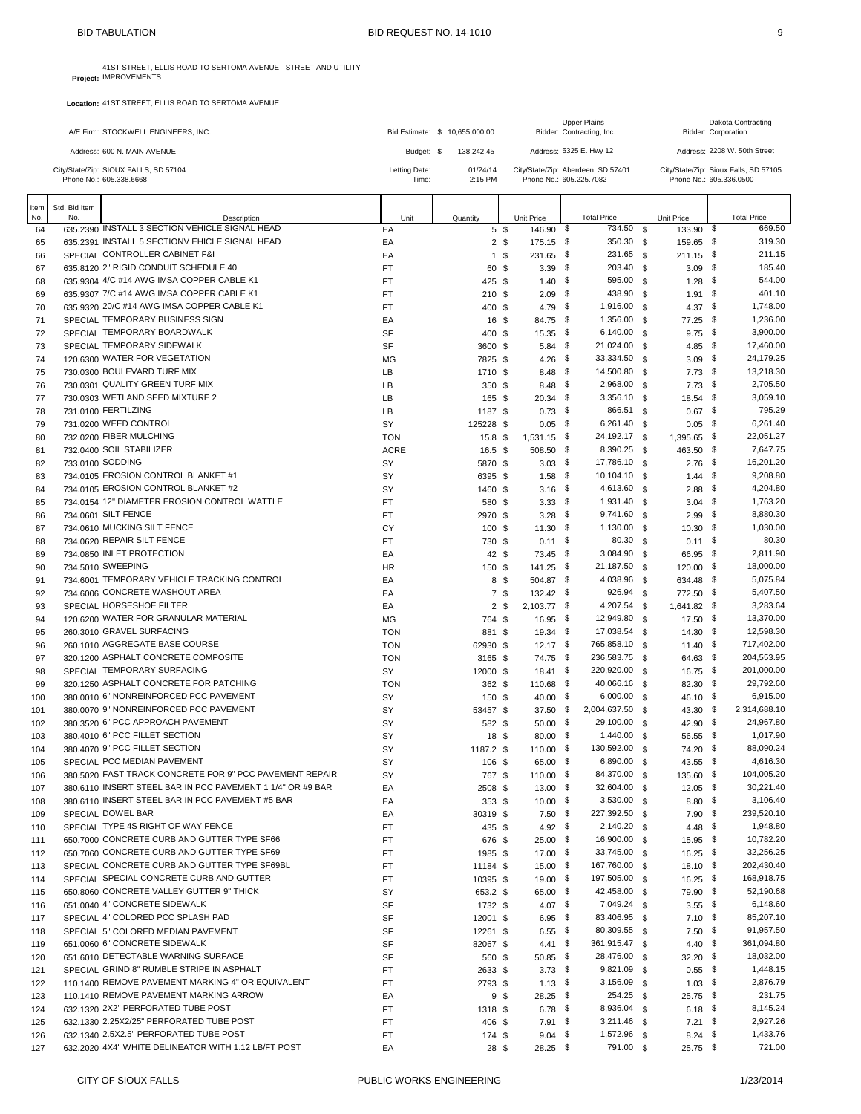**Project:** 41ST STREET, ELLIS ROAD TO SERTOMA AVENUE - STREET AND UTILITY IMPROVEMENTS

| A/E Firm: STOCKWELL ENGINEERS, INC.                              | Bid Estimate: \$ 10.655,000,00 |                     | <b>Upper Plains</b><br>Bidder: Contracting, Inc.              | <b>Dakota Contracting</b><br><b>Bidder: Corporation</b>          |  |
|------------------------------------------------------------------|--------------------------------|---------------------|---------------------------------------------------------------|------------------------------------------------------------------|--|
| Address: 600 N. MAIN AVENUE                                      | Budget: \$                     | 138.242.45          | Address: 5325 E. Hwy 12                                       | Address: 2208 W. 50th Street                                     |  |
| City/State/Zip: SIOUX FALLS, SD 57104<br>Phone No.: 605.338.6668 | Letting Date:<br>Time:         | 01/24/14<br>2:15 PM | City/State/Zip: Aberdeen, SD 57401<br>Phone No.: 605.225.7082 | City/State/Zip: Sioux Falls, SD 57105<br>Phone No.: 605.336.0500 |  |
| m Ctd Rid Itom                                                   |                                |                     |                                                               |                                                                  |  |

| Item<br>No. | Std. Bid Item<br>No. | Description                                                                                 | Unit             | Quantity             |                | Unit Price               | <b>Total Price</b>             |      | Unit Price                    |      | <b>Total Price</b>      |
|-------------|----------------------|---------------------------------------------------------------------------------------------|------------------|----------------------|----------------|--------------------------|--------------------------------|------|-------------------------------|------|-------------------------|
| 64          |                      | 635.2390 INSTALL 3 SECTION VEHICLE SIGNAL HEAD                                              | EA               | 5 \$                 |                | 146.90 \$                | 734.50                         | \$   | 133.90                        | \$   | 669.50                  |
| 65          |                      | 635.2391 INSTALL 5 SECTIONV EHICLE SIGNAL HEAD                                              | EA               |                      | 2 <sup>5</sup> | 175.15 \$                | 350.30 \$                      |      | 159.65 \$                     |      | 319.30                  |
| 66          |                      | SPECIAL CONTROLLER CABINET F&I                                                              | EA               |                      | 1 \$           | 231.65 \$                | 231.65 \$                      |      | 211.15 \$                     |      | 211.15                  |
| 67          |                      | 635.8120 2" RIGID CONDUIT SCHEDULE 40                                                       | FT               | 60 \$                |                | $3.39$ \$                | 203.40 \$                      |      | $3.09$ \$                     |      | 185.40                  |
| 68          |                      | 635.9304 4/C #14 AWG IMSA COPPER CABLE K1                                                   | <b>FT</b>        | 425 \$               |                | $1.40$ \$                | 595.00                         | - \$ | $1.28$ \$                     |      | 544.00                  |
| 69          |                      | 635.9307 7/C #14 AWG IMSA COPPER CABLE K1                                                   | <b>FT</b>        | 210 \$               |                | $2.09$ \$                | 438.90 \$                      |      | $1.91$ \$                     |      | 401.10                  |
| 70          |                      | 635.9320 20/C #14 AWG IMSA COPPER CABLE K1                                                  | <b>FT</b>        | 400 \$               |                | 4.79 \$                  | 1,916.00                       | - \$ | 4.37 \$                       |      | 1,748.00                |
| 71          |                      | SPECIAL TEMPORARY BUSINESS SIGN                                                             | EA               | 16 \$                |                | 84.75 \$                 | 1,356.00 \$                    |      | 77.25 \$                      |      | 1,236.00                |
| 72          |                      | SPECIAL TEMPORARY BOARDWALK                                                                 | SF               | 400 \$               |                | $15.35$ \$               | 6,140.00                       | - \$ | $9.75$ \$                     |      | 3,900.00                |
| 73          |                      | SPECIAL TEMPORARY SIDEWALK                                                                  | SF               | 3600 \$              |                | $5.84$ \$                | 21,024.00 \$                   |      | 4.85 \$                       |      | 17,460.00               |
| 74          |                      | 120.6300 WATER FOR VEGETATION<br>730.0300 BOULEVARD TURF MIX                                | MG               | 7825 \$<br>1710 \$   |                | 4.26 $$$<br>$8.48$ \$    | 33,334.50 \$<br>14,500.80 \$   |      | $3.09$ \$                     |      | 24,179.25<br>13,218.30  |
| 75<br>76    |                      | 730.0301 QUALITY GREEN TURF MIX                                                             | LB<br>LB         | 350S                 |                | $8.48\quad$              | 2,968.00 \$                    |      | $7.73$ \$<br>$7.73$ \$        |      | 2,705.50                |
| 77          |                      | 730.0303 WETLAND SEED MIXTURE 2                                                             | LB               | 165 \$               |                | $20.34$ \$               | $3,356.10$ \$                  |      | 18.54 \$                      |      | 3.059.10                |
| 78          |                      | 731.0100 FERTILZING                                                                         | LB               | 1187 \$              |                | $0.73$ \$                | 866.51 \$                      |      | $0.67$ \$                     |      | 795.29                  |
| 79          |                      | 731,0200 WEED CONTROL                                                                       | SY               | 125228 \$            |                | $0.05$ \$                | 6,261.40 \$                    |      | $0.05$ \$                     |      | 6,261.40                |
| 80          |                      | 732.0200 FIBER MULCHING                                                                     | <b>TON</b>       | 15.8 <sup>°</sup>    |                | 1,531.15 \$              | 24,192.17 \$                   |      | 1,395.65 \$                   |      | 22,051.27               |
| 81          |                      | 732.0400 SOIL STABILIZER                                                                    | <b>ACRE</b>      | 16.5~\$              |                | 508.50 \$                | 8,390.25 \$                    |      | 463.50                        | - \$ | 7,647.75                |
| 82          |                      | 733,0100 SODDING                                                                            | SY               | 5870 \$              |                | $3.03\quad$ \$           | 17,786.10 \$                   |      | $2.76$ \$                     |      | 16,201.20               |
| 83          |                      | 734.0105 EROSION CONTROL BLANKET #1                                                         | SY               | 6395 \$              |                | $1.58$ \$                | 10,104.10 \$                   |      | $1.44$ \$                     |      | 9,208.80                |
| 84          |                      | 734.0105 EROSION CONTROL BLANKET #2                                                         | SY               | 1460 \$              |                | $3.16$ \$                | 4,613.60 \$                    |      | $2.88$ \$                     |      | 4,204.80                |
| 85          |                      | 734.0154 12" DIAMETER EROSION CONTROL WATTLE                                                | FT               | 580 \$               |                | $3.33$ \$                | 1,931.40 \$                    |      | $3.04$ \$                     |      | 1,763.20                |
| 86          |                      | 734.0601 SILT FENCE                                                                         | FT               | 2970 \$              |                | $3.28$ \$                | 9,741.60 \$                    |      | $2.99$ \$                     |      | 8,880.30                |
| 87          |                      | 734.0610 MUCKING SILT FENCE                                                                 | CY               | 100 \$               |                | $11.30$ \$               | 1,130.00 \$                    |      | $10.30$ \$                    |      | 1,030.00                |
| 88          |                      | 734.0620 REPAIR SILT FENCE                                                                  | <b>FT</b>        | 730 \$               |                | $0.11$ \$                | 80.30 \$                       |      | $0.11$ \$                     |      | 80.30                   |
| 89          |                      | 734.0850 INLET PROTECTION                                                                   | EA               | 42 \$                |                | 73.45 \$                 | 3,084.90 \$                    |      | 66.95 \$                      |      | 2.811.90                |
| 90          |                      | 734,5010 SWEEPING                                                                           | HR               | 150 \$               |                | $141.25$ \$              | 21,187.50 \$                   |      | $120.00$ \$                   |      | 18,000.00               |
| 91          |                      | 734.6001 TEMPORARY VEHICLE TRACKING CONTROL                                                 | EA               |                      | 8 \$           | 504.87 \$                | 4,038.96 \$                    |      | 634.48 \$                     |      | 5.075.84                |
| 92          |                      | 734,6006 CONCRETE WASHOUT AREA                                                              | EA               |                      | 7\$            | 132.42 \$                | 926.94 \$                      |      | 772.50 \$                     |      | 5,407.50                |
| 93          |                      | SPECIAL HORSESHOE FILTER                                                                    | EA               |                      | 2 <sub>5</sub> | 2,103.77 \$              | 4,207.54 \$                    |      | 1,641.82 \$                   |      | 3,283.64                |
| 94          |                      | 120.6200 WATER FOR GRANULAR MATERIAL<br>260.3010 GRAVEL SURFACING                           | MG<br><b>TON</b> | 764 \$<br>881 \$     |                | $16.95$ \$<br>$19.34$ \$ | 12,949.80 \$<br>17,038.54 \$   |      | $17.50$ \$<br>$14.30\quad$ \$ |      | 13,370.00<br>12,598.30  |
| 95<br>96    |                      | 260,1010 AGGREGATE BASE COURSE                                                              | <b>TON</b>       | 62930 \$             |                | $12.17$ \$               | 765,858.10 \$                  |      | $11.40$ \$                    |      | 717,402.00              |
| 97          |                      | 320.1200 ASPHALT CONCRETE COMPOSITE                                                         | <b>TON</b>       | 3165 \$              |                | 74.75 \$                 | 236,583.75 \$                  |      | 64.63 \$                      |      | 204,553.95              |
| 98          |                      | SPECIAL TEMPORARY SURFACING                                                                 | SY               | 12000 \$             |                | $18.41$ \$               | 220,920.00 \$                  |      | $16.75$ \$                    |      | 201,000.00              |
| 99          |                      | 320.1250 ASPHALT CONCRETE FOR PATCHING                                                      | <b>TON</b>       | 362 \$               |                | 110.68 \$                | 40,066.16 \$                   |      | 82.30 \$                      |      | 29,792.60               |
| 100         |                      | 380.0010 6" NONREINFORCED PCC PAVEMENT                                                      | SY               | 150 \$               |                | 40.00 \$                 | 6,000.00 \$                    |      | 46.10 \$                      |      | 6,915.00                |
| 101         |                      | 380,0070 9" NONREINFORCED PCC PAVEMENT                                                      | SY               | 53457 \$             |                | $37.50$ \$               | 2,004,637.50 \$                |      | 43.30 \$                      |      | 2,314,688.10            |
| 102         |                      | 380.3520 6" PCC APPROACH PAVEMENT                                                           | SY               | 582 \$               |                | $50.00$ \$               | 29,100.00 \$                   |      | 42.90 \$                      |      | 24,967.80               |
| 103         |                      | 380,4010 6" PCC FILLET SECTION                                                              | SY               | 18 \$                |                | $80.00\quad$ \$          | 1,440.00 \$                    |      | 56.55 \$                      |      | 1,017.90                |
| 104         |                      | 380,4070 9" PCC FILLET SECTION                                                              | SY               | 1187.2 \$            |                | $110.00$ \$              | 130,592.00 \$                  |      | 74.20 \$                      |      | 88,090.24               |
| 105         |                      | SPECIAL PCC MEDIAN PAVEMENT                                                                 | SY               | 106 \$               |                | 65.00 \$                 | 6,890.00 \$                    |      | $43.55$ \$                    |      | 4,616.30                |
| 106         |                      | 380.5020 FAST TRACK CONCRETE FOR 9" PCC PAVEMENT REPAIR                                     | SY               | 767 \$               |                | $110.00$ \$              | 84,370.00 \$                   |      | 135.60 \$                     |      | 104,005.20              |
| 107         |                      | 380.6110 INSERT STEEL BAR IN PCC PAVEMENT 1 1/4" OR #9 BAR                                  | EA               | 2508 \$              |                | $13.00$ \$               | 32,604.00 \$                   |      | $12.05$ \$                    |      | 30,221.40               |
| 108         |                      | 380.6110 INSERT STEEL BAR IN PCC PAVEMENT #5 BAR                                            | EA               | 353 <sup>5</sup>     |                | $10.00\ 5$               | 3,530.00 \$                    |      | $8.80\quad$ \$                |      | 3,106.40                |
| 109         |                      | SPECIAL DOWEL BAR                                                                           | EA               | 30319 \$             |                | $7.50$ \$                | 227,392.50 \$                  |      | $7.90$ \$                     |      | 239,520.10              |
| 110         |                      | SPECIAL TYPE 4S RIGHT OF WAY FENCE                                                          | FT               | 435 \$               |                | 4.92 \$                  | 2,140.20 \$                    |      | 4.48 \$                       |      | 1,948.80                |
| 111         |                      | 650.7000 CONCRETE CURB AND GUTTER TYPE SF66                                                 | FT.              | 676 \$               |                | $25.00$ \$               | 16,900.00 \$                   |      | 15.95 \$                      |      | 10,782.20               |
| 112         |                      | 650.7060 CONCRETE CURB AND GUTTER TYPE SF69<br>SPECIAL CONCRETE CURB AND GUTTER TYPE SF69BL | FT               | 1985 \$              |                | 17.00 \$                 | 33,745.00 \$                   |      | $16.25$ \$                    |      | 32,256.25<br>202,430.40 |
| 113         |                      | SPECIAL SPECIAL CONCRETE CURB AND GUTTER                                                    | FT               | 11184 \$             |                | $15.00$ \$               | 167,760.00 \$<br>197,505.00 \$ |      | $18.10$ \$<br>$16.25$ \$      |      | 168,918.75              |
| 114<br>115  |                      | 650,8060 CONCRETE VALLEY GUTTER 9" THICK                                                    | FT<br>SY         | 10395 \$<br>653.2 \$ |                | $19.00$ \$<br>65.00 \$   | 42,458.00 \$                   |      | 79.90 \$                      |      | 52,190.68               |
| 116         |                      | 651.0040 4" CONCRETE SIDEWALK                                                               | SF               | 1732 \$              |                | 4.07 \$                  | 7,049.24 \$                    |      | $3.55$ \$                     |      | 6,148.60                |
| 117         |                      | SPECIAL 4" COLORED PCC SPLASH PAD                                                           | SF               | 12001 \$             |                | $6.95$ \$                | 83,406.95 \$                   |      | $7.10$ \$                     |      | 85,207.10               |
| 118         |                      | SPECIAL 5" COLORED MEDIAN PAVEMENT                                                          | SF               | 12261 \$             |                | $6.55\quad$              | 80,309.55 \$                   |      | $7.50$ \$                     |      | 91,957.50               |
| 119         |                      | 651.0060 6" CONCRETE SIDEWALK                                                               | SF               | 82067 \$             |                | $4.41 \quad$             | 361,915.47 \$                  |      | 4.40 \$                       |      | 361,094.80              |
| 120         |                      | 651,6010 DETECTABLE WARNING SURFACE                                                         | SF               | 560 \$               |                | $50.85$ \$               | 28,476.00 \$                   |      | $32.20$ \$                    |      | 18,032.00               |
| 121         |                      | SPECIAL GRIND 8" RUMBLE STRIPE IN ASPHALT                                                   | FT               | 2633 \$              |                | $3.73$ \$                | 9,821.09 \$                    |      | $0.55$ \$                     |      | 1,448.15                |
| 122         |                      | 110,1400 REMOVE PAVEMENT MARKING 4" OR EQUIVALENT                                           | FT               | 2793 \$              |                | $1.13$ \$                | 3,156.09 \$                    |      | $1.03$ \$                     |      | 2,876.79                |
| 123         |                      | 110.1410 REMOVE PAVEMENT MARKING ARROW                                                      | EA               |                      | 9\$            | $28.25$ \$               | 254.25 \$                      |      | 25.75 \$                      |      | 231.75                  |
| 124         |                      | 632.1320 2X2" PERFORATED TUBE POST                                                          | FT               | 1318 \$              |                | $6.78$ \$                | 8,936.04 \$                    |      | $6.18$ \$                     |      | 8,145.24                |
| 125         |                      | 632.1330 2.25X2/25" PERFORATED TUBE POST                                                    | FT               | 406 \$               |                | $7.91$ \$                | $3,211.46$ \$                  |      | $7.21$ \$                     |      | 2,927.26                |
| 126         |                      | 632.1340 2.5X2.5" PERFORATED TUBE POST                                                      | FT               | 174 \$               |                | $9.04$ \$                | 1,572.96 \$                    |      | $8.24$ \$                     |      | 1,433.76                |
| 127         |                      | 632.2020 4X4" WHITE DELINEATOR WITH 1.12 LB/FT POST                                         | EA               | 28 \$                |                | $28.25$ \$               | 791.00 \$                      |      | 25.75 \$                      |      | 721.00                  |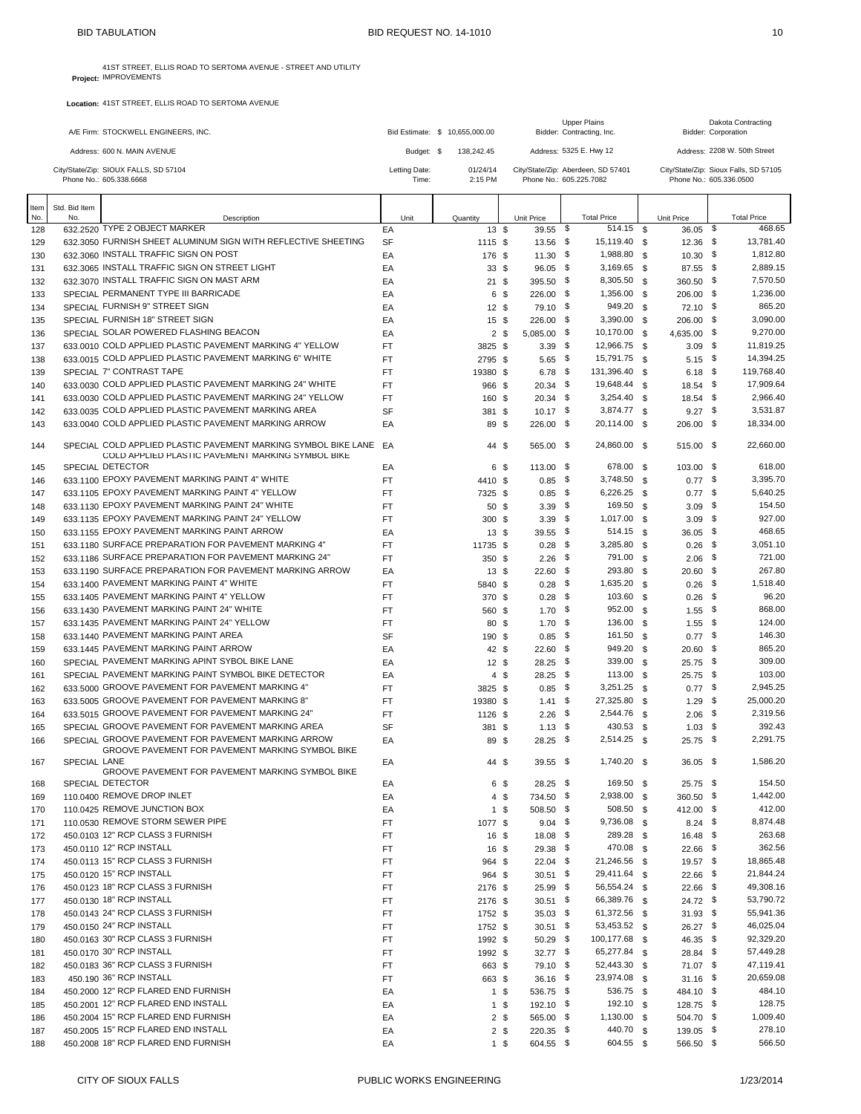| A/E Firm: STOCKWELL ENGINEERS, INC.                              |                        | Bid Estimate: \$ 10.655,000,00 | <b>Upper Plains</b><br>Bidder: Contracting, Inc.              | Dakota Contracting<br>Bidder: Corporation                        |
|------------------------------------------------------------------|------------------------|--------------------------------|---------------------------------------------------------------|------------------------------------------------------------------|
| Address: 600 N, MAIN AVENUE                                      | Budget: \$             | 138.242.45                     | Address: 5325 E. Hwy 12                                       | Address: 2208 W. 50th Street                                     |
| City/State/Zip: SIOUX FALLS, SD 57104<br>Phone No.: 605.338.6668 | Letting Date:<br>Time: | 01/24/14<br>$2:15$ PM          | City/State/Zip: Aberdeen, SD 57401<br>Phone No.: 605.225.7082 | City/State/Zip: Sioux Falls, SD 57105<br>Phone No.: 605.336.0500 |
|                                                                  |                        |                                |                                                               |                                                                  |

| Item       | Std. Bid Item       |                                                                                                                     |                        |                    |                        |                    |                          |                       |                        |                      |
|------------|---------------------|---------------------------------------------------------------------------------------------------------------------|------------------------|--------------------|------------------------|--------------------|--------------------------|-----------------------|------------------------|----------------------|
| No.        | No.                 | Description                                                                                                         | Unit                   | Quantity           | Unit Price             | <b>Total Price</b> |                          | Unit Price            |                        | <b>Total Price</b>   |
| 128        |                     | 632.2520 TYPE 2 OBJECT MARKER                                                                                       | EA                     | 13S                | 39.55 \$               |                    | 514.15 \$                | 36.05                 | \$                     | 468.65               |
| 129        |                     | 632,3050 FURNISH SHEET ALUMINUM SIGN WITH REFLECTIVE SHEETING                                                       | <b>SF</b>              | 1115 \$            | 13.56 \$               |                    | 15,119.40 \$             | $12.36$ \$            |                        | 13,781.40            |
| 130        |                     | 632,3060 INSTALL TRAFFIC SIGN ON POST                                                                               | EA                     | 176 \$             | $11.30$ \$             |                    | 1,988.80 \$              | $10.30$ \$            |                        | 1,812.80             |
| 131        |                     | 632.3065 INSTALL TRAFFIC SIGN ON STREET LIGHT                                                                       | EA                     | 33S                | $96.05$ \$             |                    | $3,169.65$ \$            | 87.55 \$              |                        | 2,889.15             |
| 132        |                     | 632.3070 INSTALL TRAFFIC SIGN ON MAST ARM                                                                           | EA                     | 21S                | 395.50 \$              |                    | 8,305.50 \$              | 360.50 \$             |                        | 7,570.50             |
| 133        |                     | SPECIAL PERMANENT TYPE III BARRICADE                                                                                | EA                     | 6 \$               | 226.00 \$              |                    | 1,356.00 \$              | 206.00 \$             |                        | 1,236.00             |
| 134        |                     | SPECIAL FURNISH 9" STREET SIGN                                                                                      | EA                     | 12S                | 79.10 \$               |                    | 949.20 \$                | 72.10 \$              |                        | 865.20               |
| 135        |                     | SPECIAL FURNISH 18" STREET SIGN<br>SPECIAL SOLAR POWERED FLASHING BEACON                                            | EA                     | 15S                | 226.00 \$              |                    | 3,390.00 \$<br>10,170.00 | 206.00 \$             |                        | 3,090.00<br>9,270.00 |
| 136        |                     | 633.0010 COLD APPLIED PLASTIC PAVEMENT MARKING 4" YELLOW                                                            | EA<br><b>FT</b>        | 2 <sub>5</sub>     | $5,085.00$ \$          |                    | 12,966.75 \$             | - \$<br>$4.635.00$ \$ |                        | 11,819.25            |
| 137<br>138 |                     | 633.0015 COLD APPLIED PLASTIC PAVEMENT MARKING 6" WHITE                                                             | <b>FT</b>              | 3825 \$<br>2795 \$ | $3.39$ \$<br>$5.65$ \$ |                    | 15,791.75 \$             |                       | $3.09$ \$<br>$5.15$ \$ | 14,394.25            |
| 139        |                     | SPECIAL 7" CONTRAST TAPE                                                                                            | <b>FT</b>              | 19380 \$           | $6.78$ \$              |                    | 131,396.40 \$            |                       | $6.18$ \$              | 119,768.40           |
| 140        |                     | 633.0030 COLD APPLIED PLASTIC PAVEMENT MARKING 24" WHITE                                                            | <b>FT</b>              | 966 \$             | $20.34$ \$             |                    | 19,648.44 \$             | $18.54$ \$            |                        | 17,909.64            |
| 141        |                     | 633.0030 COLD APPLIED PLASTIC PAVEMENT MARKING 24" YELLOW                                                           | <b>FT</b>              | 160 \$             | $20.34$ \$             |                    | $3,254.40$ \$            | 18.54 \$              |                        | 2,966.40             |
| 142        |                     | 633.0035 COLD APPLIED PLASTIC PAVEMENT MARKING AREA                                                                 | <b>SF</b>              | 381 \$             | $10.17$ \$             |                    | 3,874.77 \$              | $9.27$ \$             |                        | 3,531.87             |
| 143        |                     | 633,0040 COLD APPLIED PLASTIC PAVEMENT MARKING ARROW                                                                | EA                     | 89 \$              | 226.00 \$              |                    | 20,114.00 \$             | 206.00 \$             |                        | 18,334.00            |
|            |                     |                                                                                                                     |                        |                    |                        |                    |                          |                       |                        |                      |
| 144        |                     | SPECIAL COLD APPLIED PLASTIC PAVEMENT MARKING SYMBOL BIKE LANE<br>COLD APPLIED PLASTIC PAVEMENT MARKING SYMBOL BIKE | EA                     | 44 \$              | 565.00 \$              |                    | 24,860.00 \$             | 515.00 \$             |                        | 22,660.00            |
| 145        |                     | SPECIAL DETECTOR                                                                                                    | EA                     | 6 \$               | 113.00 \$              |                    | 678.00 \$                | 103.00 \$             |                        | 618.00               |
| 146        |                     | 633.1100 EPOXY PAVEMENT MARKING PAINT 4" WHITE                                                                      | <b>FT</b>              | 4410 \$            | $0.85$ \$              |                    | 3,748.50 \$              |                       | $0.77$ \$              | 3,395.70             |
| 147        |                     | 633.1105 EPOXY PAVEMENT MARKING PAINT 4" YELLOW                                                                     | <b>FT</b>              | 7325 \$            | $0.85$ \$              |                    | 6,226.25                 | <b>S</b>              | $0.77$ \$              | 5,640.25             |
| 148        |                     | 633.1130 EPOXY PAVEMENT MARKING PAINT 24" WHITE                                                                     | <b>FT</b>              | 50 \$              | $3.39$ \$              |                    | 169.50 \$                |                       | $3.09$ \$              | 154.50               |
| 149        |                     | 633.1135 EPOXY PAVEMENT MARKING PAINT 24" YELLOW                                                                    | <b>FT</b>              | 300S               | $3.39$ \$              |                    | 1,017.00 \$              |                       | $3.09$ \$              | 927.00               |
| 150        |                     | 633.1155 EPOXY PAVEMENT MARKING PAINT ARROW                                                                         | EA                     | 13S                | 39.55 \$               |                    | 514.15 \$                | 36.05 \$              |                        | 468.65               |
| 151        |                     | 633.1180 SURFACE PREPARATION FOR PAVEMENT MARKING 4"<br>633.1186 SURFACE PREPARATION FOR PAVEMENT MARKING 24"       | <b>FT</b><br><b>FT</b> | 11735 \$           | $0.28$ \$<br>$2.26$ \$ |                    | 3,285.80 \$<br>791.00 \$ | $0.26$ \$             | $2.06$ \$              | 3,051.10<br>721.00   |
| 152<br>153 |                     | 633.1190 SURFACE PREPARATION FOR PAVEMENT MARKING ARROW                                                             | EA                     | 350 \$<br>13S      | $22.60$ \$             |                    | 293.80 \$                | $20.60$ \$            |                        | 267.80               |
| 154        |                     | 633.1400 PAVEMENT MARKING PAINT 4" WHITE                                                                            | <b>FT</b>              |                    | $0.28$ \$              |                    | 1,635.20                 | \$                    | $0.26$ \$              | 1,518.40             |
| 155        |                     | 633.1405 PAVEMENT MARKING PAINT 4" YELLOW                                                                           | <b>FT</b>              | 5840 \$<br>370 \$  | $0.28$ \$              |                    | 103.60                   | \$<br>$0.26$ \$       |                        | 96.20                |
| 156        |                     | 633.1430 PAVEMENT MARKING PAINT 24" WHITE                                                                           | <b>FT</b>              | 560 \$             | $1.70$ \$              |                    | 952.00                   | \$<br>$1.55$ \$       |                        | 868.00               |
| 157        |                     | 633.1435 PAVEMENT MARKING PAINT 24" YELLOW                                                                          | <b>FT</b>              | 80 \$              | $1.70$ \$              |                    | 136.00 \$                |                       | $1.55$ \$              | 124.00               |
| 158        |                     | 633.1440 PAVEMENT MARKING PAINT AREA                                                                                | <b>SF</b>              | 190 \$             | $0.85$ \$              |                    | 161.50                   | \$                    | $0.77$ \$              | 146.30               |
| 159        |                     | 633.1445 PAVEMENT MARKING PAINT ARROW                                                                               | EA                     | 42 \$              | $22.60$ \$             |                    | 949.20 \$                | $20.60$ \$            |                        | 865.20               |
| 160        |                     | SPECIAL PAVEMENT MARKING APINT SYBOL BIKE LANE                                                                      | EA                     | 12S                | $28.25$ \$             |                    | 339.00                   | \$<br>25.75 \$        |                        | 309.00               |
| 161        |                     | SPECIAL PAVEMENT MARKING PAINT SYMBOL BIKE DETECTOR                                                                 | EA                     | 4 \$               | $28.25$ \$             |                    | $113.00$ \$              | 25.75 \$              |                        | 103.00               |
| 162        |                     | 633.5000 GROOVE PAVEMENT FOR PAVEMENT MARKING 4"                                                                    | FT                     | 3825 \$            | $0.85$ \$              |                    | $3,251.25$ \$            | $0.77$ \$             |                        | 2,945.25             |
| 163        |                     | 633.5005 GROOVE PAVEMENT FOR PAVEMENT MARKING 8"                                                                    | <b>FT</b>              | 19380 \$           | $1.41$ \$              |                    | 27,325.80 \$             | $1.29$ \$             |                        | 25,000.20            |
| 164        |                     | 633.5015 GROOVE PAVEMENT FOR PAVEMENT MARKING 24"                                                                   | <b>FT</b>              | 1126 \$            | $2.26$ \$              |                    | 2,544.76 \$              |                       | $2.06$ \$              | 2,319.56             |
| 165        |                     | SPECIAL GROOVE PAVEMENT FOR PAVEMENT MARKING AREA                                                                   | <b>SF</b>              | 381 \$             | $1.13$ \$              |                    | 430.53                   | \$<br>$1.03$ \$       |                        | 392.43               |
| 166        |                     | SPECIAL GROOVE PAVEMENT FOR PAVEMENT MARKING ARROW<br>GROOVE PAVEMENT FOR PAVEMENT MARKING SYMBOL BIKE              | EA                     | 89 \$              | $28.25$ \$             |                    | $2,514.25$ \$            | 25.75 \$              |                        | 2,291.75             |
| 167        | <b>SPECIAL LANE</b> |                                                                                                                     | EA                     | 44 \$              | $39.55$ \$             |                    | 1,740.20 \$              | 36.05 \$              |                        | 1.586.20             |
| 168        |                     | GROOVE PAVEMENT FOR PAVEMENT MARKING SYMBOL BIKE<br>SPECIAL DETECTOR                                                | EA                     | 6 \$               | $28.25$ \$             |                    | 169.50 \$                | 25.75 \$              |                        | 154.50               |
| 169        |                     | 110.0400 REMOVE DROP INLET                                                                                          | EA                     | 4 \$               | 734.50 \$              |                    | 2,938.00 \$              | 360.50 \$             |                        | 1,442.00             |
| 170        |                     | 110.0425 REMOVE JUNCTION BOX                                                                                        | EA                     | 1 \$               | 508.50 \$              |                    | 508.50 \$                | 412.00 \$             |                        | 412.00               |
| 171        |                     | 110.0530 REMOVE STORM SEWER PIPE                                                                                    | FT                     | 1077 \$            | $9.04$ \$              |                    | 9,736.08 \$              | $8.24$ \$             |                        | 8,874.48             |
| 172        |                     | 450.0103 12" RCP CLASS 3 FURNISH                                                                                    | FT                     | 16 \$              | 18.08 \$               |                    | 289.28 \$                | $16.48$ \$            |                        | 263.68               |
| 173        |                     | 450.0110 12" RCP INSTALL                                                                                            | FT                     | 16 \$              | $29.38$ \$             |                    | 470.08 \$                | 22.66 \$              |                        | 362.56               |
| 174        |                     | 450.0113 15" RCP CLASS 3 FURNISH                                                                                    | FT                     | 964 \$             | $22.04$ \$             |                    | 21,246.56 \$             | 19.57 \$              |                        | 18,865.48            |
| 175        |                     | 450.0120 15" RCP INSTALL                                                                                            | FT                     | 964 \$             | $30.51$ \$             |                    | 29,411.64 \$             | 22.66 \$              |                        | 21,844.24            |
| 176        |                     | 450.0123 18" RCP CLASS 3 FURNISH                                                                                    | FT                     | 2176 \$            | $25.99$ \$             |                    | 56,554.24 \$             | 22.66 \$              |                        | 49,308.16            |
| 177        |                     | 450.0130 18" RCP INSTALL                                                                                            | FT                     | 2176 \$            | $30.51$ \$             |                    | 66,389.76 \$             | 24.72 \$              |                        | 53,790.72            |
| 178        |                     | 450.0143 24" RCP CLASS 3 FURNISH                                                                                    | FT                     | 1752 \$            | $35.03$ \$             |                    | 61,372.56 \$             | 31.93 \$              |                        | 55,941.36            |
| 179        |                     | 450.0150 24" RCP INSTALL                                                                                            | FT                     | 1752 \$            | $30.51$ \$             |                    | 53,453.52 \$             | 26.27 \$              |                        | 46,025.04            |
| 180        |                     | 450.0163 30" RCP CLASS 3 FURNISH                                                                                    | FT                     | 1992 \$            | 50.29 \$               |                    | 100,177.68 \$            | 46.35 \$              |                        | 92,329.20            |
| 181        |                     | 450.0170 30" RCP INSTALL                                                                                            | FT                     | 1992 \$            | $32.77$ \$             |                    | 65,277.84 \$             | 28.84 \$              |                        | 57,449.28            |
| 182        |                     | 450.0183 36" RCP CLASS 3 FURNISH                                                                                    | FT                     | 663 \$             | 79.10 \$               |                    | 52,443.30 \$             | 71.07 \$              |                        | 47,119.41            |
| 183        |                     | 450.190 36" RCP INSTALL                                                                                             | FT                     | 663 \$             | $36.16$ \$             |                    | 23,974.08 \$             | $31.16$ \$            |                        | 20,659.08            |
| 184        |                     | 450.2000 12" RCP FLARED END FURNISH                                                                                 | EA                     | $1 \text{ }$ \$    | 536.75 \$              |                    | 536.75 \$                | 484.10 \$             |                        | 484.10               |
| 185        |                     | 450.2001 12" RCP FLARED END INSTALL                                                                                 | EA                     | $1 \text{ }$ \$    | 192.10 \$              |                    | 192.10 \$                | 128.75 \$             |                        | 128.75               |
| 186        |                     | 450.2004 15" RCP FLARED END FURNISH                                                                                 | EA                     | $2 \sqrt{3}$       | 565.00 \$              |                    | $1,130.00$ \$            | 504.70 \$             |                        | 1,009.40             |
| 187        |                     | 450.2005 15" RCP FLARED END INSTALL                                                                                 | EA                     | $2 \sqrt$          | 220.35 \$              |                    | 440.70 \$                | 139.05 \$             |                        | 278.10               |
| 188        |                     | 450.2008 18" RCP FLARED END FURNISH                                                                                 | EA                     | $1 \text{ }$ \$    | 604.55 \$              |                    | 604.55 \$                | 566.50 \$             |                        | 566.50               |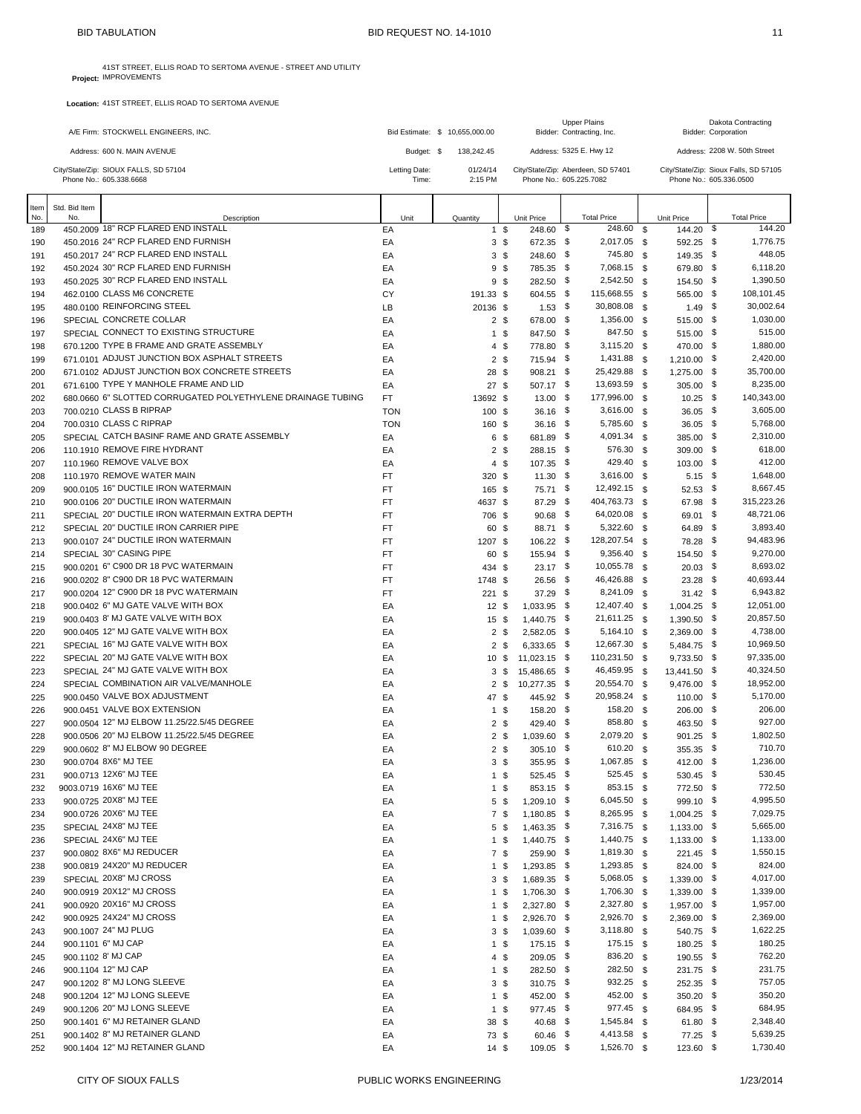|             |                      | A/E Firm: STOCKWELL ENGINEERS, INC.                                                    |                        | Bid Estimate: \$ 10,655,000.00 |                                   |                              | <b>Upper Plains</b><br>Bidder: Contracting, Inc.              |               |                             |     | Dakota Contracting<br><b>Bidder: Corporation</b> |
|-------------|----------------------|----------------------------------------------------------------------------------------|------------------------|--------------------------------|-----------------------------------|------------------------------|---------------------------------------------------------------|---------------|-----------------------------|-----|--------------------------------------------------|
|             |                      | Address: 600 N. MAIN AVENUE                                                            | Budget: \$             | 138,242.45                     |                                   |                              | Address: 5325 E. Hwy 12                                       |               |                             |     | Address: 2208 W. 50th Street                     |
|             |                      | City/State/Zip: SIOUX FALLS, SD 57104<br>Phone No.: 605.338.6668                       | Letting Date:<br>Time: | 01/24/14<br>2:15 PM            |                                   |                              | City/State/Zip: Aberdeen, SD 57401<br>Phone No.: 605.225.7082 |               | Phone No.: 605.336.0500     |     | City/State/Zip: Sioux Falls, SD 57105            |
| ltem<br>No. | Std. Bid Item<br>No. | Description                                                                            | Unit                   | Quantity                       |                                   | Unit Price                   | <b>Total Price</b>                                            |               | Unit Price                  |     | <b>Total Price</b>                               |
| 189         |                      | 450.2009 18" RCP FLARED END INSTALL                                                    | EA                     |                                | $1 \text{ }$ \$                   | 248.60                       | \$<br>248.60                                                  | - \$          | 144.20                      | -\$ | 144.20                                           |
| 190         |                      | 450.2016 24" RCP FLARED END FURNISH                                                    | EA                     |                                | 3 <sup>5</sup>                    | 672.35 \$                    | 2,017.05 \$                                                   |               | 592.25 \$                   |     | 1,776.75                                         |
| 191         |                      | 450.2017 24" RCP FLARED END INSTALL                                                    | EA                     |                                | 3 <sup>5</sup>                    | 248.60 \$                    | 745.80                                                        | - \$          | 149.35 \$                   |     | 448.05                                           |
| 192<br>193  |                      | 450.2024 30" RCP FLARED END FURNISH<br>450.2025 30" RCP FLARED END INSTALL             | EA<br>EA               |                                | 9 <sup>5</sup><br>9 <sup>5</sup>  | 785.35 \$<br>282.50 \$       | 7,068.15<br>2,542.50                                          | \$<br>- \$    | 679.80 \$<br>154.50 \$      |     | 6,118.20<br>1,390.50                             |
| 194         |                      | 462.0100 CLASS M6 CONCRETE                                                             | CY                     | 191.33 \$                      |                                   | 604.55 \$                    | 115,668.55                                                    | <b>S</b>      | 565.00 \$                   |     | 108,101.45                                       |
| 195         |                      | 480,0100 REINFORCING STEEL                                                             | LB                     | 20136 \$                       |                                   | $1.53$ \$                    | 30,808.08                                                     | \$            | $1.49$ \$                   |     | 30,002.64                                        |
| 196         |                      | SPECIAL CONCRETE COLLAR                                                                | EA                     |                                | 2 <sup>5</sup>                    | 678.00 \$                    | 1,356.00                                                      | \$            | 515.00 \$                   |     | 1,030.00                                         |
| 197         |                      | SPECIAL CONNECT TO EXISTING STRUCTURE                                                  | EA                     |                                | $1 \text{ }$ \$                   | 847.50 \$                    | 847.50                                                        | <b>S</b>      | 515.00 \$                   |     | 515.00                                           |
| 198         |                      | 670.1200 TYPE B FRAME AND GRATE ASSEMBLY                                               | EA                     |                                | $4 \text{ } $$                    | 778.80 \$                    | 3,115.20                                                      | \$            | 470.00 \$                   |     | 1,880.00                                         |
| 199         |                      | 671.0101 ADJUST JUNCTION BOX ASPHALT STREETS                                           | EA                     |                                | $2 \sqrt{3}$                      | 715.94 \$                    | 1,431.88                                                      | - \$          | $1,210.00$ \$               |     | 2,420.00                                         |
| 200         |                      | 671.0102 ADJUST JUNCTION BOX CONCRETE STREETS                                          | EA                     | 28 \$                          |                                   | 908.21 \$                    | 25,429.88                                                     | \$            | 1,275.00 \$                 |     | 35,700.00                                        |
| 201         |                      | 671,6100 TYPE Y MANHOLE FRAME AND LID                                                  | EA                     | 27S                            |                                   | 507.17 \$                    | 13,693.59<br>177,996.00                                       | - \$          | $305.00$ \$                 |     | 8,235.00                                         |
| 202<br>203  |                      | 680.0660 6" SLOTTED CORRUGATED POLYETHYLENE DRAINAGE TUBING<br>700.0210 CLASS B RIPRAP | FT.<br><b>TON</b>      | 13692 \$<br>100 \$             |                                   | 13.00<br>$36.16$ \$          | - \$<br>3,616.00                                              | \$<br>- \$    | $10.25$ \$<br>$36.05$ \$    |     | 140,343.00<br>3,605.00                           |
| 204         |                      | 700.0310 CLASS C RIPRAP                                                                | <b>TON</b>             | 160 \$                         |                                   | $36.16$ \$                   | 5,785.60                                                      | \$            | $36.05$ \$                  |     | 5,768.00                                         |
| 205         |                      | SPECIAL CATCH BASINF RAME AND GRATE ASSEMBLY                                           | EA                     |                                | 6 \$                              | 681.89 \$                    | 4,091.34                                                      | <b>S</b>      | 385.00 \$                   |     | 2,310.00                                         |
| 206         |                      | 110,1910 REMOVE FIRE HYDRANT                                                           | EA                     |                                | 2 <sup>5</sup>                    | 288.15 \$                    | 576.30                                                        | \$            | $309.00$ \$                 |     | 618.00                                           |
| 207         |                      | 110,1960 REMOVE VALVE BOX                                                              | EA                     |                                | $4 \text{ } $$                    | $107.35$ \$                  | 429.40                                                        | \$            | 103.00 \$                   |     | 412.00                                           |
| 208         |                      | 110.1970 REMOVE WATER MAIN                                                             | FT                     | 320 \$                         |                                   | $11.30$ \$                   | 3,616.00                                                      | - \$          | $5.15$ \$                   |     | 1,648.00                                         |
| 209         |                      | 900.0105 16" DUCTILE IRON WATERMAIN                                                    | FT                     | 165 \$                         |                                   | 75.71 \$                     | 12,492.15                                                     | $\mathfrak s$ | 52.53 \$                    |     | 8,667.45                                         |
| 210         |                      | 900.0106 20" DUCTILE IRON WATERMAIN                                                    | <b>FT</b>              | 4637 \$                        |                                   | 87.29 \$                     | 404,763.73                                                    | <b>S</b>      | 67.98 \$                    |     | 315,223.26                                       |
| 211         |                      | SPECIAL 20" DUCTILE IRON WATERMAIN EXTRA DEPTH                                         | FT                     | 706 \$                         |                                   | 90.68                        | - \$<br>64,020.08                                             | \$            | 69.01 \$                    |     | 48,721.06                                        |
| 212         |                      | SPECIAL 20" DUCTILE IRON CARRIER PIPE<br>900.0107 24" DUCTILE IRON WATERMAIN           | FT                     | 60 \$                          |                                   | 88.71 \$                     | 5,322.60<br>128,207.54                                        | \$            | 64.89 \$<br>78.28 \$        |     | 3,893.40<br>94,483.96                            |
| 213<br>214  |                      | SPECIAL 30" CASING PIPE                                                                | FT<br>FT               | 1207 \$<br>60 \$               |                                   | 106.22 \$<br>155.94 \$       | 9,356.40                                                      | - \$<br>- \$  | 154.50 \$                   |     | 9,270.00                                         |
| 215         |                      | 900.0201 6" C900 DR 18 PVC WATERMAIN                                                   | <b>FT</b>              | 434 \$                         |                                   | $23.17$ \$                   | 10,055.78                                                     | \$            | $20.03$ \$                  |     | 8,693.02                                         |
| 216         |                      | 900.0202 8" C900 DR 18 PVC WATERMAIN                                                   | <b>FT</b>              | 1748 \$                        |                                   | $26.56$ \$                   | 46,426.88                                                     | <b>S</b>      | $23.28$ \$                  |     | 40,693.44                                        |
| 217         |                      | 900.0204 12" C900 DR 18 PVC WATERMAIN                                                  | <b>FT</b>              | $221$ \$                       |                                   | $37.29$ \$                   | 8,241.09                                                      | - \$          | $31.42$ \$                  |     | 6,943.82                                         |
| 218         |                      | 900.0402 6" MJ GATE VALVE WITH BOX                                                     | EA                     | $12 \text{ } $$                |                                   | $1,033.95$ \$                | 12,407.40                                                     | <b>S</b>      | $1,004.25$ \$               |     | 12,051.00                                        |
| 219         |                      | 900.0403 8' MJ GATE VALVE WITH BOX                                                     | EA                     | 15S                            |                                   | 1,440.75 \$                  | 21,611.25                                                     | <b>S</b>      | 1,390.50 \$                 |     | 20,857.50                                        |
| 220         |                      | 900.0405 12" MJ GATE VALVE WITH BOX                                                    | EA                     |                                | 2 <sup>5</sup>                    | 2,582.05 \$                  | 5,164.10 \$                                                   |               | 2,369.00 \$                 |     | 4,738.00                                         |
| 221         |                      | SPECIAL 16" MJ GATE VALVE WITH BOX                                                     | EA                     |                                | 2 <sup>5</sup>                    | $6,333.65$ \$                | 12,667.30                                                     | \$            | 5,484.75 \$                 |     | 10,969.50                                        |
| 222         |                      | SPECIAL 20" MJ GATE VALVE WITH BOX<br>SPECIAL 24" MJ GATE VALVE WITH BOX               | EA                     | 10 <sup>5</sup>                | 3 <sup>3</sup>                    | 11,023.15 \$<br>15,486.65 \$ | 110,231.50<br>46,459.95 \$                                    | - \$          | 9,733.50 \$<br>13,441.50 \$ |     | 97,335.00<br>40,324.50                           |
| 223<br>224  |                      | SPECIAL COMBINATION AIR VALVE/MANHOLE                                                  | EA<br>EA               |                                | $2 \text{ } $$                    | 10,277.35 \$                 | 20,554.70                                                     | - \$          | $9,476.00$ \$               |     | 18,952.00                                        |
| 225         |                      | 900.0450 VALVE BOX ADJUSTMENT                                                          | EA                     | 47 \$                          |                                   | 445.92 \$                    | 20,958.24 \$                                                  |               | 110.00 \$                   |     | 5,170.00                                         |
| 226         |                      | 900.0451 VALVE BOX EXTENSION                                                           | EA                     |                                | 1 \$                              | 158.20 \$                    | 158.20                                                        | \$            | 206.00 \$                   |     | 206.00                                           |
| 227         |                      | 900.0504 12" MJ ELBOW 11.25/22.5/45 DEGREE                                             | EA                     |                                | 2 <sup>5</sup>                    | 429.40 \$                    | 858.80                                                        | - \$          | 463.50 \$                   |     | 927.00                                           |
| 228         |                      | 900.0506 20" MJ ELBOW 11.25/22.5/45 DEGREE                                             | EA                     |                                | $2 \sqrt{3}$                      | 1,039.60 \$                  | 2,079.20                                                      | \$            | $901.25$ \$                 |     | 1,802.50                                         |
| 229         |                      | 900.0602 8" MJ ELBOW 90 DEGREE                                                         | EA                     | $\overline{\mathbf{c}}$        | \$                                | 305.10 \$                    | 610.20                                                        | \$            | 355.35 \$                   |     | 710.70                                           |
| 230         |                      | 900.0704 8X6" MJ TEE                                                                   | EA                     |                                | 3 <sup>3</sup>                    | 355.95 \$                    | 1,067.85 \$                                                   |               | 412.00 \$                   |     | 1,236.00                                         |
| 231         |                      | 900.0713 12X6" MJ TEE                                                                  | EA                     |                                | $1 \text{ }$ \$                   | 525.45 \$                    | 525.45                                                        | \$            | 530.45 \$                   |     | 530.45                                           |
| 232         |                      | 9003.0719 16X6" MJ TEE<br>900.0725 20X8" MJ TEE                                        | EA                     |                                | $1 \text{ }$ \$                   | 853.15 \$                    | 853.15<br>6,045.50 \$                                         | - \$          | 772.50 \$<br>999.10 \$      |     | 772.50<br>4,995.50                               |
| 233<br>234  |                      | 900.0726 20X6" MJ TEE                                                                  | EА<br>EA               |                                | 5\$<br>7\$                        | 1,209.10 \$<br>1,180.85 \$   | 8,265.95 \$                                                   |               | 1,004.25 \$                 |     | 7,029.75                                         |
| 235         |                      | SPECIAL 24X8" MJ TEE                                                                   | EA                     |                                | 5\$                               | 1,463.35 \$                  | 7,316.75 \$                                                   |               | $1,133.00$ \$               |     | 5,665.00                                         |
| 236         |                      | SPECIAL 24X6" MJ TEE                                                                   | EA                     |                                | $1 \text{ }$ \$                   | 1,440.75 \$                  | 1,440.75 \$                                                   |               | $1,133.00$ \$               |     | 1,133.00                                         |
| 237         |                      | 900.0802 8X6" MJ REDUCER                                                               | EA                     |                                | 7\$                               | 259.90 \$                    | 1,819.30                                                      | \$            | 221.45 \$                   |     | 1,550.15                                         |
| 238         |                      | 900.0819 24X20" MJ REDUCER                                                             | EA                     |                                | $1 \text{ }$ \$                   | 1,293.85 \$                  | 1,293.85 \$                                                   |               | 824.00 \$                   |     | 824.00                                           |
| 239         |                      | SPECIAL 20X8" MJ CROSS                                                                 | EA                     |                                | 3 <sup>5</sup>                    | 1,689.35 \$                  | 5,068.05                                                      | \$            | 1,339.00 \$                 |     | 4,017.00                                         |
| 240         |                      | 900.0919 20X12" MJ CROSS                                                               | ЕA                     |                                | 1\$                               | 1,706.30 \$                  | 1,706.30                                                      | - \$          | 1,339.00 \$                 |     | 1,339.00                                         |
| 241         |                      | 900.0920 20X16" MJ CROSS<br>900.0925 24X24" MJ CROSS                                   | EA                     |                                | $1 \text{ }$ \$                   | 2,327.80 \$<br>2,926.70 \$   | 2,327.80                                                      | \$            | 1,957.00 \$                 |     | 1,957.00<br>2,369.00                             |
| 242<br>243  |                      | 900.1007 24" MJ PLUG                                                                   | EA<br>EA               |                                | $1 \text{ }$ \$<br>3 <sup>3</sup> | 1,039.60 \$                  | 2,926.70 \$<br>3,118.80                                       | - \$          | 2,369.00 \$<br>540.75 \$    |     | 1,622.25                                         |
| 244         |                      | 900.1101 6" MJ CAP                                                                     | EA                     |                                | $1 \text{ }$ \$                   | 175.15 \$                    | 175.15 \$                                                     |               | 180.25 \$                   |     | 180.25                                           |
| 245         |                      | 900.1102 8' MJ CAP                                                                     | EA                     |                                | $4 \text{ } $$                    | $209.05$ \$                  | 836.20                                                        | \$            | 190.55 \$                   |     | 762.20                                           |
| 246         |                      | 900.1104 12" MJ CAP                                                                    | EА                     |                                | $1 \text{ }$ \$                   | 282.50 \$                    | 282.50                                                        | \$            | 231.75 \$                   |     | 231.75                                           |
| 247         |                      | 900.1202 8" MJ LONG SLEEVE                                                             | EA                     |                                | 3 <sup>3</sup>                    | 310.75 \$                    | 932.25 \$                                                     |               | 252.35 \$                   |     | 757.05                                           |
| 248         |                      | 900.1204 12" MJ LONG SLEEVE                                                            | EA                     |                                | $1 \text{ }$ \$                   | 452.00 \$                    | 452.00                                                        | \$            | 350.20 \$                   |     | 350.20                                           |
| 249         |                      | 900.1206 20" MJ LONG SLEEVE                                                            | EA                     |                                | $1 \text{ }$ \$                   | 977.45 \$                    | 977.45 \$                                                     |               | 684.95 \$                   |     | 684.95                                           |
| 250         |                      | 900.1401 6" MJ RETAINER GLAND                                                          | EA                     | 38 \$                          |                                   | 40.68 \$                     | 1,545.84 \$                                                   |               | $61.80$ \$                  |     | 2,348.40                                         |
| 251         |                      | 900.1402 8" MJ RETAINER GLAND                                                          | EА                     | 73 \$                          |                                   | 60.46 \$                     | 4,413.58 \$                                                   |               | 77.25 \$                    |     | 5,639.25                                         |
| 252         |                      | 900.1404 12" MJ RETAINER GLAND                                                         | EA                     | $14 \text{ } $$                |                                   | $109.05$ \$                  | 1,526.70 \$                                                   |               | 123.60 \$                   |     | 1,730.40                                         |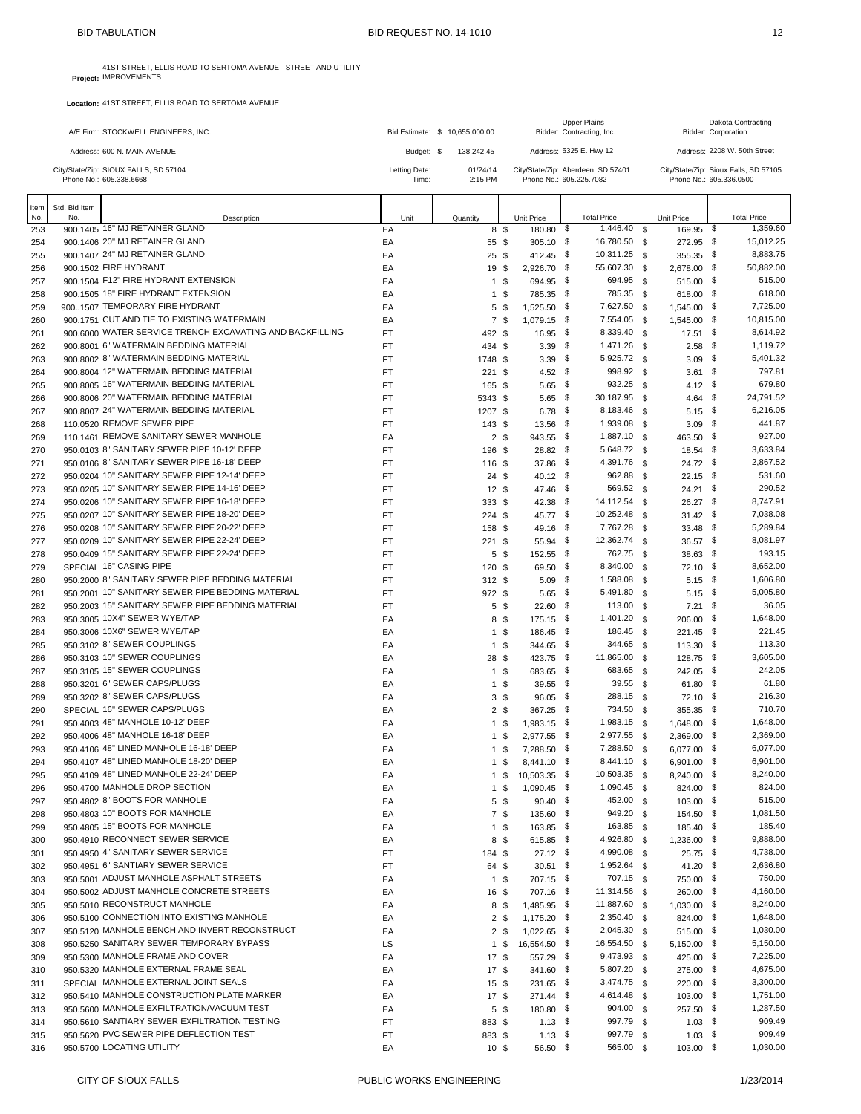r

| A/E Firm: STOCKWELL ENGINEERS, INC.                              |                        | Bid Estimate: \$ 10.655,000.00 | <b>Upper Plains</b><br>Bidder: Contracting, Inc.              | Dakota Contracting<br><b>Bidder: Corporation</b>                 |
|------------------------------------------------------------------|------------------------|--------------------------------|---------------------------------------------------------------|------------------------------------------------------------------|
| Address: 600 N. MAIN AVENUE                                      | Budget: \$             | 138.242.45                     | Address: 5325 E. Hwy 12                                       | Address: 2208 W. 50th Street                                     |
| City/State/Zip: SIOUX FALLS, SD 57104<br>Phone No.: 605.338.6668 | Letting Date:<br>Time: | 01/24/14<br>$2:15$ PM          | City/State/Zip: Aberdeen, SD 57401<br>Phone No.: 605.225.7082 | City/State/Zip: Sioux Falls, SD 57105<br>Phone No.: 605.336.0500 |
|                                                                  |                        |                                |                                                               |                                                                  |

| Item | Std. Bid Item |                                                          |           |      |                 |                 |                    |                    |          |               |      |                    |
|------|---------------|----------------------------------------------------------|-----------|------|-----------------|-----------------|--------------------|--------------------|----------|---------------|------|--------------------|
| No.  | No.           | Description                                              |           | Unit | Quantity        |                 | Unit Price         | <b>Total Price</b> |          | Unit Price    |      | <b>Total Price</b> |
| 253  |               | 900.1405 16" MJ RETAINER GLAND                           | EA        |      |                 | 8 \$            | 180.80 \$          | 1,446.40           | <b>S</b> | 169.95 \$     |      | 1.359.60           |
| 254  |               | 900.1406 20" MJ RETAINER GLAND                           | EA        |      | 55 \$           |                 | $305.10$ \$        | 16,780.50 \$       |          | 272.95 \$     |      | 15,012.25          |
| 255  |               | 900.1407 24" MJ RETAINER GLAND                           | EA        |      | $25 \text{ } $$ |                 | 412.45 \$          | 10,311.25 \$       |          | 355.35 \$     |      | 8,883.75           |
| 256  |               | 900.1502 FIRE HYDRANT                                    | EA        |      | 19 \$           |                 | 2,926.70 \$        | 55,607.30          | - \$     | 2,678.00 \$   |      | 50,882.00          |
| 257  |               | 900.1504 F12" FIRE HYDRANT EXTENSION                     | EA        |      |                 | 1 \$            | 694.95 \$          | 694.95 \$          |          | 515.00 \$     |      | 515.00             |
| 258  |               | 900.1505 18" FIRE HYDRANT EXTENSION                      | EA        |      |                 | $1 \text{ }$ \$ | 785.35 \$          | 785.35 \$          |          | 618.00 \$     |      | 618.00             |
| 259  |               | 9001507 TEMPORARY FIRE HYDRANT                           | EA        |      |                 | 5 <sup>5</sup>  | 1,525.50 \$        | 7,627.50 \$        |          | 1,545.00      | - \$ | 7,725.00           |
| 260  |               | 900.1751 CUT AND TIE TO EXISTING WATERMAIN               | EA        |      |                 | 7\$             | 1,079.15 \$        | 7,554.05 \$        |          | 1,545.00 \$   |      | 10,815.00          |
| 261  |               | 900,6000 WATER SERVICE TRENCH EXCAVATING AND BACKFILLING | FT        |      | 492 \$          |                 | 16.95 \$           | 8,339.40 \$        |          | $17.51$ \$    |      | 8,614.92           |
| 262  |               | 900,8001 6" WATERMAIN BEDDING MATERIAL                   | <b>FT</b> |      | 434 \$          |                 | $3.39$ \$          | 1,471.26 \$        |          | $2.58$ \$     |      | 1,119.72           |
| 263  |               | 900.8002 8" WATERMAIN BEDDING MATERIAL                   | <b>FT</b> |      | 1748 \$         |                 | $3.39$ \$          | 5,925.72 \$        |          | $3.09$ \$     |      | 5,401.32           |
| 264  |               | 900.8004 12" WATERMAIN BEDDING MATERIAL                  | FT.       |      | $221$ \$        |                 | 4.52 $\frac{1}{2}$ | 998.92 \$          |          | $3.61$ \$     |      | 797.81             |
| 265  |               | 900.8005 16" WATERMAIN BEDDING MATERIAL                  | FT.       |      | 165 \$          |                 | $5.65$ \$          | 932.25             | - \$     | $4.12$ \$     |      | 679.80             |
| 266  |               | 900,8006 20" WATERMAIN BEDDING MATERIAL                  | FT        |      | 5343 \$         |                 | $5.65$ \$          | 30,187.95 \$       |          | 4.64 \$       |      | 24,791.52          |
| 267  |               | 900.8007 24" WATERMAIN BEDDING MATERIAL                  | FT        |      | 1207 \$         |                 | $6.78$ \$          | 8,183.46 \$        |          | $5.15$ \$     |      | 6,216.05           |
| 268  |               | 110.0520 REMOVE SEWER PIPE                               | FT        |      | 143S            |                 | 13.56 \$           | 1,939.08 \$        |          | $3.09$ \$     |      | 441.87             |
| 269  |               | 110.1461 REMOVE SANITARY SEWER MANHOLE                   | EA        |      |                 | 2 <sup>5</sup>  | 943.55 \$          | 1,887.10 \$        |          | 463.50 \$     |      | 927.00             |
| 270  |               | 950.0103 8" SANITARY SEWER PIPE 10-12' DEEP              | <b>FT</b> |      | 196 \$          |                 | 28.82 \$           | 5,648.72 \$        |          | 18.54 \$      |      | 3,633.84           |
| 271  |               | 950.0106 8" SANITARY SEWER PIPE 16-18' DEEP              | FT        |      | 116 \$          |                 | 37.86 \$           | 4,391.76 \$        |          | 24.72 \$      |      | 2,867.52           |
| 272  |               | 950.0204 10" SANITARY SEWER PIPE 12-14' DEEP             | FT        |      | 24S             |                 | $40.12$ \$         | 962.88             | - \$     | $22.15$ \$    |      | 531.60             |
| 273  |               | 950.0205 10" SANITARY SEWER PIPE 14-16' DEEP             | FT        |      | 12S             |                 | 47.46 \$           | 569.52 \$          |          | $24.21$ \$    |      | 290.52             |
| 274  |               | 950.0206 10" SANITARY SEWER PIPE 16-18' DEEP             | <b>FT</b> |      | 333S            |                 | $42.38$ \$         | 14,112.54 \$       |          | $26.27$ \$    |      | 8,747.91           |
| 275  |               | 950.0207 10" SANITARY SEWER PIPE 18-20' DEEP             | FT        |      | 224S            |                 | 45.77 \$           | 10,252.48 \$       |          | $31.42$ \$    |      | 7,038.08           |
| 276  |               | 950.0208 10" SANITARY SEWER PIPE 20-22' DEEP             | <b>FT</b> |      | 158 \$          |                 | 49.16 \$           | 7,767.28 \$        |          | $33.48$ \$    |      | 5,289.84           |
| 277  |               | 950.0209 10" SANITARY SEWER PIPE 22-24' DEEP             | FT        |      | $221$ \$        |                 | 55.94 \$           | 12,362.74 \$       |          | $36.57$ \$    |      | 8,081.97           |
| 278  |               | 950.0409 15" SANITARY SEWER PIPE 22-24' DEEP             | FT.       |      |                 | 5 <sup>5</sup>  | 152.55 \$          | 762.75 \$          |          | 38.63 \$      |      | 193.15             |
| 279  |               | SPECIAL 16" CASING PIPE                                  | FT        |      | 120 \$          |                 | 69.50 \$           | 8,340.00 \$        |          | $72.10$ \$    |      | 8,652.00           |
| 280  |               | 950.2000 8" SANITARY SEWER PIPE BEDDING MATERIAL         | <b>FT</b> |      | 312S            |                 | $5.09$ \$          | 1,588.08 \$        |          | $5.15$ \$     |      | 1,606.80           |
| 281  |               | 950.2001 10" SANITARY SEWER PIPE BEDDING MATERIAL        | <b>FT</b> |      | 972 \$          |                 | $5.65$ \$          | 5,491.80 \$        |          | $5.15$ \$     |      | 5,005.80           |
| 282  |               | 950.2003 15" SANITARY SEWER PIPE BEDDING MATERIAL        | <b>FT</b> |      |                 | 5 \$            | $22.60$ \$         | 113.00             | - \$     | $7.21$ \$     |      | 36.05              |
| 283  |               | 950.3005 10X4" SEWER WYE/TAP                             | EA        |      |                 | 8\$             | 175.15 \$          | 1,401.20           | - \$     | 206.00 \$     |      | 1,648.00           |
| 284  |               | 950,3006 10X6" SEWER WYE/TAP                             | EA        |      |                 | $1 \text{ }$ \$ | 186.45 \$          | 186.45 \$          |          | 221.45 \$     |      | 221.45             |
| 285  |               | 950.3102 8" SEWER COUPLINGS                              | EA        |      |                 | 1 \$            | 344.65 \$          | 344.65 \$          |          | $113.30$ \$   |      | 113.30             |
| 286  |               | 950.3103 10" SEWER COUPLINGS                             | EA        |      | 28 \$           |                 | 423.75 \$          | 11,865.00 \$       |          | 128.75 \$     |      | 3,605.00           |
| 287  |               | 950.3105 15" SEWER COUPLINGS                             | EA        |      |                 | $1 \text{ }$ \$ | 683.65 \$          | 683.65             | \$       | 242.05 \$     |      | 242.05             |
| 288  |               | 950.3201 6" SEWER CAPS/PLUGS                             | EA        |      |                 | 1 \$            | 39.55 \$           | $39.55$ \$         |          | $61.80$ \$    |      | 61.80              |
| 289  |               | 950.3202 8" SEWER CAPS/PLUGS                             | EA        |      |                 | 3 <sup>5</sup>  | $96.05$ \$         | 288.15 \$          |          | $72.10$ \$    |      | 216.30             |
| 290  |               | SPECIAL 16" SEWER CAPS/PLUGS                             | EA        |      |                 | 2 <sup>5</sup>  | 367.25 \$          | 734.50 \$          |          | 355.35 \$     |      | 710.70             |
| 291  |               | 950,4003 48" MANHOLE 10-12' DEEP                         | EA        |      |                 | 1 \$            | $1,983.15$ \$      | 1,983.15 \$        |          | 1,648.00 \$   |      | 1,648.00           |
| 292  |               | 950.4006 48" MANHOLE 16-18' DEEP                         | EA        |      |                 | 1 <sup>5</sup>  | 2,977.55 \$        | 2,977.55 \$        |          | 2,369.00 \$   |      | 2,369.00           |
| 293  |               | 950.4106 48" LINED MANHOLE 16-18' DEEP                   | EA        |      |                 | 1 <sup>5</sup>  | 7,288.50 \$        | 7,288.50 \$        |          | 6,077.00 \$   |      | 6,077.00           |
| 294  |               | 950.4107 48" LINED MANHOLE 18-20' DEEP                   | EA        |      |                 | $1 \text{ }$ \$ | 8,441.10 \$        | 8,441.10 \$        |          | 6,901.00 \$   |      | 6,901.00           |
| 295  |               | 950.4109 48" LINED MANHOLE 22-24' DEEP                   | EA        |      |                 | 1 \$            | 10,503.35 \$       | 10,503.35 \$       |          | 8,240.00 \$   |      | 8.240.00           |
| 296  |               | 950.4700 MANHOLE DROP SECTION                            | EA        |      |                 | 1 \$            | $1,090.45$ \$      | 1,090.45 \$        |          | 824.00 \$     |      | 824.00             |
| 297  |               | 950,4802 8" BOOTS FOR MANHOLE                            | EA        |      |                 | $5\degree$      | $90.40$ \$         | 452.00 \$          |          | $103.00$ \$   |      | 515.00             |
| 298  |               | 950.4803 10" BOOTS FOR MANHOLE                           | EA        |      |                 | 7\$             | 135.60 \$          | 949.20 \$          |          | 154.50 \$     |      | 1,081.50           |
| 299  |               | 950.4805 15" BOOTS FOR MANHOLE                           | EA        |      |                 | 1 <sup>5</sup>  | 163.85 \$          | 163.85 \$          |          | 185.40 \$     |      | 185.40             |
| 300  |               | 950.4910 RECONNECT SEWER SERVICE                         | EA        |      |                 | 8 \$            | 615.85 \$          | 4,926.80 \$        |          | 1,236.00 \$   |      | 9,888.00           |
| 301  |               | 950.4950 4" SANITARY SEWER SERVICE                       | FT        |      | 184 \$          |                 | $27.12$ \$         | 4,990.08 \$        |          | 25.75 \$      |      | 4,738.00           |
| 302  |               | 950.4951 6" SANTIARY SEWER SERVICE                       | FT        |      | 64 \$           |                 | $30.51$ \$         | 1,952.64 \$        |          | 41.20 \$      |      | 2,636.80           |
| 303  |               | 950,5001 ADJUST MANHOLE ASPHALT STREETS                  | EA        |      |                 | $1 \text{ }$ \$ | 707.15 \$          | 707.15 \$          |          | 750.00 \$     |      | 750.00             |
| 304  |               | 950,5002 ADJUST MANHOLE CONCRETE STREETS                 | EA        |      | 16 \$           |                 | 707.16 \$          | 11,314.56 \$       |          | 260.00 \$     |      | 4,160.00           |
| 305  |               | 950,5010 RECONSTRUCT MANHOLE                             | EA        |      |                 | 8\$             | 1,485.95 \$        | 11,887.60 \$       |          | $1,030.00$ \$ |      | 8,240.00           |
| 306  |               | 950.5100 CONNECTION INTO EXISTING MANHOLE                | EA        |      |                 | 2 <sup>5</sup>  | 1,175.20 \$        | 2,350.40 \$        |          | 824.00 \$     |      | 1,648.00           |
| 307  |               | 950.5120 MANHOLE BENCH AND INVERT RECONSTRUCT            | EA        |      |                 | 2 <sup>5</sup>  | $1,022.65$ \$      | 2,045.30 \$        |          | 515.00 \$     |      | 1,030.00           |
| 308  |               | 950,5250 SANITARY SEWER TEMPORARY BYPASS                 | LS        |      |                 | 1 \$            | 16,554.50 \$       | 16,554.50 \$       |          | 5,150.00 \$   |      | 5,150.00           |
| 309  |               | 950.5300 MANHOLE FRAME AND COVER                         | EA        |      | 17S             |                 | 557.29 \$          | 9,473.93 \$        |          | 425.00 \$     |      | 7,225.00           |
| 310  |               | 950.5320 MANHOLE EXTERNAL FRAME SEAL                     | EA        |      | 17S             |                 | 341.60 \$          | 5,807.20 \$        |          | 275.00 \$     |      | 4,675.00           |
| 311  |               | SPECIAL MANHOLE EXTERNAL JOINT SEALS                     | EA        |      | $15 \text{ } $$ |                 | 231.65 \$          | 3,474.75 \$        |          | 220.00 \$     |      | 3,300.00           |
| 312  |               | 950,5410 MANHOLE CONSTRUCTION PLATE MARKER               | EA        |      | 17S             |                 | 271.44 \$          | 4,614.48 \$        |          | $103.00$ \$   |      | 1,751.00           |
| 313  |               | 950,5600 MANHOLE EXFILTRATION/VACUUM TEST                | EA        |      |                 | 5 <sup>5</sup>  | 180.80 \$          | 904.00 \$          |          | 257.50 \$     |      | 1,287.50           |
| 314  |               | 950.5610 SANTIARY SEWER EXFILTRATION TESTING             | FT        |      | 883 \$          |                 | $1.13$ \$          | 997.79 \$          |          | $1.03$ \$     |      | 909.49             |
| 315  |               | 950.5620 PVC SEWER PIPE DEFLECTION TEST                  | FT        |      | 883 \$          |                 | $1.13$ \$          | 997.79 \$          |          | $1.03$ \$     |      | 909.49             |
| 316  |               | 950.5700 LOCATING UTILITY                                | EA        |      | 10 <sup>5</sup> |                 | 56.50 \$           | 565.00 \$          |          | $103.00$ \$   |      | 1,030.00           |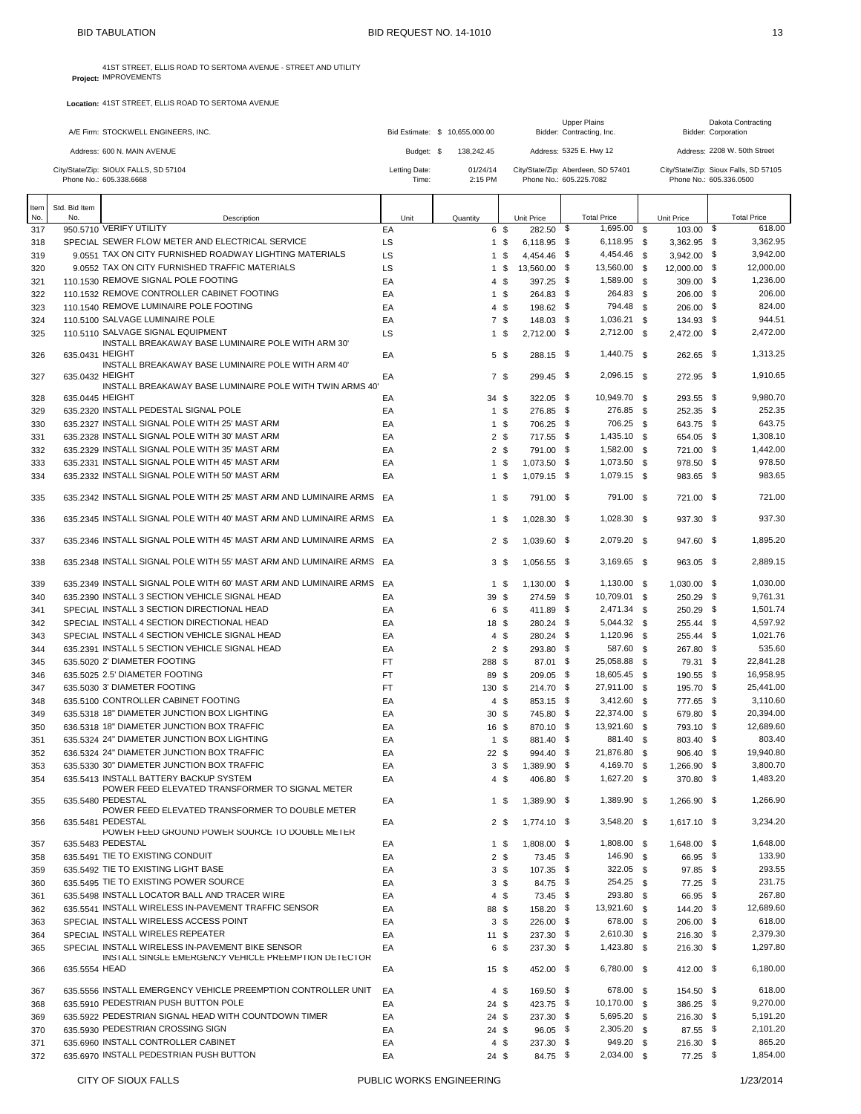|      |                 | A/E Firm: STOCKWELL ENGINEERS, INC.                                  |               | Bid Estimate: \$ 10,655,000.00 |                 |               | Upper Plains<br>Bidder: Contracting, Inc. |          |                         |     | Dakota Contracting<br>Bidder: Corporation |
|------|-----------------|----------------------------------------------------------------------|---------------|--------------------------------|-----------------|---------------|-------------------------------------------|----------|-------------------------|-----|-------------------------------------------|
|      |                 | Address: 600 N. MAIN AVENUE                                          | Budget: \$    | 138,242.45                     |                 |               | Address: 5325 E. Hwy 12                   |          |                         |     | Address: 2208 W. 50th Street              |
|      |                 | City/State/Zip: SIOUX FALLS, SD 57104                                | Letting Date: | 01/24/14                       |                 |               | City/State/Zip: Aberdeen, SD 57401        |          |                         |     | City/State/Zip: Sioux Falls, SD 57105     |
|      |                 | Phone No.: 605.338.6668                                              | Time:         | 2:15 PM                        |                 |               | Phone No.: 605.225.7082                   |          | Phone No.: 605.336.0500 |     |                                           |
| ltem | Std. Bid Item   |                                                                      |               |                                |                 |               |                                           |          |                         |     |                                           |
| No.  | No.             | Description                                                          | Unit          | Quantity                       |                 | Unit Price    | <b>Total Price</b>                        |          | <b>Unit Price</b>       |     | <b>Total Price</b>                        |
| 317  |                 | 950.5710 VERIFY UTILITY                                              | EA            |                                | 6 \$            | 282.50        | 1,695.00<br>\$                            | - \$     | 103.00                  | -\$ | 618.00                                    |
| 318  |                 | SPECIAL SEWER FLOW METER AND ELECTRICAL SERVICE                      | LS            |                                | 1 <sup>5</sup>  | $6,118.95$ \$ | 6,118.95 \$                               |          | $3,362.95$ \$           |     | 3,362.95                                  |
| 319  |                 | 9.0551 TAX ON CITY FURNISHED ROADWAY LIGHTING MATERIALS              | LS            | 1                              | \$              | 4,454.46 \$   | 4,454.46                                  | - \$     | 3,942.00 \$             |     | 3,942.00                                  |
| 320  |                 | 9.0552 TAX ON CITY FURNISHED TRAFFIC MATERIALS                       | LS            |                                | 1 \$            | 13,560.00 \$  | 13,560.00                                 | <b>S</b> | 12.000.00 \$            |     | 12,000.00                                 |
| 321  |                 | 110.1530 REMOVE SIGNAL POLE FOOTING                                  | EA            | $\overline{4}$                 | \$              | 397.25 \$     | 1,589.00                                  | \$       | $309.00$ \$             |     | 1,236.00                                  |
| 322  |                 | 110.1532 REMOVE CONTROLLER CABINET FOOTING                           | EA            |                                | 1 \$            | 264.83 \$     | 264.83 \$                                 |          | $206.00$ \$             |     | 206.00                                    |
| 323  |                 | 110.1540 REMOVE LUMINAIRE POLE FOOTING                               | EA            |                                | 4S              | 198.62 \$     | 794.48                                    | <b>S</b> | $206.00$ \$             |     | 824.00                                    |
| 324  |                 | 110,5100 SALVAGE LUMINAIRE POLE                                      | EA            |                                | 7 \$            | 148.03 \$     | 1,036.21 \$                               |          | 134.93 \$               |     | 944.51                                    |
| 325  |                 | 110.5110 SALVAGE SIGNAL EQUIPMENT                                    | LS            |                                | $1 \text{ }$ \$ | $2,712.00$ \$ | 2,712.00 \$                               |          | 2,472.00 \$             |     | 2,472.00                                  |
| 326  | 635.0431 HEIGHT | INSTALL BREAKAWAY BASE LUMINAIRE POLE WITH ARM 30'                   | EA            |                                | 5 \$            | 288.15 \$     | 1,440.75 \$                               |          | 262.65 \$               |     | 1,313.25                                  |
|      |                 | INSTALL BREAKAWAY BASE LUMINAIRE POLE WITH ARM 40'                   |               |                                |                 |               |                                           |          |                         |     |                                           |
| 327  | 635.0432 HEIGHT |                                                                      | EA            |                                | 7\$             | 299.45 \$     | 2,096.15 \$                               |          | 272.95 \$               |     | 1,910.65                                  |
|      |                 | INSTALL BREAKAWAY BASE LUMINAIRE POLE WITH TWIN ARMS 40'             |               |                                |                 |               |                                           |          |                         |     |                                           |
| 328  | 635.0445 HEIGHT |                                                                      | EA            | 34S                            |                 | $322.05$ \$   | 10,949.70 \$                              |          | 293.55 \$               |     | 9.980.70                                  |
| 329  |                 | 635.2320 INSTALL PEDESTAL SIGNAL POLE                                | EA            |                                | 1 <sup>5</sup>  | 276.85 \$     | 276.85 \$                                 |          | 252.35 \$               |     | 252.35                                    |
| 330  |                 | 635.2327 INSTALL SIGNAL POLE WITH 25' MAST ARM                       | EA            |                                | 1 <sup>5</sup>  | 706.25 \$     | 706.25                                    | \$       | 643.75 \$               |     | 643.75                                    |
| 331  |                 | 635.2328 INSTALL SIGNAL POLE WITH 30' MAST ARM                       | EA            |                                | 2 <sup>5</sup>  | 717.55 \$     | 1,435.10                                  | - \$     | 654.05 \$               |     | 1,308.10                                  |
| 332  |                 | 635.2329 INSTALL SIGNAL POLE WITH 35' MAST ARM                       | EA            |                                | 2 <sup>5</sup>  | 791.00 \$     | 1,582.00                                  | - \$     | 721.00 \$               |     | 1,442.00                                  |
| 333  |                 | 635.2331 INSTALL SIGNAL POLE WITH 45' MAST ARM                       | EA            |                                | 1 <sup>5</sup>  | $1,073.50$ \$ | 1,073.50                                  | \$       | 978.50 \$               |     | 978.50                                    |
| 334  |                 | 635.2332 INSTALL SIGNAL POLE WITH 50' MAST ARM                       | EA            |                                | 1 <sup>5</sup>  | 1,079.15 \$   | 1,079.15 \$                               |          | 983.65 \$               |     | 983.65                                    |
|      |                 |                                                                      |               |                                |                 |               | 791.00 \$                                 |          |                         |     |                                           |
| 335  |                 | 635.2342 INSTALL SIGNAL POLE WITH 25' MAST ARM AND LUMINAIRE ARMS EA |               |                                | 1 \$            | 791.00 \$     |                                           |          | 721.00 \$               |     | 721.00                                    |
| 336  |                 | 635.2345 INSTALL SIGNAL POLE WITH 40' MAST ARM AND LUMINAIRE ARMS EA |               |                                | 1 \$            | $1,028.30$ \$ | 1,028.30 \$                               |          | 937.30 \$               |     | 937.30                                    |
|      |                 | 635.2346 INSTALL SIGNAL POLE WITH 45' MAST ARM AND LUMINAIRE ARMS EA |               |                                | 2 <sup>5</sup>  | 1,039.60 \$   | 2,079.20 \$                               |          | 947.60 \$               |     | 1,895.20                                  |
| 337  |                 |                                                                      |               |                                |                 |               |                                           |          |                         |     |                                           |
| 338  |                 | 635.2348 INSTALL SIGNAL POLE WITH 55' MAST ARM AND LUMINAIRE ARMS EA |               |                                | 3 <sup>3</sup>  | 1,056.55 \$   | 3,169.65 \$                               |          | 963.05 \$               |     | 2,889.15                                  |
| 339  |                 | 635.2349 INSTALL SIGNAL POLE WITH 60' MAST ARM AND LUMINAIRE ARMS EA |               |                                | 1 \$            | $1,130.00$ \$ | 1,130.00 \$                               |          | 1,030.00 \$             |     | 1,030.00                                  |
|      |                 | 635.2390 INSTALL 3 SECTION VEHICLE SIGNAL HEAD                       | EA            | 39 \$                          |                 | 274.59 \$     | 10,709.01 \$                              |          | 250.29 \$               |     | 9,761.31                                  |
| 340  |                 | SPECIAL INSTALL 3 SECTION DIRECTIONAL HEAD                           | EA            |                                |                 |               | 2,471.34                                  | - \$     |                         |     | 1,501.74                                  |
| 341  |                 |                                                                      |               |                                | 6 \$            | 411.89 \$     |                                           |          | 250.29 \$               |     | 4,597.92                                  |
| 342  |                 | SPECIAL INSTALL 4 SECTION DIRECTIONAL HEAD                           | EA            | 18 \$                          |                 | 280.24 \$     | 5,044.32                                  | <b>S</b> | 255.44 \$               |     |                                           |
| 343  |                 | SPECIAL INSTALL 4 SECTION VEHICLE SIGNAL HEAD                        | EA            |                                | 4S              | 280.24 \$     | 1,120.96                                  | \$       | 255.44 \$               |     | 1,021.76                                  |
| 344  |                 | 635.2391 INSTALL 5 SECTION VEHICLE SIGNAL HEAD                       | EA            |                                | 2 <sup>5</sup>  | 293.80 \$     | 587.60                                    | \$       | 267.80 \$               |     | 535.60                                    |
| 345  |                 | 635.5020 2' DIAMETER FOOTING                                         | FT            | 288 \$                         |                 | 87.01 \$      | 25,058.88                                 | \$       | 79.31 \$                |     | 22,841.28                                 |
| 346  |                 | 635.5025 2.5' DIAMETER FOOTING                                       | FT            | 89 \$                          |                 | 209.05 \$     | 18,605.45                                 | \$       | 190.55 \$               |     | 16,958.95                                 |
| 347  |                 | 635,5030 3' DIAMETER FOOTING                                         | FT            | 130 \$                         |                 | 214.70 \$     | 27,911.00 \$                              |          | 195.70 \$               |     | 25,441.00                                 |
| 348  |                 | 635.5100 CONTROLLER CABINET FOOTING                                  | EA            |                                | 4S              | 853.15 \$     | 3,412.60                                  | \$       | 777.65 \$               |     | 3,110.60                                  |
| 349  |                 | 635,5318 18" DIAMETER JUNCTION BOX LIGHTING                          | EA            | 30 <sup>5</sup>                |                 | 745.80 \$     | 22,374.00                                 | <b>S</b> | 679.80 \$               |     | 20,394.00                                 |
| 350  |                 | 636.5318 18" DIAMETER JUNCTION BOX TRAFFIC                           | EA            | 16 \$                          |                 | 870.10 \$     | 13,921.60                                 | \$       | 793.10 \$               |     | 12,689.60                                 |
| 351  |                 | 635.5324 24" DIAMETER JUNCTION BOX LIGHTING                          | EA            |                                | 1 \$            | 881.40 \$     | 881.40 \$                                 |          | 803.40 \$               |     | 803.40                                    |
| 352  |                 | 636.5324 24" DIAMETER JUNCTION BOX TRAFFIC                           | EA            | $22 \text{ } $$                |                 | 994.40 \$     | 21,876.80 \$                              |          | 906.40 \$               |     | 19,940.80                                 |
| 353  |                 | 635,5330 30" DIAMETER JUNCTION BOX TRAFFIC                           | EA            |                                | 3\$             | 1,389.90 \$   | 4,169.70 \$                               |          | 1,266.90 \$             |     | 3,800.70                                  |
| 354  |                 | 635.5413 INSTALL BATTERY BACKUP SYSTEM                               | EA            |                                | $4 \text{ } $$  | 406.80 \$     | 1,627.20 \$                               |          | 370.80 \$               |     | 1,483.20                                  |
|      |                 | POWER FEED ELEVATED TRANSFORMER TO SIGNAL METER                      |               |                                |                 |               |                                           |          |                         |     |                                           |
| 355  |                 | 635.5480 PEDESTAL<br>POWER FEED ELEVATED TRANSFORMER TO DOUBLE METER | EA            |                                | 1 \$            | 1,389.90 \$   | 1,389.90 \$                               |          | 1,266.90 \$             |     | 1,266.90                                  |
| 356  |                 | 635.5481 PEDESTAL                                                    | EA            |                                | 2 <sub>5</sub>  | 1,774.10 \$   | 3,548.20 \$                               |          | $1,617.10$ \$           |     | 3,234.20                                  |
|      |                 | POWER FEED GROUND POWER SOURCE TO DOUBLE METER                       |               |                                |                 |               |                                           |          |                         |     |                                           |
| 357  |                 | 635.5483 PEDESTAL                                                    | EA            |                                | $1 \text{ } $$  | 1,808.00 \$   | 1,808.00 \$                               |          | 1,648.00 \$             |     | 1,648.00                                  |
| 358  |                 | 635.5491 TIE TO EXISTING CONDUIT                                     | EA            |                                | $2 \sqrt{3}$    | 73.45 \$      | 146.90 \$                                 |          | 66.95 \$                |     | 133.90                                    |
| 359  |                 | 635.5492 TIE TO EXISTING LIGHT BASE                                  | EA            |                                | 3 <sup>5</sup>  | $107.35$ \$   | 322.05 \$                                 |          | $97.85$ \$              |     | 293.55                                    |
| 360  |                 | 635.5495 TIE TO EXISTING POWER SOURCE                                | EA            |                                | 3 <sup>5</sup>  | 84.75 \$      | 254.25 \$                                 |          | 77.25 \$                |     | 231.75                                    |
| 361  |                 | 635.5498 INSTALL LOCATOR BALL AND TRACER WIRE                        | EA            |                                | $4 \text{ } $$  | 73.45 \$      | 293.80 \$                                 |          | 66.95 \$                |     | 267.80                                    |
| 362  |                 | 635.5541 INSTALL WIRELESS IN-PAVEMENT TRAFFIC SENSOR                 | EA            | 88 \$                          |                 | 158.20 \$     | 13,921.60 \$                              |          | 144.20 \$               |     | 12,689.60                                 |
| 363  |                 | SPECIAL INSTALL WIRELESS ACCESS POINT                                | EA            |                                | 3 <sup>5</sup>  | 226.00 \$     | 678.00                                    | \$       | 206.00 \$               |     | 618.00                                    |
| 364  |                 | SPECIAL INSTALL WIRELES REPEATER                                     | EA            | $11 \text{ } $$                |                 | 237.30 \$     | 2,610.30 \$                               |          | $216.30$ \$             |     | 2,379.30                                  |
| 365  |                 | SPECIAL INSTALL WIRELESS IN-PAVEMENT BIKE SENSOR                     | EA            |                                | 6 \$            | 237.30 \$     | 1,423.80 \$                               |          | $216.30$ \$             |     | 1,297.80                                  |
|      |                 | INSTALL SINGLE EMERGENCY VEHICLE PREEMPTION DETECTOR                 |               |                                |                 |               |                                           |          |                         |     |                                           |
| 366  | 635.5554 HEAD   |                                                                      | EA            | $15 \text{ } $$                |                 | 452.00 \$     | 6,780.00 \$                               |          | 412.00 \$               |     | 6,180.00                                  |
| 367  |                 | 635.5556 INSTALL EMERGENCY VEHICLE PREEMPTION CONTROLLER UNIT        | EA            |                                | $4 \text{ } $$  | 169.50 \$     | 678.00 \$                                 |          | 154.50 \$               |     | 618.00                                    |
| 368  |                 | 635.5910 PEDESTRIAN PUSH BUTTON POLE                                 | EA            | $24 \text{ } $$                |                 | 423.75 \$     | 10,170.00 \$                              |          | 386.25 \$               |     | 9,270.00                                  |
| 369  |                 | 635.5922 PEDESTRIAN SIGNAL HEAD WITH COUNTDOWN TIMER                 | EA            | 24 \$                          |                 | 237.30 \$     | 5,695.20 \$                               |          | $216.30$ \$             |     | 5,191.20                                  |
| 370  |                 | 635,5930 PEDESTRIAN CROSSING SIGN                                    | EA            | 24 \$                          |                 | $96.05$ \$    | 2,305.20 \$                               |          | 87.55 \$                |     | 2,101.20                                  |
| 371  |                 | 635.6960 INSTALL CONTROLLER CABINET                                  | EA            |                                | 4\$             | 237.30 \$     | 949.20 \$                                 |          | $216.30$ \$             |     | 865.20                                    |
| 372  |                 | 635.6970 INSTALL PEDESTRIAN PUSH BUTTON                              | EA            | $24 \text{ } $$                |                 | 84.75 \$      | 2,034.00 \$                               |          | 77.25 \$                |     | 1,854.00                                  |
|      |                 |                                                                      |               |                                |                 |               |                                           |          |                         |     |                                           |